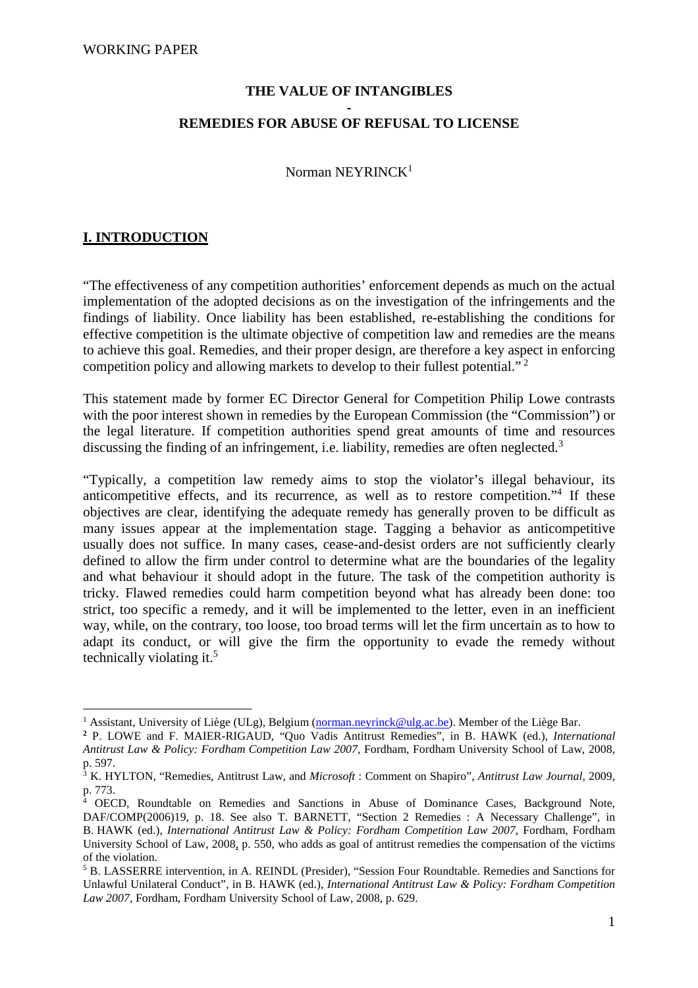### **THE VALUE OF INTANGIBLES**

#### **- REMEDIES FOR ABUSE OF REFUSAL TO LICENSE**

Norman NEYRINCK<sup>1</sup>

## **I. INTRODUCTION**

 $\overline{a}$ 

"The effectiveness of any competition authorities' enforcement depends as much on the actual implementation of the adopted decisions as on the investigation of the infringements and the findings of liability. Once liability has been established, re-establishing the conditions for effective competition is the ultimate objective of competition law and remedies are the means to achieve this goal. Remedies, and their proper design, are therefore a key aspect in enforcing competition policy and allowing markets to develop to their fullest potential."<sup>2</sup>

This statement made by former EC Director General for Competition Philip Lowe contrasts with the poor interest shown in remedies by the European Commission (the "Commission") or the legal literature. If competition authorities spend great amounts of time and resources discussing the finding of an infringement, i.e. liability, remedies are often neglected.<sup>3</sup>

"Typically, a competition law remedy aims to stop the violator's illegal behaviour, its anticompetitive effects, and its recurrence, as well as to restore competition."<sup>4</sup> If these objectives are clear, identifying the adequate remedy has generally proven to be difficult as many issues appear at the implementation stage. Tagging a behavior as anticompetitive usually does not suffice. In many cases, cease-and-desist orders are not sufficiently clearly defined to allow the firm under control to determine what are the boundaries of the legality and what behaviour it should adopt in the future. The task of the competition authority is tricky. Flawed remedies could harm competition beyond what has already been done: too strict, too specific a remedy, and it will be implemented to the letter, even in an inefficient way, while, on the contrary, too loose, too broad terms will let the firm uncertain as to how to adapt its conduct, or will give the firm the opportunity to evade the remedy without technically violating it.<sup>5</sup>

<sup>&</sup>lt;sup>1</sup> Assistant, University of Liège (ULg), Belgium (*norman.neyrinck@ulg.ac.be*). Member of the Liège Bar.

**<sup>2</sup>** P. LOWE and F. MAIER-RIGAUD, "Quo Vadis Antitrust Remedies", in B. HAWK (ed.), *International Antitrust Law & Policy: Fordham Competition Law 2007*, Fordham, Fordham University School of Law, 2008, p. 597.

<sup>3</sup> K. HYLTON, "Remedies, Antitrust Law, and *Microsoft* : Comment on Shapiro", *Antitrust Law Journal*, 2009, p. 773.

<sup>4</sup> OECD, Roundtable on Remedies and Sanctions in Abuse of Dominance Cases, Background Note, DAF/COMP(2006)19, p. 18. See also T. BARNETT, "Section 2 Remedies : A Necessary Challenge", in B. HAWK (ed.), *International Antitrust Law & Policy: Fordham Competition Law 2007*, Fordham, Fordham University School of Law, 2008, p. 550, who adds as goal of antitrust remedies the compensation of the victims of the violation.

<sup>&</sup>lt;sup>5</sup> B. LASSERRE intervention, in A. REINDL (Presider), "Session Four Roundtable. Remedies and Sanctions for Unlawful Unilateral Conduct", in B. HAWK (ed.), *International Antitrust Law & Policy: Fordham Competition Law 2007*, Fordham, Fordham University School of Law, 2008, p. 629.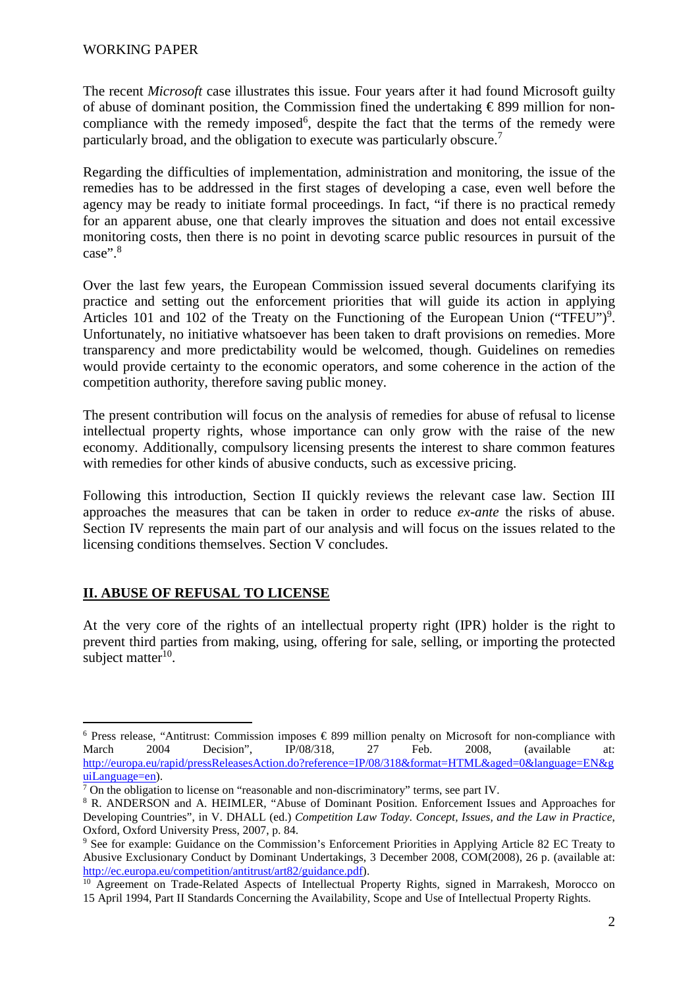The recent *Microsoft* case illustrates this issue. Four years after it had found Microsoft guilty of abuse of dominant position, the Commission fined the undertaking  $\epsilon$  899 million for noncompliance with the remedy imposed<sup>6</sup>, despite the fact that the terms of the remedy were particularly broad, and the obligation to execute was particularly obscure.<sup>7</sup>

Regarding the difficulties of implementation, administration and monitoring, the issue of the remedies has to be addressed in the first stages of developing a case, even well before the agency may be ready to initiate formal proceedings. In fact, "if there is no practical remedy for an apparent abuse, one that clearly improves the situation and does not entail excessive monitoring costs, then there is no point in devoting scarce public resources in pursuit of the case".<sup>8</sup>

Over the last few years, the European Commission issued several documents clarifying its practice and setting out the enforcement priorities that will guide its action in applying Articles 101 and 102 of the Treaty on the Functioning of the European Union ("TFEU")<sup>9</sup>. Unfortunately, no initiative whatsoever has been taken to draft provisions on remedies. More transparency and more predictability would be welcomed, though. Guidelines on remedies would provide certainty to the economic operators, and some coherence in the action of the competition authority, therefore saving public money.

The present contribution will focus on the analysis of remedies for abuse of refusal to license intellectual property rights, whose importance can only grow with the raise of the new economy. Additionally, compulsory licensing presents the interest to share common features with remedies for other kinds of abusive conducts, such as excessive pricing.

Following this introduction, Section II quickly reviews the relevant case law. Section III approaches the measures that can be taken in order to reduce *ex-ante* the risks of abuse. Section IV represents the main part of our analysis and will focus on the issues related to the licensing conditions themselves. Section V concludes.

### **II. ABUSE OF REFUSAL TO LICENSE**

At the very core of the rights of an intellectual property right (IPR) holder is the right to prevent third parties from making, using, offering for sale, selling, or importing the protected subject matter<sup>10</sup>.

 $\overline{a}$  $6$  Press release, "Antitrust: Commission imposes  $\epsilon$  899 million penalty on Microsoft for non-compliance with March 2004 Decision", IP/08/318, 27 Feb. 2008, (available at: http://europa.eu/rapid/pressReleasesAction.do?reference=IP/08/318&format=HTML&aged=0&language=EN&g uiLanguage=en).

 $7$  On the obligation to license on "reasonable and non-discriminatory" terms, see part IV.

<sup>&</sup>lt;sup>8</sup> R. ANDERSON and A. HEIMLER, "Abuse of Dominant Position. Enforcement Issues and Approaches for Developing Countries", in V. DHALL (ed.) *Competition Law Today. Concept, Issues, and the Law in Practice*, Oxford, Oxford University Press, 2007, p. 84.

<sup>&</sup>lt;sup>9</sup> See for example: Guidance on the Commission's Enforcement Priorities in Applying Article 82 EC Treaty to Abusive Exclusionary Conduct by Dominant Undertakings, 3 December 2008, COM(2008), 26 p. (available at: http://ec.europa.eu/competition/antitrust/art82/guidance.pdf).

<sup>&</sup>lt;sup>10</sup> Agreement on Trade-Related Aspects of Intellectual Property Rights, signed in Marrakesh, Morocco on 15 April 1994, Part II Standards Concerning the Availability, Scope and Use of Intellectual Property Rights.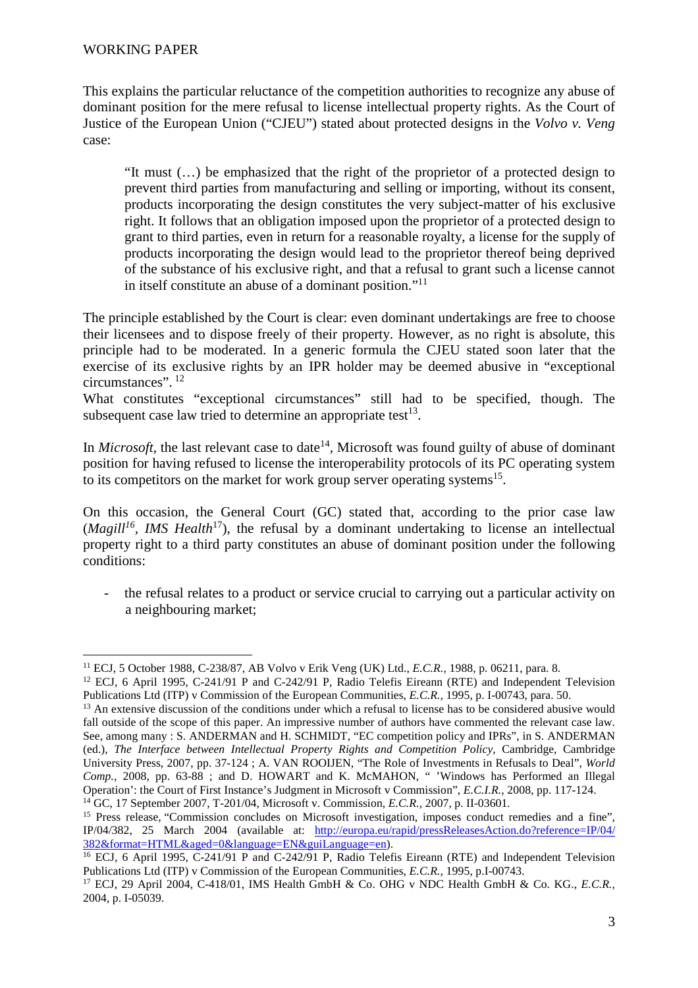This explains the particular reluctance of the competition authorities to recognize any abuse of dominant position for the mere refusal to license intellectual property rights. As the Court of Justice of the European Union ("CJEU") stated about protected designs in the *Volvo v. Veng* case:

"It must (…) be emphasized that the right of the proprietor of a protected design to prevent third parties from manufacturing and selling or importing, without its consent, products incorporating the design constitutes the very subject-matter of his exclusive right. It follows that an obligation imposed upon the proprietor of a protected design to grant to third parties, even in return for a reasonable royalty, a license for the supply of products incorporating the design would lead to the proprietor thereof being deprived of the substance of his exclusive right, and that a refusal to grant such a license cannot in itself constitute an abuse of a dominant position."<sup>11</sup>

The principle established by the Court is clear: even dominant undertakings are free to choose their licensees and to dispose freely of their property. However, as no right is absolute, this principle had to be moderated. In a generic formula the CJEU stated soon later that the exercise of its exclusive rights by an IPR holder may be deemed abusive in "exceptional circumstances".<sup>12</sup>

What constitutes "exceptional circumstances" still had to be specified, though. The subsequent case law tried to determine an appropriate test<sup>13</sup>.

In *Microsoft*, the last relevant case to date<sup>14</sup>, Microsoft was found guilty of abuse of dominant position for having refused to license the interoperability protocols of its PC operating system to its competitors on the market for work group server operating systems<sup>15</sup>.

On this occasion, the General Court (GC) stated that, according to the prior case law  $(Magill<sup>16</sup>, *IMS Health*<sup>17</sup>)$ , the refusal by a dominant undertaking to license an intellectual property right to a third party constitutes an abuse of dominant position under the following conditions:

the refusal relates to a product or service crucial to carrying out a particular activity on a neighbouring market;

382&format=HTML&aged=0&language=EN&guiLanguage=en).

 $\overline{a}$ <sup>11</sup> ECJ, 5 October 1988, C-238/87, AB Volvo v Erik Veng (UK) Ltd., *E.C.R.,* 1988, p. 06211, para. 8.

<sup>12</sup> ECJ, 6 April 1995, C-241/91 P and C-242/91 P, Radio Telefis Eireann (RTE) and Independent Television Publications Ltd (ITP) v Commission of the European Communities, *E.C.R.,* 1995, p. I-00743, para. 50.

<sup>&</sup>lt;sup>13</sup> An extensive discussion of the conditions under which a refusal to license has to be considered abusive would fall outside of the scope of this paper. An impressive number of authors have commented the relevant case law. See, among many : S. ANDERMAN and H. SCHMIDT, "EC competition policy and IPRs", in S. ANDERMAN (ed.), *The Interface between Intellectual Property Rights and Competition Policy,* Cambridge, Cambridge University Press, 2007, pp. 37-124 ; A. VAN ROOIJEN, "The Role of Investments in Refusals to Deal", *World Comp.*, 2008, pp. 63-88 ; and D. HOWART and K. McMAHON, " 'Windows has Performed an Illegal Operation': the Court of First Instance's Judgment in Microsoft v Commission", *E.C.I.R.*, 2008, pp. 117-124. <sup>14</sup> GC, 17 September 2007, T-201/04, Microsoft v. Commission, *E.C.R.,* 2007, p. II-03601*.*

<sup>&</sup>lt;sup>15</sup> Press release, "Commission concludes on Microsoft investigation, imposes conduct remedies and a fine", IP/04/382, 25 March 2004 (available at: http://europa.eu/rapid/pressReleasesAction.do?reference=IP/04/

<sup>&</sup>lt;sup>16</sup> ECJ, 6 April 1995, C-241/91 P and C-242/91 P, Radio Telefis Eireann (RTE) and Independent Television Publications Ltd (ITP) v Commission of the European Communities, *E.C.R.*, 1995, p.I-00743.

<sup>17</sup> ECJ, 29 April 2004, C-418/01, IMS Health GmbH & Co. OHG v NDC Health GmbH & Co. KG., *E.C.R.,*  2004, p. I-05039.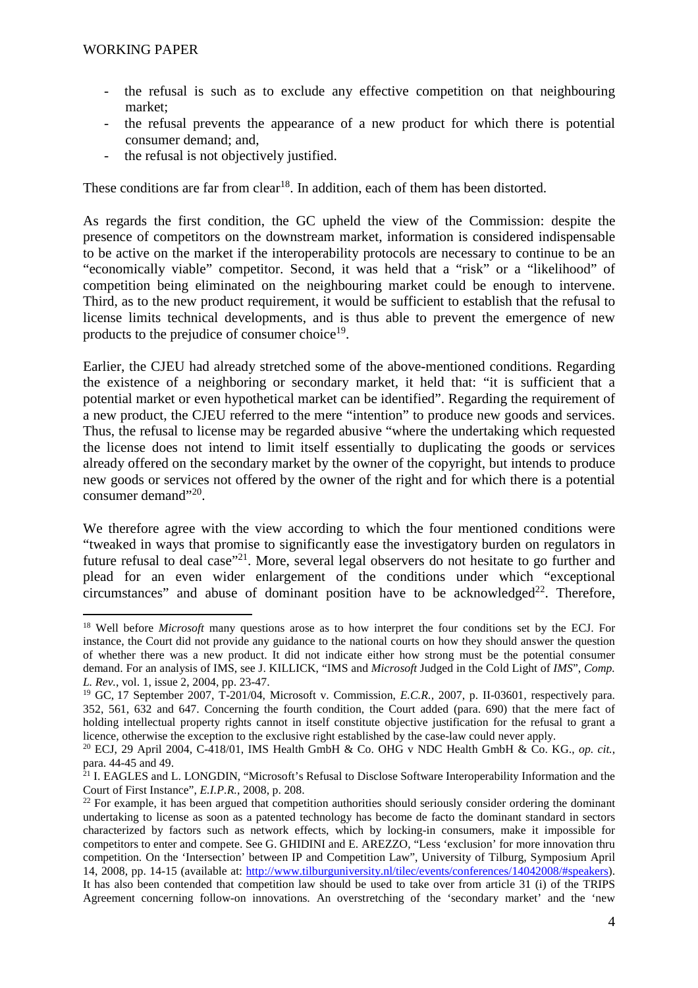- the refusal is such as to exclude any effective competition on that neighbouring market;
- the refusal prevents the appearance of a new product for which there is potential consumer demand; and,
- the refusal is not objectively justified.

These conditions are far from clear<sup>18</sup>. In addition, each of them has been distorted.

As regards the first condition, the GC upheld the view of the Commission: despite the presence of competitors on the downstream market, information is considered indispensable to be active on the market if the interoperability protocols are necessary to continue to be an "economically viable" competitor. Second, it was held that a "risk" or a "likelihood" of competition being eliminated on the neighbouring market could be enough to intervene. Third, as to the new product requirement, it would be sufficient to establish that the refusal to license limits technical developments, and is thus able to prevent the emergence of new products to the prejudice of consumer choice<sup>19</sup>.

Earlier, the CJEU had already stretched some of the above-mentioned conditions. Regarding the existence of a neighboring or secondary market, it held that: "it is sufficient that a potential market or even hypothetical market can be identified". Regarding the requirement of a new product, the CJEU referred to the mere "intention" to produce new goods and services. Thus, the refusal to license may be regarded abusive "where the undertaking which requested the license does not intend to limit itself essentially to duplicating the goods or services already offered on the secondary market by the owner of the copyright, but intends to produce new goods or services not offered by the owner of the right and for which there is a potential consumer demand"<sup>20</sup>.

We therefore agree with the view according to which the four mentioned conditions were "tweaked in ways that promise to significantly ease the investigatory burden on regulators in future refusal to deal case"<sup>21</sup>. More, several legal observers do not hesitate to go further and plead for an even wider enlargement of the conditions under which "exceptional circumstances" and abuse of dominant position have to be acknowledged<sup>22</sup>. Therefore,

<sup>18</sup> Well before *Microsoft* many questions arose as to how interpret the four conditions set by the ECJ. For instance, the Court did not provide any guidance to the national courts on how they should answer the question of whether there was a new product. It did not indicate either how strong must be the potential consumer demand. For an analysis of IMS, see J. KILLICK, "IMS and *Microsoft* Judged in the Cold Light of *IMS*", *Comp. L. Rev.*, vol. 1, issue 2, 2004, pp. 23-47.

<sup>19</sup> GC, 17 September 2007, T-201/04, Microsoft v. Commission, *E.C.R.,* 2007, p. II-03601*,* respectively para. 352, 561, 632 and 647. Concerning the fourth condition, the Court added (para. 690) that the mere fact of holding intellectual property rights cannot in itself constitute objective justification for the refusal to grant a licence, otherwise the exception to the exclusive right established by the case-law could never apply.

<sup>20</sup> ECJ, 29 April 2004, C-418/01, IMS Health GmbH & Co. OHG v NDC Health GmbH & Co. KG., *op. cit.*, para. 44-45 and 49.

<sup>&</sup>lt;sup>21</sup> I. EAGLES and L. LONGDIN, "Microsoft's Refusal to Disclose Software Interoperability Information and the Court of First Instance", *E.I.P.R.*, 2008, p. 208.

 $^{22}$  For example, it has been argued that competition authorities should seriously consider ordering the dominant undertaking to license as soon as a patented technology has become de facto the dominant standard in sectors characterized by factors such as network effects, which by locking-in consumers, make it impossible for competitors to enter and compete. See G. GHIDINI and E. AREZZO, "Less 'exclusion' for more innovation thru competition. On the 'Intersection' between IP and Competition Law", University of Tilburg, Symposium April 14, 2008, pp. 14-15 (available at: http://www.tilburguniversity.nl/tilec/events/conferences/14042008/#speakers). It has also been contended that competition law should be used to take over from article 31 (i) of the TRIPS Agreement concerning follow-on innovations. An overstretching of the 'secondary market' and the 'new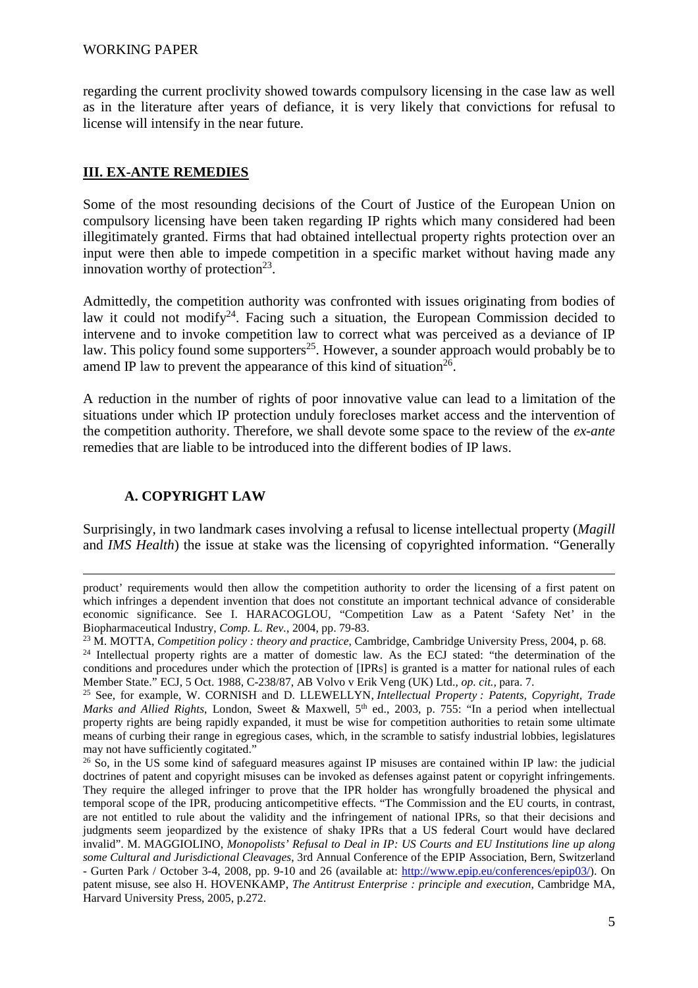regarding the current proclivity showed towards compulsory licensing in the case law as well as in the literature after years of defiance, it is very likely that convictions for refusal to license will intensify in the near future.

### **III. EX-ANTE REMEDIES**

Some of the most resounding decisions of the Court of Justice of the European Union on compulsory licensing have been taken regarding IP rights which many considered had been illegitimately granted. Firms that had obtained intellectual property rights protection over an input were then able to impede competition in a specific market without having made any innovation worthy of protection<sup>23</sup>.

Admittedly, the competition authority was confronted with issues originating from bodies of law it could not modify<sup>24</sup>. Facing such a situation, the European Commission decided to intervene and to invoke competition law to correct what was perceived as a deviance of IP law. This policy found some supporters<sup>25</sup>. However, a sounder approach would probably be to amend IP law to prevent the appearance of this kind of situation<sup>26</sup>.

A reduction in the number of rights of poor innovative value can lead to a limitation of the situations under which IP protection unduly forecloses market access and the intervention of the competition authority. Therefore, we shall devote some space to the review of the *ex-ante*  remedies that are liable to be introduced into the different bodies of IP laws.

# **A. COPYRIGHT LAW**

<u>.</u>

Surprisingly, in two landmark cases involving a refusal to license intellectual property (*Magill*  and *IMS Health*) the issue at stake was the licensing of copyrighted information. "Generally

product' requirements would then allow the competition authority to order the licensing of a first patent on which infringes a dependent invention that does not constitute an important technical advance of considerable economic significance. See I. HARACOGLOU, "Competition Law as a Patent 'Safety Net' in the Biopharmaceutical Industry, *Comp. L. Rev.*, 2004, pp. 79-83.

<sup>23</sup> M. MOTTA, *Competition policy : theory and practice*, Cambridge, Cambridge University Press, 2004, p. 68.

<sup>&</sup>lt;sup>24</sup> Intellectual property rights are a matter of domestic law. As the ECJ stated: "the determination of the conditions and procedures under which the protection of [IPRs] is granted is a matter for national rules of each Member State." ECJ, 5 Oct. 1988, C-238/87, AB Volvo v Erik Veng (UK) Ltd., *op. cit.,* para. 7.

<sup>25</sup> See, for example, W. CORNISH and D. LLEWELLYN, *Intellectual Property : Patents, Copyright, Trade Marks and Allied Rights*, London, Sweet & Maxwell, 5<sup>th</sup> ed., 2003, p. 755: "In a period when intellectual property rights are being rapidly expanded, it must be wise for competition authorities to retain some ultimate means of curbing their range in egregious cases, which, in the scramble to satisfy industrial lobbies, legislatures may not have sufficiently cogitated."

<sup>&</sup>lt;sup>26</sup> So, in the US some kind of safeguard measures against IP misuses are contained within IP law: the judicial doctrines of patent and copyright misuses can be invoked as defenses against patent or copyright infringements. They require the alleged infringer to prove that the IPR holder has wrongfully broadened the physical and temporal scope of the IPR, producing anticompetitive effects. "The Commission and the EU courts, in contrast, are not entitled to rule about the validity and the infringement of national IPRs, so that their decisions and judgments seem jeopardized by the existence of shaky IPRs that a US federal Court would have declared invalid". M. MAGGIOLINO, *Monopolists' Refusal to Deal in IP: US Courts and EU Institutions line up along some Cultural and Jurisdictional Cleavages*, 3rd Annual Conference of the EPIP Association, Bern, Switzerland - Gurten Park / October 3-4, 2008, pp. 9-10 and 26 (available at: http://www.epip.eu/conferences/epip03/). On patent misuse, see also H. HOVENKAMP, *The Antitrust Enterprise : principle and execution*, Cambridge MA, Harvard University Press, 2005, p.272.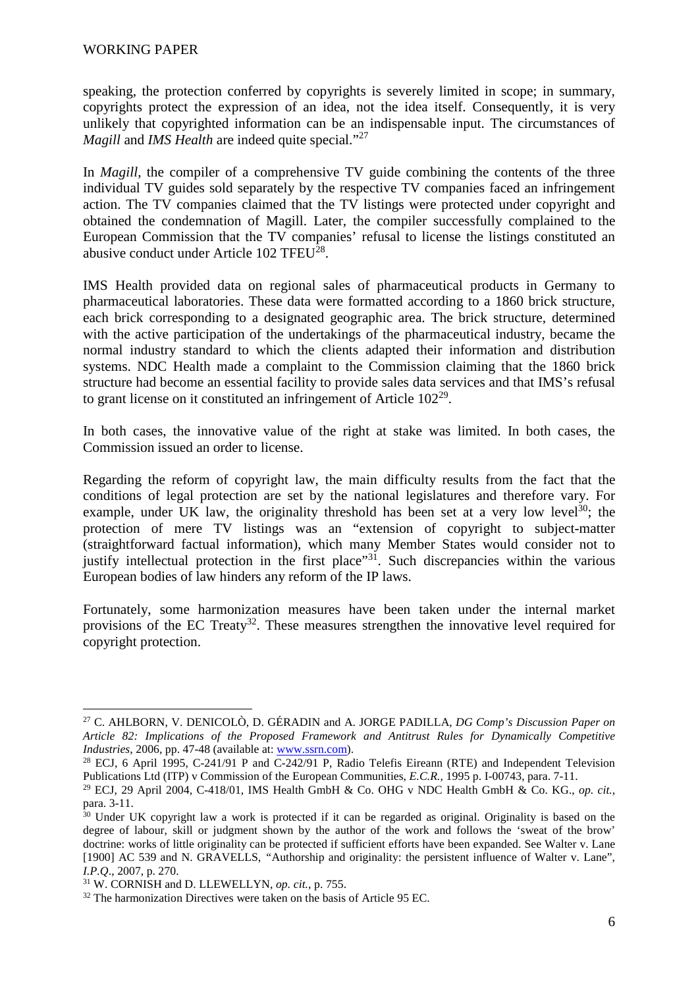speaking, the protection conferred by copyrights is severely limited in scope; in summary, copyrights protect the expression of an idea, not the idea itself. Consequently, it is very unlikely that copyrighted information can be an indispensable input. The circumstances of *Magill and IMS Health are indeed quite special.*"<sup>27</sup>

In *Magill*, the compiler of a comprehensive TV guide combining the contents of the three individual TV guides sold separately by the respective TV companies faced an infringement action. The TV companies claimed that the TV listings were protected under copyright and obtained the condemnation of Magill. Later, the compiler successfully complained to the European Commission that the TV companies' refusal to license the listings constituted an abusive conduct under Article 102 TFEU<sup>28</sup>.

IMS Health provided data on regional sales of pharmaceutical products in Germany to pharmaceutical laboratories. These data were formatted according to a 1860 brick structure, each brick corresponding to a designated geographic area. The brick structure, determined with the active participation of the undertakings of the pharmaceutical industry, became the normal industry standard to which the clients adapted their information and distribution systems. NDC Health made a complaint to the Commission claiming that the 1860 brick structure had become an essential facility to provide sales data services and that IMS's refusal to grant license on it constituted an infringement of Article  $102^{29}$ .

In both cases, the innovative value of the right at stake was limited. In both cases, the Commission issued an order to license.

Regarding the reform of copyright law, the main difficulty results from the fact that the conditions of legal protection are set by the national legislatures and therefore vary. For example, under UK law, the originality threshold has been set at a very low level<sup>30</sup>; the protection of mere TV listings was an "extension of copyright to subject-matter (straightforward factual information), which many Member States would consider not to justify intellectual protection in the first place"<sup>31</sup>. Such discrepancies within the various European bodies of law hinders any reform of the IP laws.

Fortunately, some harmonization measures have been taken under the internal market provisions of the EC Treaty<sup>32</sup>. These measures strengthen the innovative level required for copyright protection.

 $\overline{a}$ <sup>27</sup> C. AHLBORN, V. DENICOLÒ, D. GÉRADIN and A. JORGE PADILLA, *DG Comp's Discussion Paper on Article 82: Implications of the Proposed Framework and Antitrust Rules for Dynamically Competitive Industries*, 2006, pp. 47-48 (available at: www.ssrn.com).

<sup>&</sup>lt;sup>28</sup> ECJ, 6 April 1995, C-241/91 P and C-242/91 P, Radio Telefis Eireann (RTE) and Independent Television Publications Ltd (ITP) v Commission of the European Communities, *E.C.R.,* 1995 p. I-00743, para. 7-11.

<sup>29</sup> ECJ, 29 April 2004, C-418/01, IMS Health GmbH & Co. OHG v NDC Health GmbH & Co. KG., *op. cit.*, para. 3-11.

 $30$  Under UK copyright law a work is protected if it can be regarded as original. Originality is based on the degree of labour, skill or judgment shown by the author of the work and follows the 'sweat of the brow' doctrine: works of little originality can be protected if sufficient efforts have been expanded. See Walter v. Lane [1900] AC 539 and N. GRAVELLS, *"*Authorship and originality: the persistent influence of Walter v. Lane", *I.P.Q*., 2007, p. 270.

<sup>31</sup> W. CORNISH and D. LLEWELLYN, *op. cit.*, p. 755.

<sup>&</sup>lt;sup>32</sup> The harmonization Directives were taken on the basis of Article 95 EC.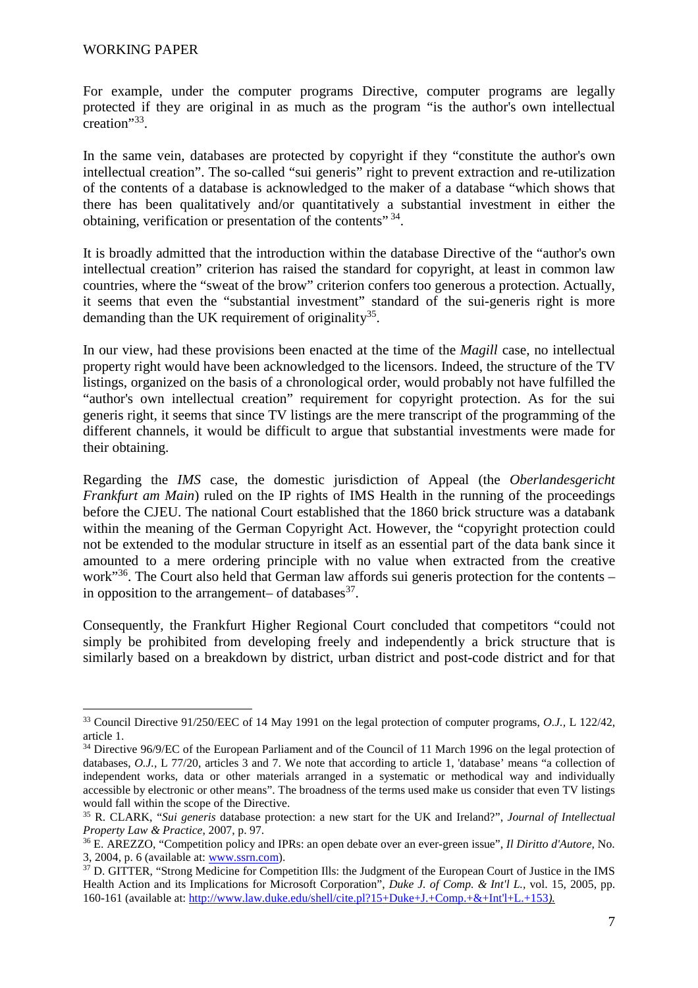For example, under the computer programs Directive, computer programs are legally protected if they are original in as much as the program "is the author's own intellectual creation"<sup>33</sup> .

In the same vein, databases are protected by copyright if they "constitute the author's own intellectual creation". The so-called "sui generis" right to prevent extraction and re-utilization of the contents of a database is acknowledged to the maker of a database "which shows that there has been qualitatively and/or quantitatively a substantial investment in either the obtaining, verification or presentation of the contents" 34.

It is broadly admitted that the introduction within the database Directive of the "author's own intellectual creation" criterion has raised the standard for copyright, at least in common law countries, where the "sweat of the brow" criterion confers too generous a protection. Actually, it seems that even the "substantial investment" standard of the sui-generis right is more demanding than the UK requirement of originality $35$ .

In our view, had these provisions been enacted at the time of the *Magill* case, no intellectual property right would have been acknowledged to the licensors. Indeed, the structure of the TV listings, organized on the basis of a chronological order, would probably not have fulfilled the "author's own intellectual creation" requirement for copyright protection. As for the sui generis right, it seems that since TV listings are the mere transcript of the programming of the different channels, it would be difficult to argue that substantial investments were made for their obtaining.

Regarding the *IMS* case, the domestic jurisdiction of Appeal (the *Oberlandesgericht Frankfurt am Main*) ruled on the IP rights of IMS Health in the running of the proceedings before the CJEU. The national Court established that the 1860 brick structure was a databank within the meaning of the German Copyright Act. However, the "copyright protection could not be extended to the modular structure in itself as an essential part of the data bank since it amounted to a mere ordering principle with no value when extracted from the creative work<sup>"36</sup>. The Court also held that German law affords sui generis protection for the contents – in opposition to the arrangement- of databases $^{37}$ .

Consequently, the Frankfurt Higher Regional Court concluded that competitors "could not simply be prohibited from developing freely and independently a brick structure that is similarly based on a breakdown by district, urban district and post-code district and for that

 $\overline{a}$ <sup>33</sup> Council Directive 91/250/EEC of 14 May 1991 on the legal protection of computer programs, *O.J.,* L 122/42, article 1.

<sup>&</sup>lt;sup>34</sup> Directive 96/9/EC of the European Parliament and of the Council of 11 March 1996 on the legal protection of databases, *O.J.,* L 77/20, articles 3 and 7. We note that according to article 1, 'database' means "a collection of independent works, data or other materials arranged in a systematic or methodical way and individually accessible by electronic or other means". The broadness of the terms used make us consider that even TV listings would fall within the scope of the Directive.

<sup>35</sup> R. CLARK, "*Sui generis* database protection: a new start for the UK and Ireland?", *Journal of Intellectual Property Law & Practice*, 2007, p. 97.

<sup>36</sup> E. AREZZO, "Competition policy and IPRs: an open debate over an ever-green issue", *Il Diritto d'Autore,* No. 3, 2004, p. 6 (available at: www.ssrn.com).

<sup>&</sup>lt;sup>37</sup> D. GITTER, "Strong Medicine for Competition Ills: the Judgment of the European Court of Justice in the IMS Health Action and its Implications for Microsoft Corporation", *Duke J. of Comp. & Int'l L.,* vol. 15, 2005, pp. 160-161 (available at: http://www.law.duke.edu/shell/cite.pl?15+Duke+J.+Comp.+&+Int'l+L.+153*).*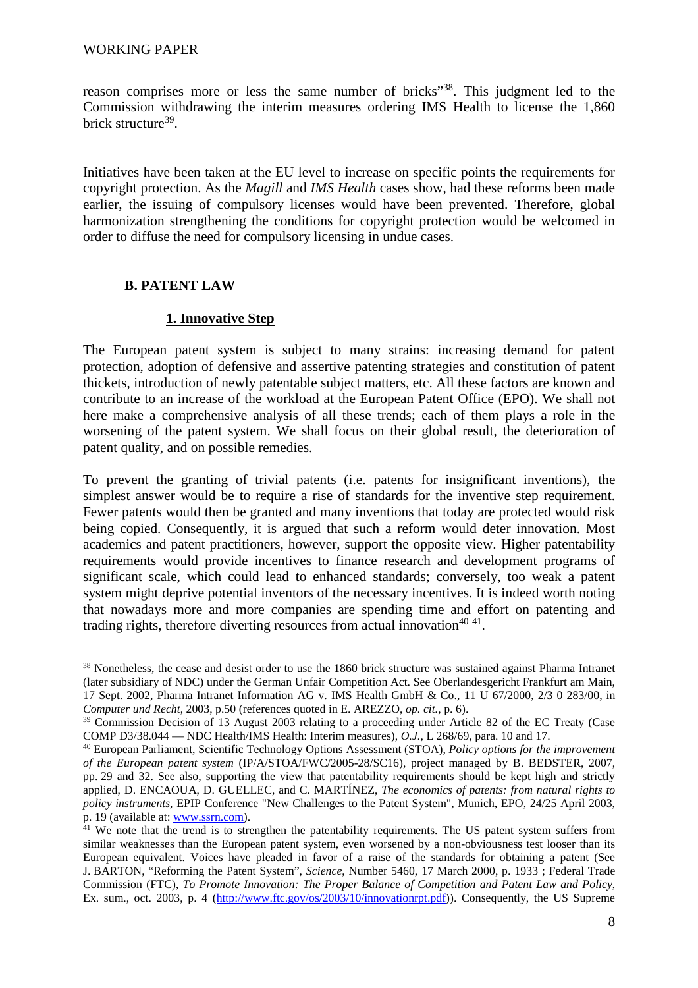#### WORKING PAPER

reason comprises more or less the same number of bricks"<sup>38</sup>. This judgment led to the Commission withdrawing the interim measures ordering IMS Health to license the 1,860 brick structure<sup>39</sup>.

Initiatives have been taken at the EU level to increase on specific points the requirements for copyright protection. As the *Magill* and *IMS Health* cases show, had these reforms been made earlier, the issuing of compulsory licenses would have been prevented. Therefore, global harmonization strengthening the conditions for copyright protection would be welcomed in order to diffuse the need for compulsory licensing in undue cases.

### **B. PATENT LAW**

### **1. Innovative Step**

The European patent system is subject to many strains: increasing demand for patent protection, adoption of defensive and assertive patenting strategies and constitution of patent thickets, introduction of newly patentable subject matters, etc. All these factors are known and contribute to an increase of the workload at the European Patent Office (EPO). We shall not here make a comprehensive analysis of all these trends; each of them plays a role in the worsening of the patent system. We shall focus on their global result, the deterioration of patent quality, and on possible remedies.

To prevent the granting of trivial patents (i.e. patents for insignificant inventions), the simplest answer would be to require a rise of standards for the inventive step requirement. Fewer patents would then be granted and many inventions that today are protected would risk being copied. Consequently, it is argued that such a reform would deter innovation. Most academics and patent practitioners, however, support the opposite view. Higher patentability requirements would provide incentives to finance research and development programs of significant scale, which could lead to enhanced standards; conversely, too weak a patent system might deprive potential inventors of the necessary incentives. It is indeed worth noting that nowadays more and more companies are spending time and effort on patenting and trading rights, therefore diverting resources from actual innovation<sup>40 41</sup>.

 $\overline{a}$ <sup>38</sup> Nonetheless, the cease and desist order to use the 1860 brick structure was sustained against Pharma Intranet (later subsidiary of NDC) under the German Unfair Competition Act. See Oberlandesgericht Frankfurt am Main, 17 Sept. 2002, Pharma Intranet Information AG v. IMS Health GmbH & Co., 11 U 67/2000, 2/3 0 283/00, in *Computer und Recht*, 2003, p.50 (references quoted in E. AREZZO, *op. cit.*, p. 6).

<sup>&</sup>lt;sup>39</sup> Commission Decision of 13 August 2003 relating to a proceeding under Article 82 of the EC Treaty (Case COMP D3/38.044 — NDC Health/IMS Health: Interim measures), *O.J.,* L 268/69, para. 10 and 17.

<sup>40</sup> European Parliament, Scientific Technology Options Assessment (STOA), *Policy options for the improvement of the European patent system* (IP/A/STOA/FWC/2005-28/SC16), project managed by B. BEDSTER, 2007, pp. 29 and 32. See also, supporting the view that patentability requirements should be kept high and strictly applied, D. ENCAOUA, D. GUELLEC, and C. MARTÍNEZ, *The economics of patents: from natural rights to policy instruments*, EPIP Conference "New Challenges to the Patent System", Munich, EPO, 24/25 April 2003, p. 19 (available at: www.ssrn.com).

<sup>&</sup>lt;sup>41</sup> We note that the trend is to strengthen the patentability requirements. The US patent system suffers from similar weaknesses than the European patent system, even worsened by a non-obviousness test looser than its European equivalent. Voices have pleaded in favor of a raise of the standards for obtaining a patent (See J. BARTON, "Reforming the Patent System", *Science*, Number 5460, 17 March 2000, p. 1933 ; Federal Trade Commission (FTC), *To Promote Innovation: The Proper Balance of Competition and Patent Law and Policy*, Ex. sum., oct. 2003, p. 4 (http://www.ftc.gov/os/2003/10/innovationrpt.pdf)). Consequently, the US Supreme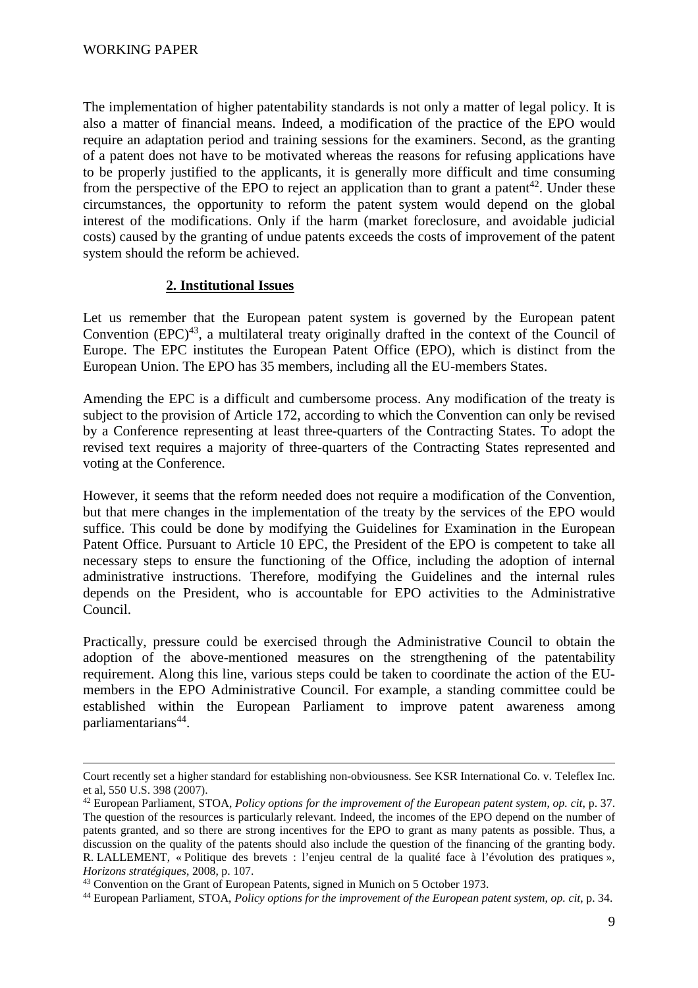-

The implementation of higher patentability standards is not only a matter of legal policy. It is also a matter of financial means. Indeed, a modification of the practice of the EPO would require an adaptation period and training sessions for the examiners. Second, as the granting of a patent does not have to be motivated whereas the reasons for refusing applications have to be properly justified to the applicants, it is generally more difficult and time consuming from the perspective of the EPO to reject an application than to grant a patent<sup>42</sup>. Under these circumstances, the opportunity to reform the patent system would depend on the global interest of the modifications. Only if the harm (market foreclosure, and avoidable judicial costs) caused by the granting of undue patents exceeds the costs of improvement of the patent system should the reform be achieved.

### **2. Institutional Issues**

Let us remember that the European patent system is governed by the European patent Convention  $EPC)^{43}$ , a multilateral treaty originally drafted in the context of the Council of Europe. The EPC institutes the European Patent Office (EPO), which is distinct from the European Union. The EPO has 35 members, including all the EU-members States.

Amending the EPC is a difficult and cumbersome process. Any modification of the treaty is subject to the provision of Article 172, according to which the Convention can only be revised by a Conference representing at least three-quarters of the Contracting States. To adopt the revised text requires a majority of three-quarters of the Contracting States represented and voting at the Conference.

However, it seems that the reform needed does not require a modification of the Convention, but that mere changes in the implementation of the treaty by the services of the EPO would suffice. This could be done by modifying the Guidelines for Examination in the European Patent Office. Pursuant to Article 10 EPC, the President of the EPO is competent to take all necessary steps to ensure the functioning of the Office, including the adoption of internal administrative instructions. Therefore, modifying the Guidelines and the internal rules depends on the President, who is accountable for EPO activities to the Administrative Council.

Practically, pressure could be exercised through the Administrative Council to obtain the adoption of the above-mentioned measures on the strengthening of the patentability requirement. Along this line, various steps could be taken to coordinate the action of the EUmembers in the EPO Administrative Council. For example, a standing committee could be established within the European Parliament to improve patent awareness among parliamentarians<sup>44</sup>.

Court recently set a higher standard for establishing non-obviousness. See KSR International Co. v. Teleflex Inc. et al, 550 U.S. 398 (2007).

<sup>42</sup> European Parliament, STOA, *Policy options for the improvement of the European patent system*, *op. cit*, p. 37. The question of the resources is particularly relevant. Indeed, the incomes of the EPO depend on the number of patents granted, and so there are strong incentives for the EPO to grant as many patents as possible. Thus, a discussion on the quality of the patents should also include the question of the financing of the granting body. R. LALLEMENT, « Politique des brevets : l'enjeu central de la qualité face à l'évolution des pratiques », *Horizons stratégiques*, 2008, p. 107.

<sup>43</sup> Convention on the Grant of European Patents, signed in Munich on 5 October 1973.

<sup>44</sup> European Parliament, STOA, *Policy options for the improvement of the European patent system*, *op. cit*, p. 34.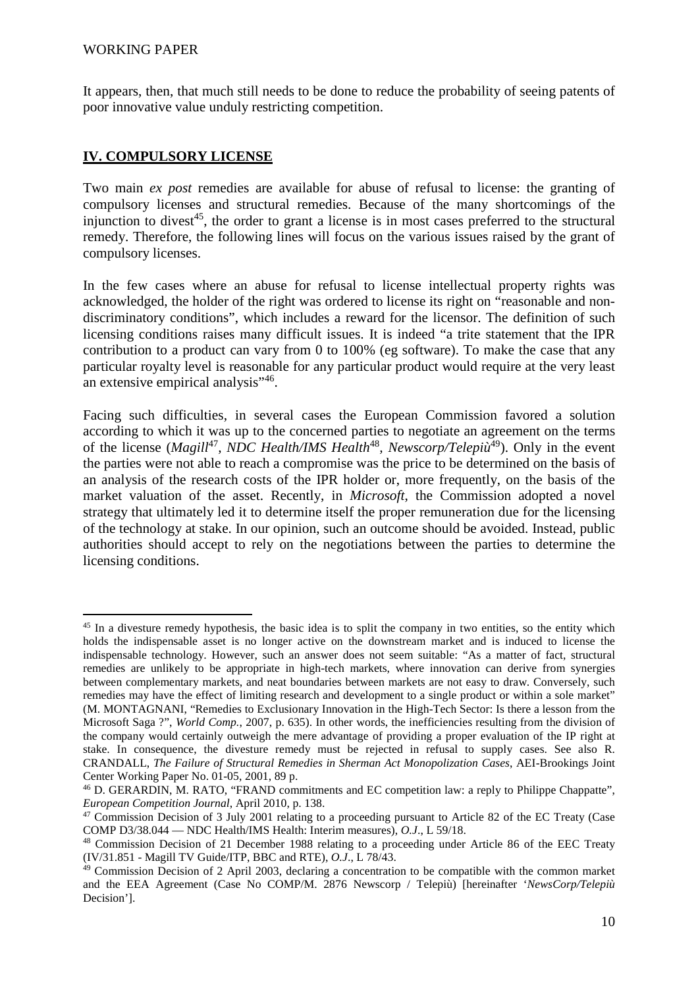#### WORKING PAPER

 $\overline{a}$ 

It appears, then, that much still needs to be done to reduce the probability of seeing patents of poor innovative value unduly restricting competition.

### **IV. COMPULSORY LICENSE**

Two main *ex post* remedies are available for abuse of refusal to license: the granting of compulsory licenses and structural remedies. Because of the many shortcomings of the injunction to divest<sup>45</sup>, the order to grant a license is in most cases preferred to the structural remedy. Therefore, the following lines will focus on the various issues raised by the grant of compulsory licenses.

In the few cases where an abuse for refusal to license intellectual property rights was acknowledged, the holder of the right was ordered to license its right on "reasonable and nondiscriminatory conditions", which includes a reward for the licensor. The definition of such licensing conditions raises many difficult issues. It is indeed "a trite statement that the IPR contribution to a product can vary from 0 to 100% (eg software). To make the case that any particular royalty level is reasonable for any particular product would require at the very least an extensive empirical analysis"<sup>46</sup>.

Facing such difficulties, in several cases the European Commission favored a solution according to which it was up to the concerned parties to negotiate an agreement on the terms of the license (*Magill*<sup>47</sup>, *NDC Health/IMS Health*<sup>48</sup>, *Newscorp/Telepiù*<sup>49</sup>). Only in the event the parties were not able to reach a compromise was the price to be determined on the basis of an analysis of the research costs of the IPR holder or, more frequently, on the basis of the market valuation of the asset. Recently, in *Microsoft*, the Commission adopted a novel strategy that ultimately led it to determine itself the proper remuneration due for the licensing of the technology at stake. In our opinion, such an outcome should be avoided. Instead, public authorities should accept to rely on the negotiations between the parties to determine the licensing conditions.

<sup>&</sup>lt;sup>45</sup> In a divesture remedy hypothesis, the basic idea is to split the company in two entities, so the entity which holds the indispensable asset is no longer active on the downstream market and is induced to license the indispensable technology. However, such an answer does not seem suitable: "As a matter of fact, structural remedies are unlikely to be appropriate in high-tech markets, where innovation can derive from synergies between complementary markets, and neat boundaries between markets are not easy to draw. Conversely, such remedies may have the effect of limiting research and development to a single product or within a sole market" (M. MONTAGNANI, "Remedies to Exclusionary Innovation in the High-Tech Sector: Is there a lesson from the Microsoft Saga ?", *World Comp.*, 2007, p. 635). In other words, the inefficiencies resulting from the division of the company would certainly outweigh the mere advantage of providing a proper evaluation of the IP right at stake. In consequence, the divesture remedy must be rejected in refusal to supply cases. See also R. CRANDALL, *The Failure of Structural Remedies in Sherman Act Monopolization Cases*, AEI-Brookings Joint Center Working Paper No. 01-05, 2001, 89 p.

<sup>46</sup> D. GERARDIN, M. RATO, "FRAND commitments and EC competition law: a reply to Philippe Chappatte", *European Competition Journal*, April 2010, p. 138.

<sup>&</sup>lt;sup>47</sup> Commission Decision of 3 July 2001 relating to a proceeding pursuant to Article 82 of the EC Treaty (Case COMP D3/38.044 — NDC Health/IMS Health: Interim measures), *O.J*., L 59/18.

<sup>48</sup> Commission Decision of 21 December 1988 relating to a proceeding under Article 86 of the EEC Treaty (IV/31.851 - Magill TV Guide/ITP, BBC and RTE), *O.J*., L 78/43.

<sup>49</sup> Commission Decision of 2 April 2003, declaring a concentration to be compatible with the common market and the EEA Agreement (Case No COMP/M. 2876 Newscorp / Telepiù) [hereinafter '*NewsCorp/Telepiù* Decision'].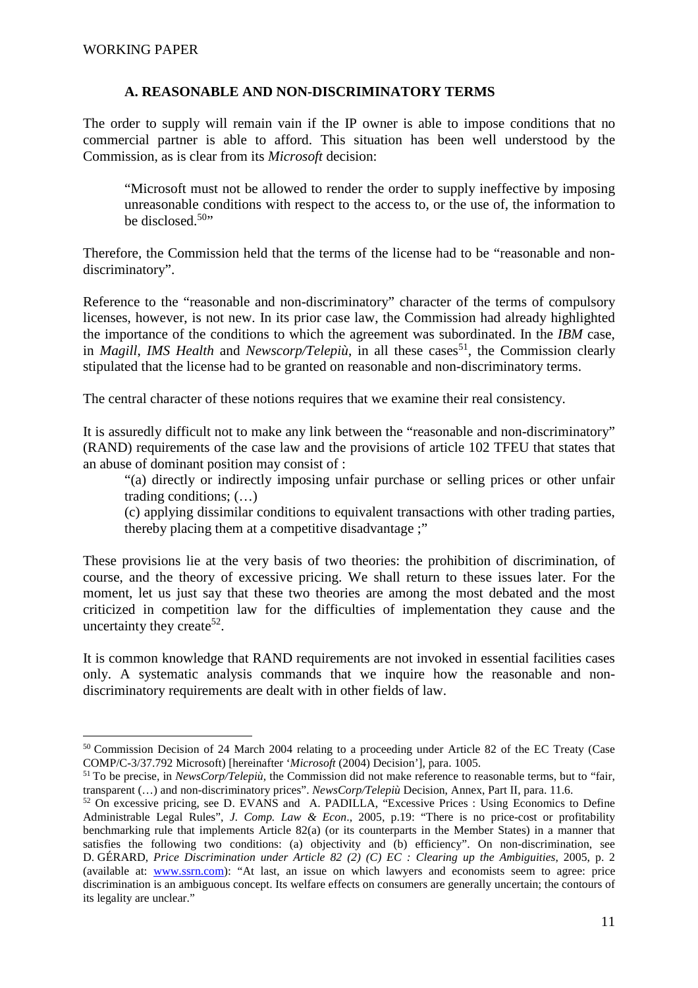### **A. REASONABLE AND NON-DISCRIMINATORY TERMS**

The order to supply will remain vain if the IP owner is able to impose conditions that no commercial partner is able to afford. This situation has been well understood by the Commission, as is clear from its *Microsoft* decision:

"Microsoft must not be allowed to render the order to supply ineffective by imposing unreasonable conditions with respect to the access to, or the use of, the information to be disclosed  $50$ "

Therefore, the Commission held that the terms of the license had to be "reasonable and nondiscriminatory".

Reference to the "reasonable and non-discriminatory" character of the terms of compulsory licenses, however, is not new. In its prior case law, the Commission had already highlighted the importance of the conditions to which the agreement was subordinated. In the *IBM* case, in *Magill*, *IMS* Health and *Newscorp/Telepiù*, in all these cases<sup>51</sup>, the Commission clearly stipulated that the license had to be granted on reasonable and non-discriminatory terms.

The central character of these notions requires that we examine their real consistency.

It is assuredly difficult not to make any link between the "reasonable and non-discriminatory" (RAND) requirements of the case law and the provisions of article 102 TFEU that states that an abuse of dominant position may consist of :

"(a) directly or indirectly imposing unfair purchase or selling prices or other unfair trading conditions; (…)

(c) applying dissimilar conditions to equivalent transactions with other trading parties, thereby placing them at a competitive disadvantage ;"

These provisions lie at the very basis of two theories: the prohibition of discrimination, of course, and the theory of excessive pricing. We shall return to these issues later. For the moment, let us just say that these two theories are among the most debated and the most criticized in competition law for the difficulties of implementation they cause and the uncertainty they create<sup>52</sup>.

It is common knowledge that RAND requirements are not invoked in essential facilities cases only. A systematic analysis commands that we inquire how the reasonable and nondiscriminatory requirements are dealt with in other fields of law.

 $\overline{a}$ <sup>50</sup> Commission Decision of 24 March 2004 relating to a proceeding under Article 82 of the EC Treaty (Case COMP/C-3/37.792 Microsoft) [hereinafter '*Microsoft* (2004) Decision'], para. 1005.

<sup>&</sup>lt;sup>51</sup>To be precise, in *NewsCorp/Telepiù*, the Commission did not make reference to reasonable terms, but to "fair, transparent (…) and non-discriminatory prices". *NewsCorp/Telepiù* Decision, Annex, Part II, para. 11.6.

<sup>&</sup>lt;sup>52</sup> On excessive pricing, see D. EVANS and A. PADILLA, "Excessive Prices : Using Economics to Define Administrable Legal Rules", *J. Comp. Law & Econ*., 2005, p.19: "There is no price-cost or profitability benchmarking rule that implements Article 82(a) (or its counterparts in the Member States) in a manner that satisfies the following two conditions: (a) objectivity and (b) efficiency". On non-discrimination, see D. GÉRARD, *Price Discrimination under Article 82 (2) (C) EC : Clearing up the Ambiguities*, 2005, p. 2 (available at: www.ssrn.com): "At last, an issue on which lawyers and economists seem to agree: price discrimination is an ambiguous concept. Its welfare effects on consumers are generally uncertain; the contours of its legality are unclear."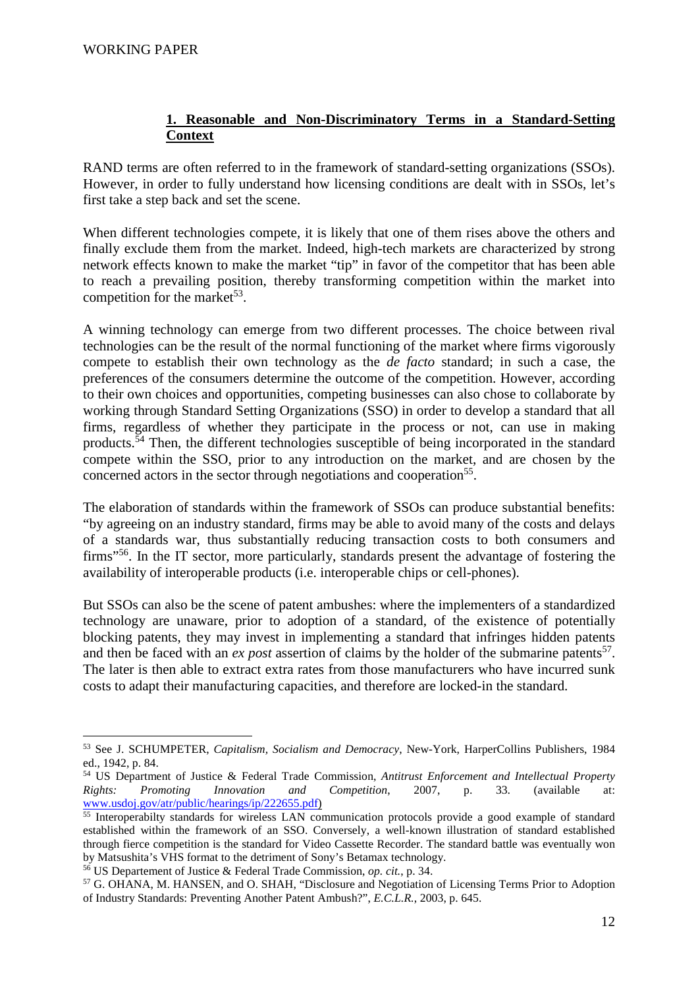## **1. Reasonable and Non-Discriminatory Terms in a Standard-Setting Context**

RAND terms are often referred to in the framework of standard-setting organizations (SSOs). However, in order to fully understand how licensing conditions are dealt with in SSOs, let's first take a step back and set the scene.

When different technologies compete, it is likely that one of them rises above the others and finally exclude them from the market. Indeed, high-tech markets are characterized by strong network effects known to make the market "tip" in favor of the competitor that has been able to reach a prevailing position, thereby transforming competition within the market into competition for the market<sup>53</sup>.

A winning technology can emerge from two different processes. The choice between rival technologies can be the result of the normal functioning of the market where firms vigorously compete to establish their own technology as the *de facto* standard; in such a case, the preferences of the consumers determine the outcome of the competition. However, according to their own choices and opportunities, competing businesses can also chose to collaborate by working through Standard Setting Organizations (SSO) in order to develop a standard that all firms, regardless of whether they participate in the process or not, can use in making products.<sup> $54$ </sup> Then, the different technologies susceptible of being incorporated in the standard compete within the SSO, prior to any introduction on the market, and are chosen by the concerned actors in the sector through negotiations and cooperation<sup>55</sup>.

The elaboration of standards within the framework of SSOs can produce substantial benefits: "by agreeing on an industry standard, firms may be able to avoid many of the costs and delays of a standards war, thus substantially reducing transaction costs to both consumers and firms"<sup>56</sup>. In the IT sector, more particularly, standards present the advantage of fostering the availability of interoperable products (i.e. interoperable chips or cell-phones).

But SSOs can also be the scene of patent ambushes: where the implementers of a standardized technology are unaware, prior to adoption of a standard, of the existence of potentially blocking patents, they may invest in implementing a standard that infringes hidden patents and then be faced with an  $ex$  *post* assertion of claims by the holder of the submarine patents<sup>57</sup>. The later is then able to extract extra rates from those manufacturers who have incurred sunk costs to adapt their manufacturing capacities, and therefore are locked-in the standard.

 $\overline{a}$ <sup>53</sup> See J. SCHUMPETER, *Capitalism, Socialism and Democracy*, New-York, HarperCollins Publishers, 1984 ed., 1942, p. 84.

<sup>54</sup> US Department of Justice & Federal Trade Commission, *Antitrust Enforcement and Intellectual Property Rights: Promoting Innovation and Competition*, 2007, p. 33. (available at: www.usdoj.gov/atr/public/hearings/ip/222655.pdf)

<sup>&</sup>lt;sup>55</sup> Interoperabilty standards for wireless LAN communication protocols provide a good example of standard established within the framework of an SSO. Conversely, a well-known illustration of standard established through fierce competition is the standard for Video Cassette Recorder. The standard battle was eventually won by Matsushita's VHS format to the detriment of Sony's Betamax technology.

<sup>56</sup> US Departement of Justice & Federal Trade Commission, *op. cit.*, p. 34.

<sup>57</sup> G. OHANA, M. HANSEN, and O. SHAH, "Disclosure and Negotiation of Licensing Terms Prior to Adoption of Industry Standards: Preventing Another Patent Ambush?", *E.C.L.R.*, 2003, p. 645.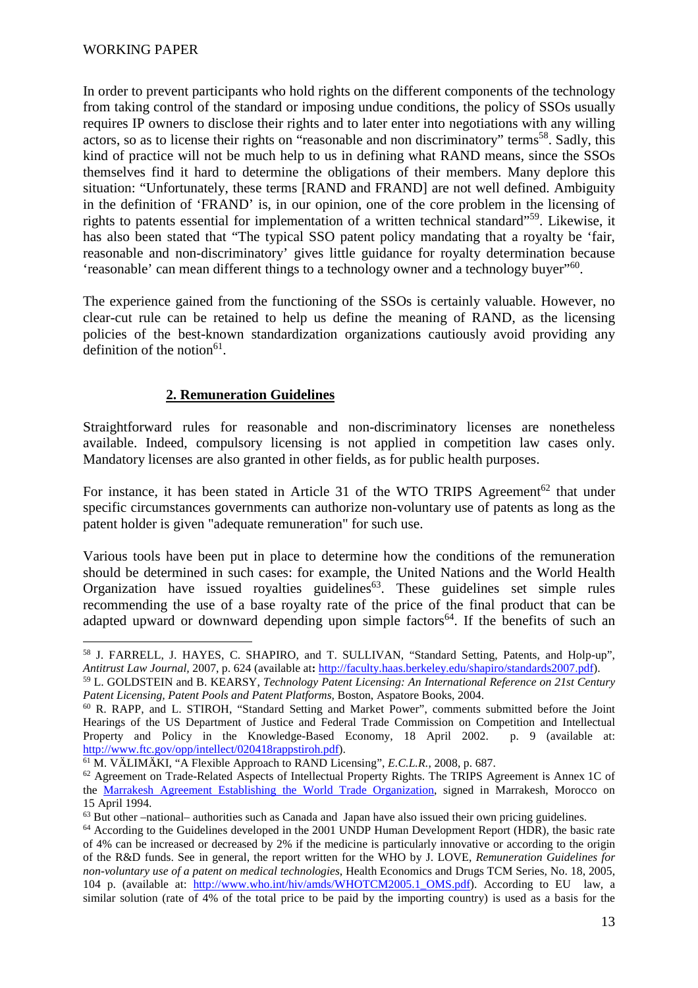In order to prevent participants who hold rights on the different components of the technology from taking control of the standard or imposing undue conditions, the policy of SSOs usually requires IP owners to disclose their rights and to later enter into negotiations with any willing actors, so as to license their rights on "reasonable and non discriminatory" terms<sup>58</sup>. Sadly, this kind of practice will not be much help to us in defining what RAND means, since the SSOs themselves find it hard to determine the obligations of their members. Many deplore this situation: "Unfortunately, these terms [RAND and FRAND] are not well defined. Ambiguity in the definition of 'FRAND' is, in our opinion, one of the core problem in the licensing of rights to patents essential for implementation of a written technical standard"<sup>59</sup>. Likewise, it has also been stated that "The typical SSO patent policy mandating that a royalty be 'fair, reasonable and non-discriminatory' gives little guidance for royalty determination because 'reasonable' can mean different things to a technology owner and a technology buyer"<sup>60</sup>.

The experience gained from the functioning of the SSOs is certainly valuable. However, no clear-cut rule can be retained to help us define the meaning of RAND, as the licensing policies of the best-known standardization organizations cautiously avoid providing any definition of the notion $61$ .

# **2. Remuneration Guidelines**

Straightforward rules for reasonable and non-discriminatory licenses are nonetheless available. Indeed, compulsory licensing is not applied in competition law cases only. Mandatory licenses are also granted in other fields, as for public health purposes.

For instance, it has been stated in Article 31 of the WTO TRIPS Agreement<sup>62</sup> that under specific circumstances governments can authorize non-voluntary use of patents as long as the patent holder is given "adequate remuneration" for such use.

Various tools have been put in place to determine how the conditions of the remuneration should be determined in such cases: for example, the United Nations and the World Health Organization have issued royalties guidelines<sup>63</sup>. These guidelines set simple rules recommending the use of a base royalty rate of the price of the final product that can be adapted upward or downward depending upon simple factors<sup>64</sup>. If the benefits of such an

 $\overline{a}$ <sup>58</sup> J. FARRELL, J. HAYES, C. SHAPIRO, and T. SULLIVAN, "Standard Setting, Patents, and Holp-up", *Antitrust Law Journal,* 2007, p. 624 (available at**:** http://faculty.haas.berkeley.edu/shapiro/standards2007.pdf).

<sup>59</sup> L. GOLDSTEIN and B. KEARSY, *Technology Patent Licensing: An International Reference on 21st Century Patent Licensing, Patent Pools and Patent Platforms,* Boston, Aspatore Books, 2004.

<sup>60</sup> R. RAPP, and L. STIROH, "Standard Setting and Market Power", comments submitted before the Joint Hearings of the US Department of Justice and Federal Trade Commission on Competition and Intellectual Property and Policy in the Knowledge-Based Economy, 18 April 2002. p. 9 (available at: http://www.ftc.gov/opp/intellect/020418rappstiroh.pdf).

<sup>61</sup> M. VÄLIMÄKI, "A Flexible Approach to RAND Licensing", *E.C.L.R.*, 2008, p. 687.

<sup>&</sup>lt;sup>62</sup> Agreement on Trade-Related Aspects of Intellectual Property Rights. The TRIPS Agreement is Annex 1C of the Marrakesh Agreement Establishing the World Trade Organization, signed in Marrakesh, Morocco on 15 April 1994.

<sup>63</sup> But other –national– authorities such as Canada and Japan have also issued their own pricing guidelines.

<sup>64</sup> According to the Guidelines developed in the 2001 UNDP Human Development Report (HDR), the basic rate of 4% can be increased or decreased by 2% if the medicine is particularly innovative or according to the origin of the R&D funds. See in general, the report written for the WHO by J. LOVE, *Remuneration Guidelines for non-voluntary use of a patent on medical technologies*, Health Economics and Drugs TCM Series, No. 18, 2005, 104 p. (available at: http://www.who.int/hiv/amds/WHOTCM2005.1\_OMS.pdf). According to EU law, a similar solution (rate of 4% of the total price to be paid by the importing country) is used as a basis for the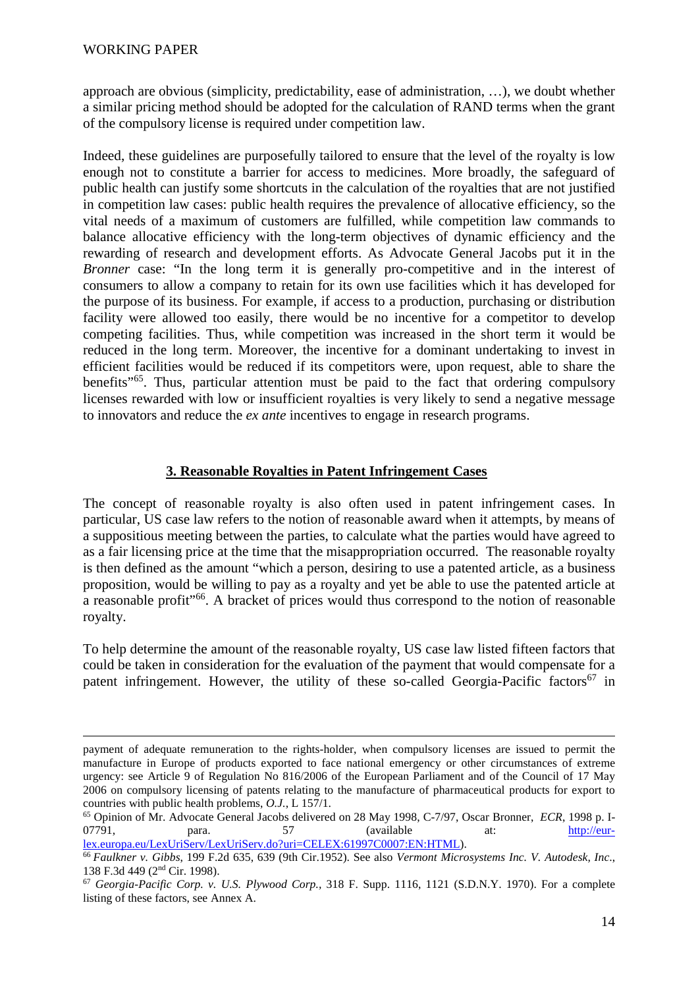<u>.</u>

approach are obvious (simplicity, predictability, ease of administration, …), we doubt whether a similar pricing method should be adopted for the calculation of RAND terms when the grant of the compulsory license is required under competition law.

Indeed, these guidelines are purposefully tailored to ensure that the level of the royalty is low enough not to constitute a barrier for access to medicines. More broadly, the safeguard of public health can justify some shortcuts in the calculation of the royalties that are not justified in competition law cases: public health requires the prevalence of allocative efficiency, so the vital needs of a maximum of customers are fulfilled, while competition law commands to balance allocative efficiency with the long-term objectives of dynamic efficiency and the rewarding of research and development efforts. As Advocate General Jacobs put it in the *Bronner* case: "In the long term it is generally pro-competitive and in the interest of consumers to allow a company to retain for its own use facilities which it has developed for the purpose of its business. For example, if access to a production, purchasing or distribution facility were allowed too easily, there would be no incentive for a competitor to develop competing facilities. Thus, while competition was increased in the short term it would be reduced in the long term. Moreover, the incentive for a dominant undertaking to invest in efficient facilities would be reduced if its competitors were, upon request, able to share the benefits"<sup>65</sup>. Thus, particular attention must be paid to the fact that ordering compulsory licenses rewarded with low or insufficient royalties is very likely to send a negative message to innovators and reduce the *ex ante* incentives to engage in research programs.

### **3. Reasonable Royalties in Patent Infringement Cases**

The concept of reasonable royalty is also often used in patent infringement cases. In particular, US case law refers to the notion of reasonable award when it attempts, by means of a suppositious meeting between the parties, to calculate what the parties would have agreed to as a fair licensing price at the time that the misappropriation occurred. The reasonable royalty is then defined as the amount "which a person, desiring to use a patented article, as a business proposition, would be willing to pay as a royalty and yet be able to use the patented article at a reasonable profit"<sup>66</sup>. A bracket of prices would thus correspond to the notion of reasonable royalty.

To help determine the amount of the reasonable royalty, US case law listed fifteen factors that could be taken in consideration for the evaluation of the payment that would compensate for a patent infringement. However, the utility of these so-called Georgia-Pacific factors<sup>67</sup> in

<sup>66</sup>*Faulkner v. Gibbs*, 199 F.2d 635, 639 (9th Cir.1952). See also *Vermont Microsystems Inc. V. Autodesk, Inc*., 138 F.3d 449 (2nd Cir. 1998).

payment of adequate remuneration to the rights-holder, when compulsory licenses are issued to permit the manufacture in Europe of products exported to face national emergency or other circumstances of extreme urgency: see Article 9 of Regulation No 816/2006 of the European Parliament and of the Council of 17 May 2006 on compulsory licensing of patents relating to the manufacture of pharmaceutical products for export to countries with public health problems, *O.J.*, L 157/1.

<sup>65</sup> Opinion of Mr. Advocate General Jacobs delivered on 28 May 1998, C-7/97, Oscar Bronner, *ECR*, 1998 p. I-07791, para. 57 (available at: http://eurlex.europa.eu/LexUriServ/LexUriServ.do?uri=CELEX:61997C0007:EN:HTML).

<sup>67</sup> *Georgia-Pacific Corp. v. U.S. Plywood Corp.,* 318 F. Supp. 1116, 1121 (S.D.N.Y. 1970). For a complete listing of these factors, see Annex A.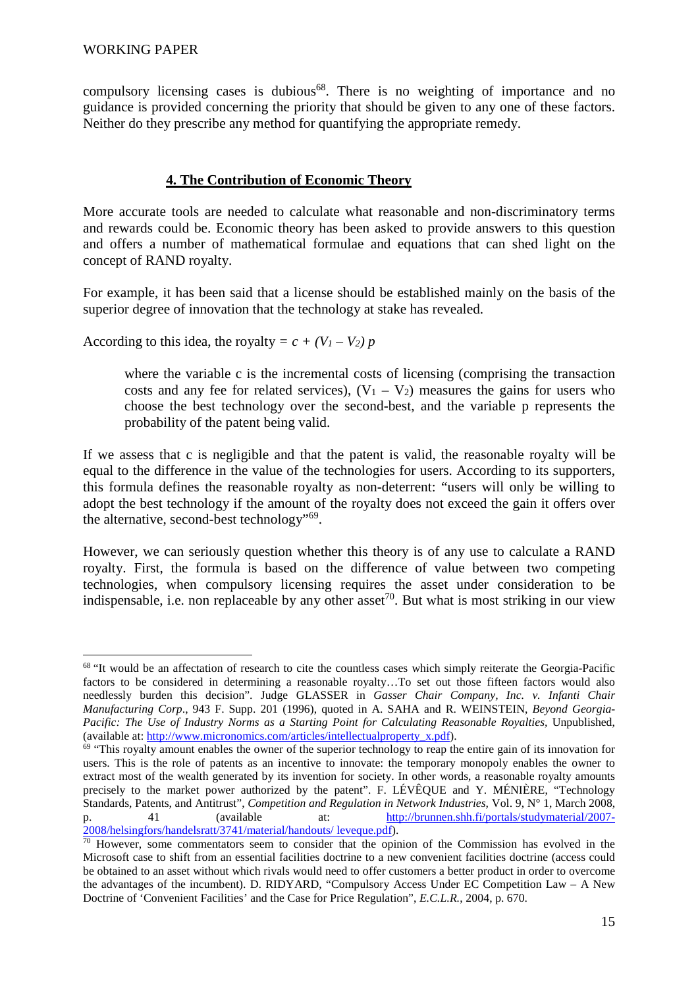compulsory licensing cases is dubious<sup>68</sup>. There is no weighting of importance and no guidance is provided concerning the priority that should be given to any one of these factors. Neither do they prescribe any method for quantifying the appropriate remedy.

## **4. The Contribution of Economic Theory**

More accurate tools are needed to calculate what reasonable and non-discriminatory terms and rewards could be. Economic theory has been asked to provide answers to this question and offers a number of mathematical formulae and equations that can shed light on the concept of RAND royalty.

For example, it has been said that a license should be established mainly on the basis of the superior degree of innovation that the technology at stake has revealed.

According to this idea, the royalty =  $c + (V_1 - V_2)p$ 

where the variable c is the incremental costs of licensing (comprising the transaction costs and any fee for related services),  $(V_1 - V_2)$  measures the gains for users who choose the best technology over the second-best, and the variable p represents the probability of the patent being valid.

If we assess that c is negligible and that the patent is valid, the reasonable royalty will be equal to the difference in the value of the technologies for users. According to its supporters, this formula defines the reasonable royalty as non-deterrent: "users will only be willing to adopt the best technology if the amount of the royalty does not exceed the gain it offers over the alternative, second-best technology"<sup>69</sup>.

However, we can seriously question whether this theory is of any use to calculate a RAND royalty. First, the formula is based on the difference of value between two competing technologies, when compulsory licensing requires the asset under consideration to be indispensable, i.e. non replaceable by any other asset<sup>70</sup>. But what is most striking in our view

 $\overline{a}$ <sup>68</sup> "It would be an affectation of research to cite the countless cases which simply reiterate the Georgia-Pacific factors to be considered in determining a reasonable royalty…To set out those fifteen factors would also needlessly burden this decision". Judge GLASSER in *Gasser Chair Company, Inc. v. Infanti Chair Manufacturing Corp*., 943 F. Supp. 201 (1996), quoted in A. SAHA and R. WEINSTEIN, *Beyond Georgia-Pacific: The Use of Industry Norms as a Starting Point for Calculating Reasonable Royalties,* Unpublished, (available at: http://www.micronomics.com/articles/intellectualproperty\_x.pdf).

<sup>69</sup> "This royalty amount enables the owner of the superior technology to reap the entire gain of its innovation for users. This is the role of patents as an incentive to innovate: the temporary monopoly enables the owner to extract most of the wealth generated by its invention for society. In other words, a reasonable royalty amounts precisely to the market power authorized by the patent". F. LÉVÊQUE and Y. MÉNIÈRE, "Technology Standards, Patents, and Antitrust", *Competition and Regulation in Network Industries,* Vol. 9, N° 1, March 2008, p. 41 (available at: http://brunnen.shh.fi/portals/studymaterial/2007-2008/helsingfors/handelsratt/3741/material/handouts/ leveque.pdf).

<sup>&</sup>lt;sup>70</sup> However, some commentators seem to consider that the opinion of the Commission has evolved in the Microsoft case to shift from an essential facilities doctrine to a new convenient facilities doctrine (access could be obtained to an asset without which rivals would need to offer customers a better product in order to overcome the advantages of the incumbent). D. RIDYARD, "Compulsory Access Under EC Competition Law – A New Doctrine of 'Convenient Facilities' and the Case for Price Regulation", *E.C.L.R.*, 2004, p. 670.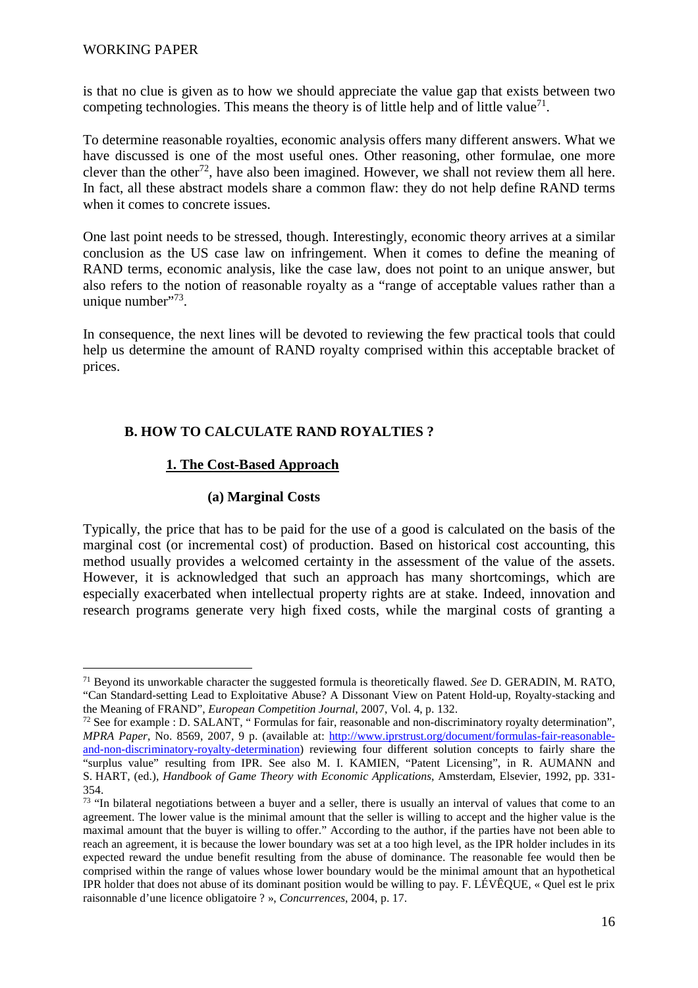is that no clue is given as to how we should appreciate the value gap that exists between two competing technologies. This means the theory is of little help and of little value<sup>71</sup>.

To determine reasonable royalties, economic analysis offers many different answers. What we have discussed is one of the most useful ones. Other reasoning, other formulae, one more clever than the other<sup>72</sup>, have also been imagined. However, we shall not review them all here. In fact, all these abstract models share a common flaw: they do not help define RAND terms when it comes to concrete issues.

One last point needs to be stressed, though. Interestingly, economic theory arrives at a similar conclusion as the US case law on infringement. When it comes to define the meaning of RAND terms, economic analysis, like the case law, does not point to an unique answer, but also refers to the notion of reasonable royalty as a "range of acceptable values rather than a unique number $"^{73}$ .

In consequence, the next lines will be devoted to reviewing the few practical tools that could help us determine the amount of RAND royalty comprised within this acceptable bracket of prices.

### **B. HOW TO CALCULATE RAND ROYALTIES ?**

### **1. The Cost-Based Approach**

### **(a) Marginal Costs**

Typically, the price that has to be paid for the use of a good is calculated on the basis of the marginal cost (or incremental cost) of production. Based on historical cost accounting, this method usually provides a welcomed certainty in the assessment of the value of the assets. However, it is acknowledged that such an approach has many shortcomings, which are especially exacerbated when intellectual property rights are at stake. Indeed, innovation and research programs generate very high fixed costs, while the marginal costs of granting a

<sup>71</sup> Beyond its unworkable character the suggested formula is theoretically flawed. *See* D. GERADIN, M. RATO, "Can Standard-setting Lead to Exploitative Abuse? A Dissonant View on Patent Hold-up, Royalty-stacking and the Meaning of FRAND", *European Competition Journal*, 2007, Vol. 4, p. 132.

<sup>72</sup> See for example : D. SALANT, " Formulas for fair, reasonable and non-discriminatory royalty determination", *MPRA Paper*, No. 8569, 2007, 9 p. (available at: http://www.iprstrust.org/document/formulas-fair-reasonableand-non-discriminatory-royalty-determination) reviewing four different solution concepts to fairly share the "surplus value" resulting from IPR. See also M. I. KAMIEN, "Patent Licensing", in R. AUMANN and S. HART, (ed.), *Handbook of Game Theory with Economic Applications*, Amsterdam, Elsevier, 1992, pp. 331- 354.

 $73$  "In bilateral negotiations between a buyer and a seller, there is usually an interval of values that come to an agreement. The lower value is the minimal amount that the seller is willing to accept and the higher value is the maximal amount that the buyer is willing to offer." According to the author, if the parties have not been able to reach an agreement, it is because the lower boundary was set at a too high level, as the IPR holder includes in its expected reward the undue benefit resulting from the abuse of dominance. The reasonable fee would then be comprised within the range of values whose lower boundary would be the minimal amount that an hypothetical IPR holder that does not abuse of its dominant position would be willing to pay. F. LÉVÊQUE, « Quel est le prix raisonnable d'une licence obligatoire ? », *Concurrences*, 2004, p. 17.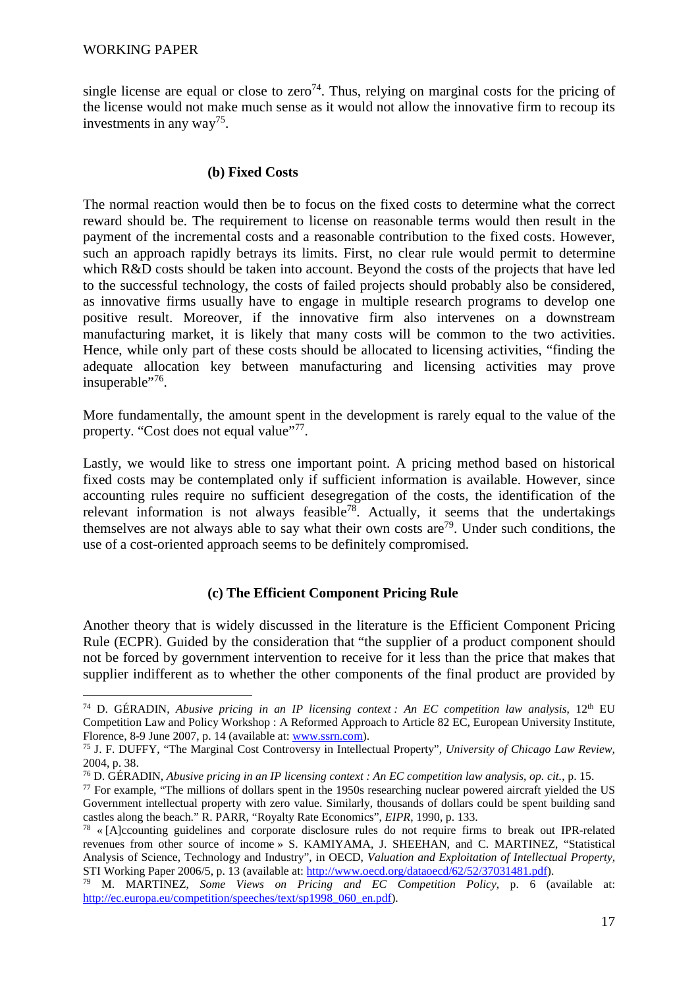single license are equal or close to zero<sup>74</sup>. Thus, relying on marginal costs for the pricing of the license would not make much sense as it would not allow the innovative firm to recoup its investments in any way<sup>75</sup>.

### **(b) Fixed Costs**

The normal reaction would then be to focus on the fixed costs to determine what the correct reward should be. The requirement to license on reasonable terms would then result in the payment of the incremental costs and a reasonable contribution to the fixed costs. However, such an approach rapidly betrays its limits. First, no clear rule would permit to determine which R&D costs should be taken into account. Beyond the costs of the projects that have led to the successful technology, the costs of failed projects should probably also be considered, as innovative firms usually have to engage in multiple research programs to develop one positive result. Moreover, if the innovative firm also intervenes on a downstream manufacturing market, it is likely that many costs will be common to the two activities. Hence, while only part of these costs should be allocated to licensing activities, "finding the adequate allocation key between manufacturing and licensing activities may prove insuperable"<sup>76</sup>.

More fundamentally, the amount spent in the development is rarely equal to the value of the property. "Cost does not equal value"<sup>77</sup>.

Lastly, we would like to stress one important point. A pricing method based on historical fixed costs may be contemplated only if sufficient information is available. However, since accounting rules require no sufficient desegregation of the costs, the identification of the relevant information is not always feasible<sup>78</sup>. Actually, it seems that the undertakings themselves are not always able to say what their own costs are<sup>79</sup>. Under such conditions, the use of a cost-oriented approach seems to be definitely compromised.

### **(c) The Efficient Component Pricing Rule**

Another theory that is widely discussed in the literature is the Efficient Component Pricing Rule (ECPR). Guided by the consideration that "the supplier of a product component should not be forced by government intervention to receive for it less than the price that makes that supplier indifferent as to whether the other components of the final product are provided by

<sup>&</sup>lt;sup>74</sup> D. GÉRADIN, *Abusive pricing in an IP licensing context : An EC competition law analysis*,  $12<sup>th</sup>$  EU Competition Law and Policy Workshop : A Reformed Approach to Article 82 EC, European University Institute, Florence, 8-9 June 2007, p. 14 (available at: www.ssrn.com).

<sup>75</sup> J. F. DUFFY, "The Marginal Cost Controversy in Intellectual Property", *University of Chicago Law Review,*  2004, p. 38.

<sup>76</sup> D. GÉRADIN, *Abusive pricing in an IP licensing context : An EC competition law analysis*, *op. cit.*, p. 15.

<sup>77</sup> For example, "The millions of dollars spent in the 1950s researching nuclear powered aircraft yielded the US Government intellectual property with zero value. Similarly, thousands of dollars could be spent building sand castles along the beach." R. PARR, "Royalty Rate Economics", *EIPR*, 1990, p. 133.

<sup>78</sup> « [A]ccounting guidelines and corporate disclosure rules do not require firms to break out IPR-related revenues from other source of income » S. KAMIYAMA, J. SHEEHAN, and C. MARTINEZ, "Statistical Analysis of Science, Technology and Industry", in OECD, *Valuation and Exploitation of Intellectual Property*, STI Working Paper 2006/5, p. 13 (available at: http://www.oecd.org/dataoecd/62/52/37031481.pdf).

<sup>79</sup> M. MARTINEZ, *Some Views on Pricing and EC Competition Policy*, p. 6 (available at: http://ec.europa.eu/competition/speeches/text/sp1998\_060\_en.pdf).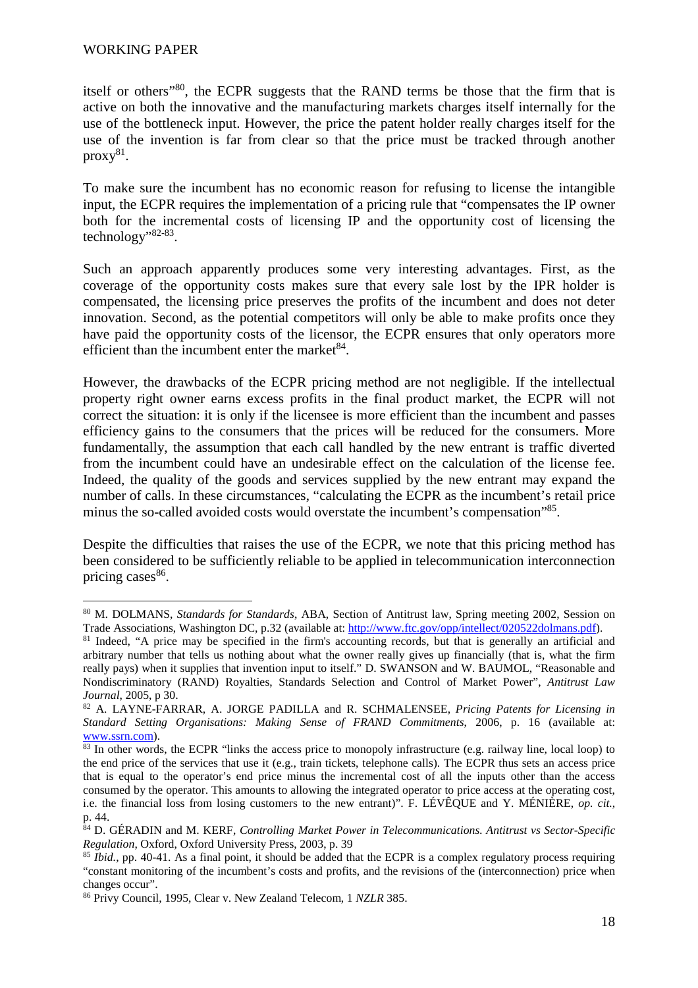itself or others"<sup>80</sup>, the ECPR suggests that the RAND terms be those that the firm that is active on both the innovative and the manufacturing markets charges itself internally for the use of the bottleneck input. However, the price the patent holder really charges itself for the use of the invention is far from clear so that the price must be tracked through another  $proxy^{81}$ .

To make sure the incumbent has no economic reason for refusing to license the intangible input, the ECPR requires the implementation of a pricing rule that "compensates the IP owner both for the incremental costs of licensing IP and the opportunity cost of licensing the technology"<sup>82-83</sup>.

Such an approach apparently produces some very interesting advantages. First, as the coverage of the opportunity costs makes sure that every sale lost by the IPR holder is compensated, the licensing price preserves the profits of the incumbent and does not deter innovation. Second, as the potential competitors will only be able to make profits once they have paid the opportunity costs of the licensor, the ECPR ensures that only operators more efficient than the incumbent enter the market $84$ .

However, the drawbacks of the ECPR pricing method are not negligible. If the intellectual property right owner earns excess profits in the final product market, the ECPR will not correct the situation: it is only if the licensee is more efficient than the incumbent and passes efficiency gains to the consumers that the prices will be reduced for the consumers. More fundamentally, the assumption that each call handled by the new entrant is traffic diverted from the incumbent could have an undesirable effect on the calculation of the license fee. Indeed, the quality of the goods and services supplied by the new entrant may expand the number of calls. In these circumstances, "calculating the ECPR as the incumbent's retail price minus the so-called avoided costs would overstate the incumbent's compensation"<sup>85</sup>.

Despite the difficulties that raises the use of the ECPR, we note that this pricing method has been considered to be sufficiently reliable to be applied in telecommunication interconnection pricing cases<sup>86</sup>.

<sup>80</sup> M. DOLMANS, *Standards for Standards*, ABA, Section of Antitrust law, Spring meeting 2002, Session on Trade Associations, Washington DC, p.32 (available at: http://www.ftc.gov/opp/intellect/020522dolmans.pdf).

<sup>&</sup>lt;sup>81</sup> Indeed, "A price may be specified in the firm's accounting records, but that is generally an artificial and arbitrary number that tells us nothing about what the owner really gives up financially (that is, what the firm really pays) when it supplies that invention input to itself." D. SWANSON and W. BAUMOL, "Reasonable and Nondiscriminatory (RAND) Royalties, Standards Selection and Control of Market Power", *Antitrust Law Journal*, 2005, p 30.

<sup>82</sup> A. LAYNE-FARRAR, A. JORGE PADILLA and R. SCHMALENSEE, *Pricing Patents for Licensing in Standard Setting Organisations: Making Sense of FRAND Commitments*, 2006, p. 16 (available at: www.ssrn.com).

<sup>83</sup> In other words, the ECPR "links the access price to monopoly infrastructure (e.g. railway line, local loop) to the end price of the services that use it (e.g., train tickets, telephone calls). The ECPR thus sets an access price that is equal to the operator's end price minus the incremental cost of all the inputs other than the access consumed by the operator. This amounts to allowing the integrated operator to price access at the operating cost, i.e. the financial loss from losing customers to the new entrant)". F. LÉVÊQUE and Y. MÉNIÈRE, *op. cit.*, p. 44.

<sup>84</sup> D. GÉRADIN and M. KERF, *Controlling Market Power in Telecommunications. Antitrust vs Sector-Specific Regulation*, Oxford, Oxford University Press, 2003, p. 39

<sup>85</sup> *Ibid.*, pp. 40-41. As a final point, it should be added that the ECPR is a complex regulatory process requiring "constant monitoring of the incumbent's costs and profits, and the revisions of the (interconnection) price when changes occur".

<sup>86</sup> Privy Council, 1995, Clear v. New Zealand Telecom, 1 *NZLR* 385.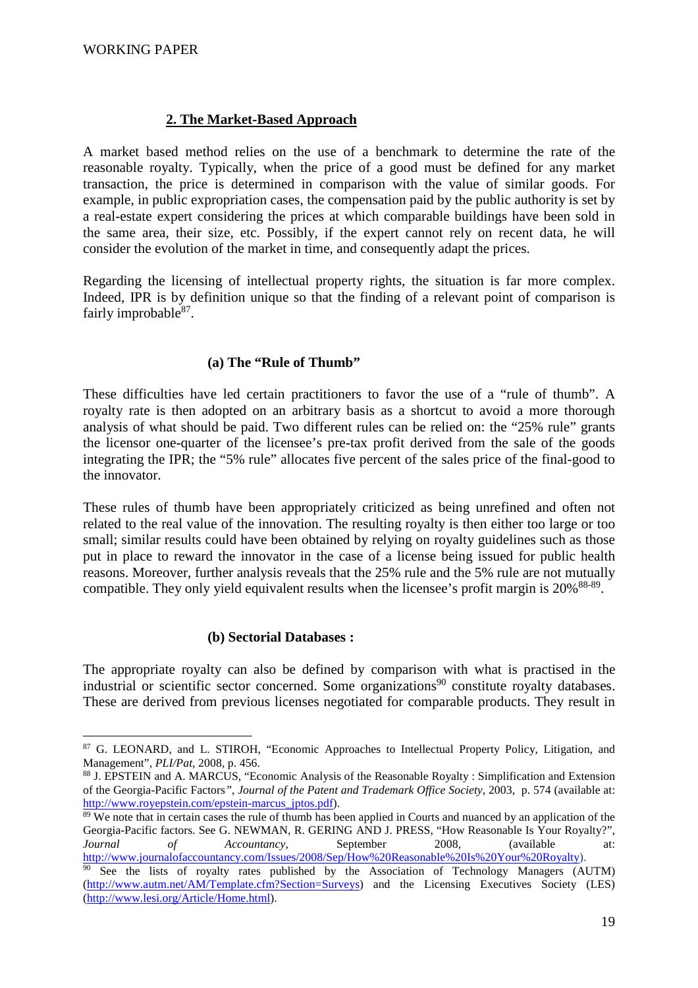## **2. The Market-Based Approach**

A market based method relies on the use of a benchmark to determine the rate of the reasonable royalty. Typically, when the price of a good must be defined for any market transaction, the price is determined in comparison with the value of similar goods. For example, in public expropriation cases, the compensation paid by the public authority is set by a real-estate expert considering the prices at which comparable buildings have been sold in the same area, their size, etc. Possibly, if the expert cannot rely on recent data, he will consider the evolution of the market in time, and consequently adapt the prices.

Regarding the licensing of intellectual property rights, the situation is far more complex. Indeed, IPR is by definition unique so that the finding of a relevant point of comparison is fairly improbable<sup>87</sup>.

### **(a) The "Rule of Thumb"**

These difficulties have led certain practitioners to favor the use of a "rule of thumb". A royalty rate is then adopted on an arbitrary basis as a shortcut to avoid a more thorough analysis of what should be paid. Two different rules can be relied on: the "25% rule" grants the licensor one-quarter of the licensee's pre-tax profit derived from the sale of the goods integrating the IPR; the "5% rule" allocates five percent of the sales price of the final-good to the innovator.

These rules of thumb have been appropriately criticized as being unrefined and often not related to the real value of the innovation. The resulting royalty is then either too large or too small; similar results could have been obtained by relying on royalty guidelines such as those put in place to reward the innovator in the case of a license being issued for public health reasons. Moreover, further analysis reveals that the 25% rule and the 5% rule are not mutually compatible. They only yield equivalent results when the licensee's profit margin is  $20\%$ <sup>88-89</sup>.

#### **(b) Sectorial Databases :**

The appropriate royalty can also be defined by comparison with what is practised in the industrial or scientific sector concerned. Some organizations<sup>90</sup> constitute royalty databases. These are derived from previous licenses negotiated for comparable products. They result in

 $\overline{a}$ <sup>87</sup> G. LEONARD, and L. STIROH, "Economic Approaches to Intellectual Property Policy, Litigation, and Management", *PLI/Pat*, 2008, p. 456.

<sup>88</sup> J. EPSTEIN and A. MARCUS, "Economic Analysis of the Reasonable Royalty : Simplification and Extension of the Georgia-Pacific Factors*"*, *Journal of the Patent and Trademark Office Society*, 2003, p. 574 (available at: http://www.royepstein.com/epstein-marcus\_jptos.pdf).

 $89$  We note that in certain cases the rule of thumb has been applied in Courts and nuanced by an application of the Georgia-Pacific factors. See G. NEWMAN, R. GERING AND J. PRESS, "How Reasonable Is Your Royalty?", *Journal of Accountancy*, September 2008, (available at: http://www.journalofaccountancy.com/Issues/2008/Sep/How%20Reasonable%20Is%20Your%20Royalty).

 $\frac{90}{90}$  See the lists of royalty rates published by the Association of Technology Managers (AUTM) (http://www.autm.net/AM/Template.cfm?Section=Surveys) and the Licensing Executives Society (LES) (http://www.lesi.org/Article/Home.html).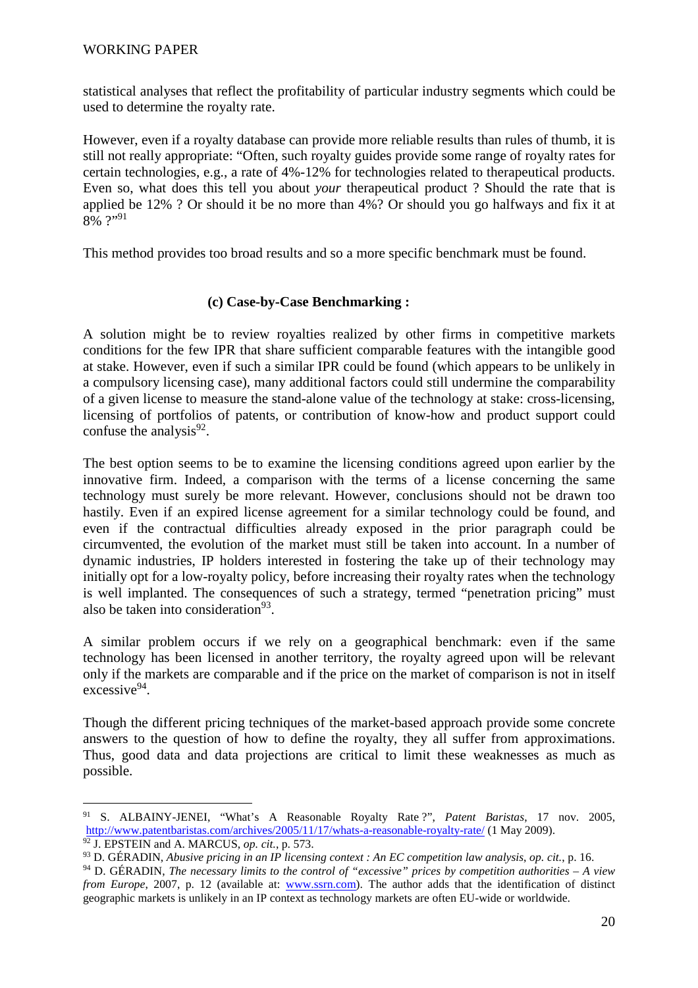statistical analyses that reflect the profitability of particular industry segments which could be used to determine the royalty rate.

However, even if a royalty database can provide more reliable results than rules of thumb, it is still not really appropriate: "Often, such royalty guides provide some range of royalty rates for certain technologies, e.g., a rate of 4%-12% for technologies related to therapeutical products. Even so, what does this tell you about *your* therapeutical product ? Should the rate that is applied be 12% ? Or should it be no more than 4%? Or should you go halfways and fix it at 8% ?"91

This method provides too broad results and so a more specific benchmark must be found.

## **(c) Case-by-Case Benchmarking :**

A solution might be to review royalties realized by other firms in competitive markets conditions for the few IPR that share sufficient comparable features with the intangible good at stake. However, even if such a similar IPR could be found (which appears to be unlikely in a compulsory licensing case), many additional factors could still undermine the comparability of a given license to measure the stand-alone value of the technology at stake: cross-licensing, licensing of portfolios of patents, or contribution of know-how and product support could confuse the analysis $92$ .

The best option seems to be to examine the licensing conditions agreed upon earlier by the innovative firm. Indeed, a comparison with the terms of a license concerning the same technology must surely be more relevant. However, conclusions should not be drawn too hastily. Even if an expired license agreement for a similar technology could be found, and even if the contractual difficulties already exposed in the prior paragraph could be circumvented, the evolution of the market must still be taken into account. In a number of dynamic industries, IP holders interested in fostering the take up of their technology may initially opt for a low-royalty policy, before increasing their royalty rates when the technology is well implanted. The consequences of such a strategy, termed "penetration pricing" must also be taken into consideration<sup>93</sup>.

A similar problem occurs if we rely on a geographical benchmark: even if the same technology has been licensed in another territory, the royalty agreed upon will be relevant only if the markets are comparable and if the price on the market of comparison is not in itself excessive<sup>94</sup>.

Though the different pricing techniques of the market-based approach provide some concrete answers to the question of how to define the royalty, they all suffer from approximations. Thus, good data and data projections are critical to limit these weaknesses as much as possible.

<sup>91</sup> S. ALBAINY-JENEI, "What's A Reasonable Royalty Rate ?", *Patent Baristas*, 17 nov. 2005, http://www.patentbaristas.com/archives/2005/11/17/whats-a-reasonable-royalty-rate/ (1 May 2009).

<sup>92</sup> J. EPSTEIN and A. MARCUS, *op. cit.*, p. 573.

<sup>93</sup> D. GÉRADIN, *Abusive pricing in an IP licensing context : An EC competition law analysis*, *op. cit.*, p. 16.

<sup>94</sup> D. GÉRADIN, *The necessary limits to the control of "excessive" prices by competition authorities – A view from Europe*, 2007, p. 12 (available at: www.ssrn.com). The author adds that the identification of distinct geographic markets is unlikely in an IP context as technology markets are often EU-wide or worldwide.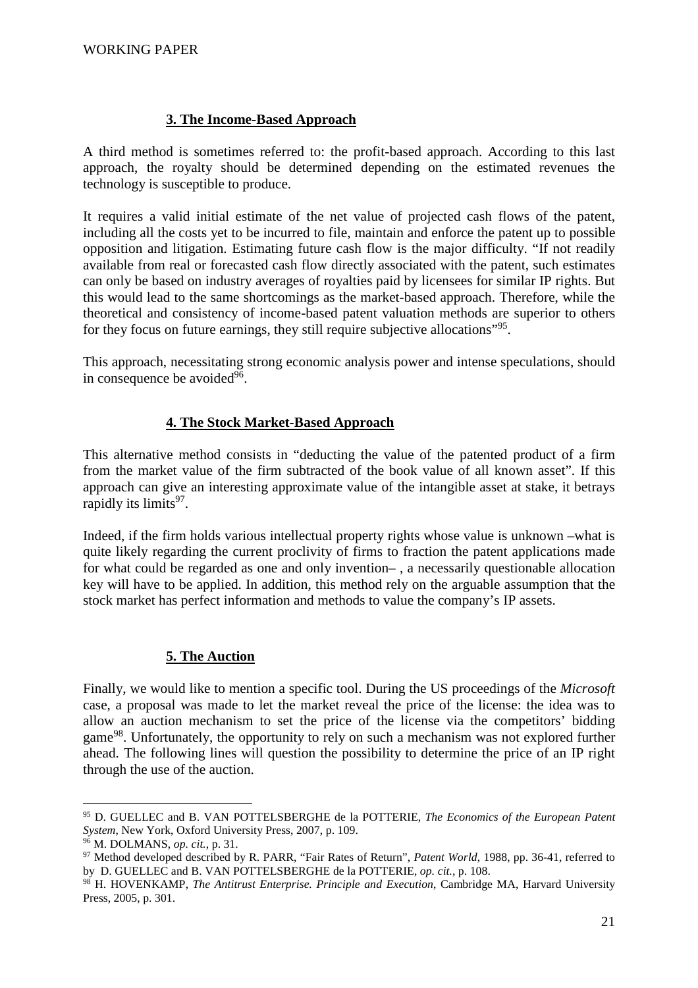## **3. The Income-Based Approach**

A third method is sometimes referred to: the profit-based approach. According to this last approach, the royalty should be determined depending on the estimated revenues the technology is susceptible to produce.

It requires a valid initial estimate of the net value of projected cash flows of the patent, including all the costs yet to be incurred to file, maintain and enforce the patent up to possible opposition and litigation. Estimating future cash flow is the major difficulty. "If not readily available from real or forecasted cash flow directly associated with the patent, such estimates can only be based on industry averages of royalties paid by licensees for similar IP rights. But this would lead to the same shortcomings as the market-based approach. Therefore, while the theoretical and consistency of income-based patent valuation methods are superior to others for they focus on future earnings, they still require subjective allocations"<sup>95</sup>.

This approach, necessitating strong economic analysis power and intense speculations, should in consequence be avoided<sup>96</sup>.

### **4. The Stock Market-Based Approach**

This alternative method consists in "deducting the value of the patented product of a firm from the market value of the firm subtracted of the book value of all known asset". If this approach can give an interesting approximate value of the intangible asset at stake, it betrays rapidly its limits<sup>97</sup>.

Indeed, if the firm holds various intellectual property rights whose value is unknown –what is quite likely regarding the current proclivity of firms to fraction the patent applications made for what could be regarded as one and only invention– , a necessarily questionable allocation key will have to be applied. In addition, this method rely on the arguable assumption that the stock market has perfect information and methods to value the company's IP assets.

#### **5. The Auction**

Finally, we would like to mention a specific tool. During the US proceedings of the *Microsoft* case, a proposal was made to let the market reveal the price of the license: the idea was to allow an auction mechanism to set the price of the license via the competitors' bidding game<sup>98</sup>. Unfortunately, the opportunity to rely on such a mechanism was not explored further ahead. The following lines will question the possibility to determine the price of an IP right through the use of the auction.

<sup>95</sup> D. GUELLEC and B. VAN POTTELSBERGHE de la POTTERIE, *The Economics of the European Patent System*, New York, Oxford University Press, 2007, p. 109.

<sup>96</sup> M. DOLMANS, *op. cit.*, p. 31.

<sup>97</sup> Method developed described by R. PARR, "Fair Rates of Return", *Patent World*, 1988, pp. 36-41, referred to by D. GUELLEC and B. VAN POTTELSBERGHE de la POTTERIE, *op. cit.*, p. 108.

<sup>98</sup> H. HOVENKAMP, *The Antitrust Enterprise. Principle and Execution*, Cambridge MA, Harvard University Press, 2005, p. 301.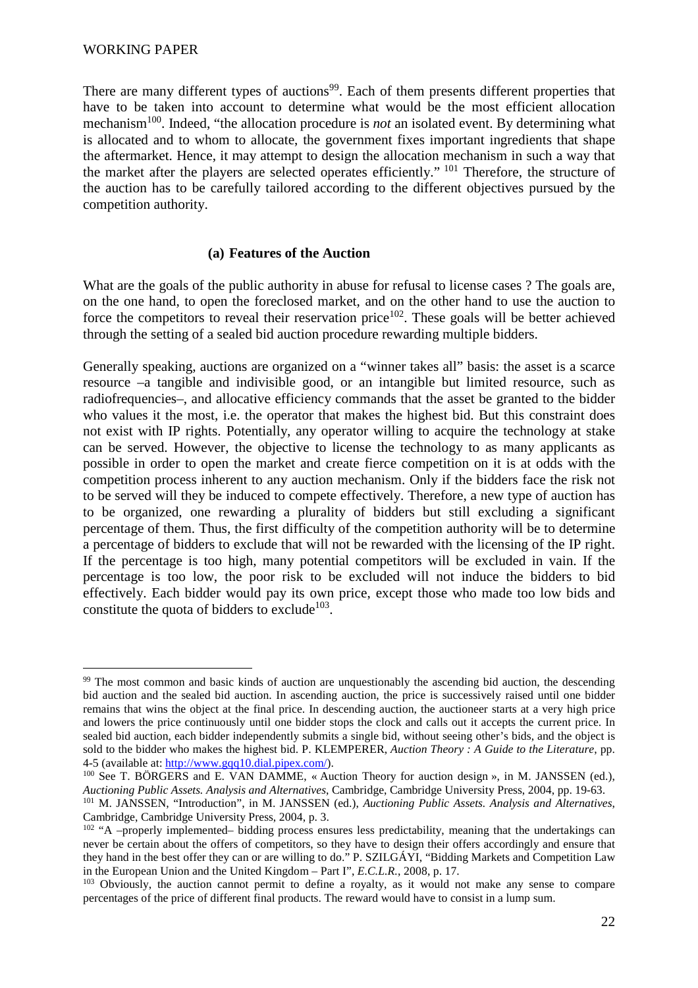There are many different types of auctions<sup>99</sup>. Each of them presents different properties that have to be taken into account to determine what would be the most efficient allocation mechanism<sup>100</sup>. Indeed, "the allocation procedure is *not* an isolated event. By determining what is allocated and to whom to allocate, the government fixes important ingredients that shape the aftermarket. Hence, it may attempt to design the allocation mechanism in such a way that the market after the players are selected operates efficiently." <sup>101</sup> Therefore, the structure of the auction has to be carefully tailored according to the different objectives pursued by the competition authority.

### **(a) Features of the Auction**

What are the goals of the public authority in abuse for refusal to license cases ? The goals are, on the one hand, to open the foreclosed market, and on the other hand to use the auction to force the competitors to reveal their reservation price<sup>102</sup>. These goals will be better achieved through the setting of a sealed bid auction procedure rewarding multiple bidders.

Generally speaking, auctions are organized on a "winner takes all" basis: the asset is a scarce resource –a tangible and indivisible good, or an intangible but limited resource, such as radiofrequencies–, and allocative efficiency commands that the asset be granted to the bidder who values it the most, i.e. the operator that makes the highest bid. But this constraint does not exist with IP rights. Potentially, any operator willing to acquire the technology at stake can be served. However, the objective to license the technology to as many applicants as possible in order to open the market and create fierce competition on it is at odds with the competition process inherent to any auction mechanism. Only if the bidders face the risk not to be served will they be induced to compete effectively. Therefore, a new type of auction has to be organized, one rewarding a plurality of bidders but still excluding a significant percentage of them. Thus, the first difficulty of the competition authority will be to determine a percentage of bidders to exclude that will not be rewarded with the licensing of the IP right. If the percentage is too high, many potential competitors will be excluded in vain. If the percentage is too low, the poor risk to be excluded will not induce the bidders to bid effectively. Each bidder would pay its own price, except those who made too low bids and constitute the quota of bidders to exclude<sup>103</sup>.

<sup>&</sup>lt;sup>99</sup> The most common and basic kinds of auction are unquestionably the ascending bid auction, the descending bid auction and the sealed bid auction. In ascending auction, the price is successively raised until one bidder remains that wins the object at the final price. In descending auction, the auctioneer starts at a very high price and lowers the price continuously until one bidder stops the clock and calls out it accepts the current price. In sealed bid auction, each bidder independently submits a single bid, without seeing other's bids, and the object is sold to the bidder who makes the highest bid. P. KLEMPERER, *Auction Theory : A Guide to the Literature*, pp. 4-5 (available at: http://www.gqq10.dial.pipex.com/).

<sup>&</sup>lt;sup>100</sup> See T. BÖRGERS and E. VAN DAMME, « Auction Theory for auction design », in M. JANSSEN (ed.), *Auctioning Public Assets. Analysis and Alternatives*, Cambridge, Cambridge University Press, 2004, pp. 19-63.

<sup>101</sup> M. JANSSEN, "Introduction", in M. JANSSEN (ed.), *Auctioning Public Assets. Analysis and Alternatives*, Cambridge, Cambridge University Press, 2004, p. 3.

<sup>102</sup> "A –properly implemented– bidding process ensures less predictability, meaning that the undertakings can never be certain about the offers of competitors, so they have to design their offers accordingly and ensure that they hand in the best offer they can or are willing to do." P. SZILGÁYI, "Bidding Markets and Competition Law in the European Union and the United Kingdom – Part I", *E.C.L.R.*, 2008, p. 17.

<sup>&</sup>lt;sup>103</sup> Obviously, the auction cannot permit to define a royalty, as it would not make any sense to compare percentages of the price of different final products. The reward would have to consist in a lump sum.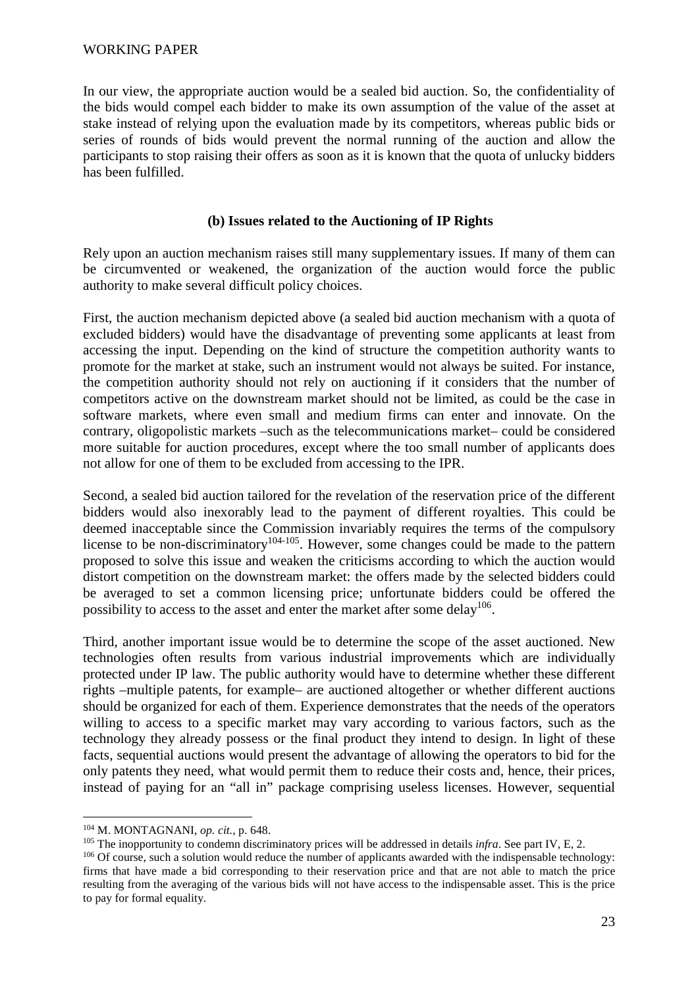In our view, the appropriate auction would be a sealed bid auction. So, the confidentiality of the bids would compel each bidder to make its own assumption of the value of the asset at stake instead of relying upon the evaluation made by its competitors, whereas public bids or series of rounds of bids would prevent the normal running of the auction and allow the participants to stop raising their offers as soon as it is known that the quota of unlucky bidders has been fulfilled.

### **(b) Issues related to the Auctioning of IP Rights**

Rely upon an auction mechanism raises still many supplementary issues. If many of them can be circumvented or weakened, the organization of the auction would force the public authority to make several difficult policy choices.

First, the auction mechanism depicted above (a sealed bid auction mechanism with a quota of excluded bidders) would have the disadvantage of preventing some applicants at least from accessing the input. Depending on the kind of structure the competition authority wants to promote for the market at stake, such an instrument would not always be suited. For instance, the competition authority should not rely on auctioning if it considers that the number of competitors active on the downstream market should not be limited, as could be the case in software markets, where even small and medium firms can enter and innovate. On the contrary, oligopolistic markets –such as the telecommunications market– could be considered more suitable for auction procedures, except where the too small number of applicants does not allow for one of them to be excluded from accessing to the IPR.

Second, a sealed bid auction tailored for the revelation of the reservation price of the different bidders would also inexorably lead to the payment of different royalties. This could be deemed inacceptable since the Commission invariably requires the terms of the compulsory license to be non-discriminatory<sup>104-105</sup>. However, some changes could be made to the pattern proposed to solve this issue and weaken the criticisms according to which the auction would distort competition on the downstream market: the offers made by the selected bidders could be averaged to set a common licensing price; unfortunate bidders could be offered the possibility to access to the asset and enter the market after some delay<sup>106</sup>.

Third, another important issue would be to determine the scope of the asset auctioned. New technologies often results from various industrial improvements which are individually protected under IP law. The public authority would have to determine whether these different rights –multiple patents, for example– are auctioned altogether or whether different auctions should be organized for each of them. Experience demonstrates that the needs of the operators willing to access to a specific market may vary according to various factors, such as the technology they already possess or the final product they intend to design. In light of these facts, sequential auctions would present the advantage of allowing the operators to bid for the only patents they need, what would permit them to reduce their costs and, hence, their prices, instead of paying for an "all in" package comprising useless licenses. However, sequential

<sup>104</sup> M. MONTAGNANI, *op. cit.*, p. 648.

<sup>105</sup> The inopportunity to condemn discriminatory prices will be addressed in details *infra*. See part IV, E, 2.

<sup>&</sup>lt;sup>106</sup> Of course, such a solution would reduce the number of applicants awarded with the indispensable technology: firms that have made a bid corresponding to their reservation price and that are not able to match the price resulting from the averaging of the various bids will not have access to the indispensable asset. This is the price to pay for formal equality.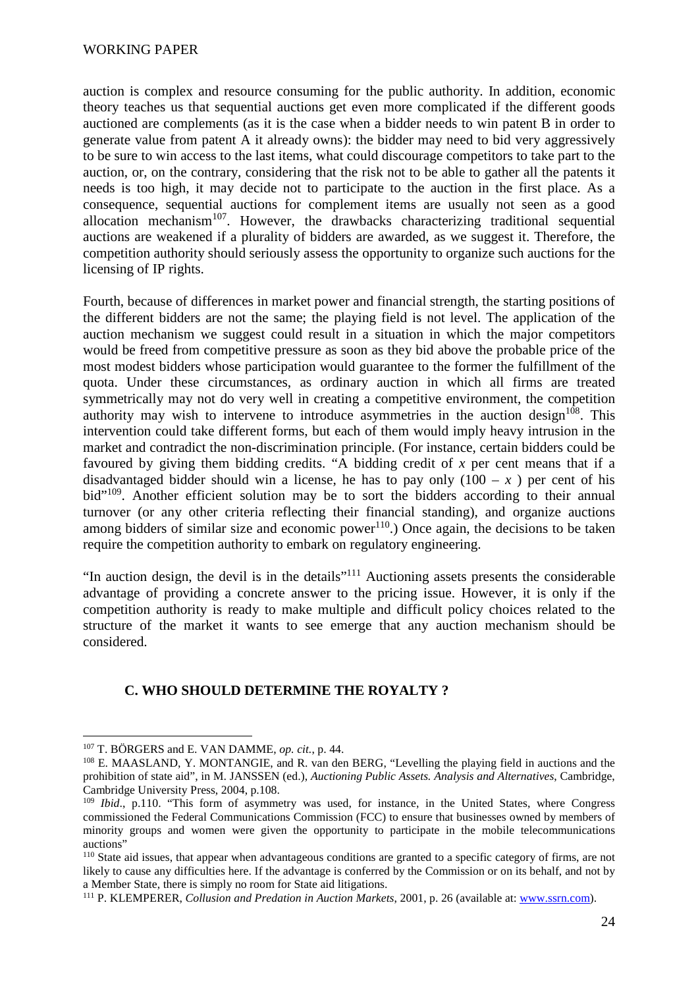auction is complex and resource consuming for the public authority. In addition, economic theory teaches us that sequential auctions get even more complicated if the different goods auctioned are complements (as it is the case when a bidder needs to win patent B in order to generate value from patent A it already owns): the bidder may need to bid very aggressively to be sure to win access to the last items, what could discourage competitors to take part to the auction, or, on the contrary, considering that the risk not to be able to gather all the patents it needs is too high, it may decide not to participate to the auction in the first place. As a consequence, sequential auctions for complement items are usually not seen as a good allocation mechanism<sup>107</sup>. However, the drawbacks characterizing traditional sequential auctions are weakened if a plurality of bidders are awarded, as we suggest it. Therefore, the competition authority should seriously assess the opportunity to organize such auctions for the licensing of IP rights.

Fourth, because of differences in market power and financial strength, the starting positions of the different bidders are not the same; the playing field is not level. The application of the auction mechanism we suggest could result in a situation in which the major competitors would be freed from competitive pressure as soon as they bid above the probable price of the most modest bidders whose participation would guarantee to the former the fulfillment of the quota. Under these circumstances, as ordinary auction in which all firms are treated symmetrically may not do very well in creating a competitive environment, the competition authority may wish to intervene to introduce asymmetries in the auction design<sup>108</sup>. This intervention could take different forms, but each of them would imply heavy intrusion in the market and contradict the non-discrimination principle. (For instance, certain bidders could be favoured by giving them bidding credits. "A bidding credit of *x* per cent means that if a disadvantaged bidder should win a license, he has to pay only  $(100 - x)$  per cent of his bid"<sup>109</sup>. Another efficient solution may be to sort the bidders according to their annual turnover (or any other criteria reflecting their financial standing), and organize auctions among bidders of similar size and economic power<sup>110</sup>.) Once again, the decisions to be taken require the competition authority to embark on regulatory engineering.

"In auction design, the devil is in the details"<sup>111</sup> Auctioning assets presents the considerable advantage of providing a concrete answer to the pricing issue. However, it is only if the competition authority is ready to make multiple and difficult policy choices related to the structure of the market it wants to see emerge that any auction mechanism should be considered.

#### **C. WHO SHOULD DETERMINE THE ROYALTY ?**

 $\overline{a}$ <sup>107</sup> T. BÖRGERS and E. VAN DAMME, *op. cit.*, p. 44.

<sup>108</sup> E. MAASLAND, Y. MONTANGIE, and R. van den BERG, "Levelling the playing field in auctions and the prohibition of state aid", in M. JANSSEN (ed.), *Auctioning Public Assets. Analysis and Alternatives*, Cambridge, Cambridge University Press, 2004, p.108.

<sup>109</sup> *Ibid*., p.110. "This form of asymmetry was used, for instance, in the United States, where Congress commissioned the Federal Communications Commission (FCC) to ensure that businesses owned by members of minority groups and women were given the opportunity to participate in the mobile telecommunications auctions"

<sup>110</sup> State aid issues, that appear when advantageous conditions are granted to a specific category of firms, are not likely to cause any difficulties here. If the advantage is conferred by the Commission or on its behalf, and not by a Member State, there is simply no room for State aid litigations.

<sup>111</sup> P. KLEMPERER, *Collusion and Predation in Auction Markets*, 2001, p. 26 (available at: www.ssrn.com).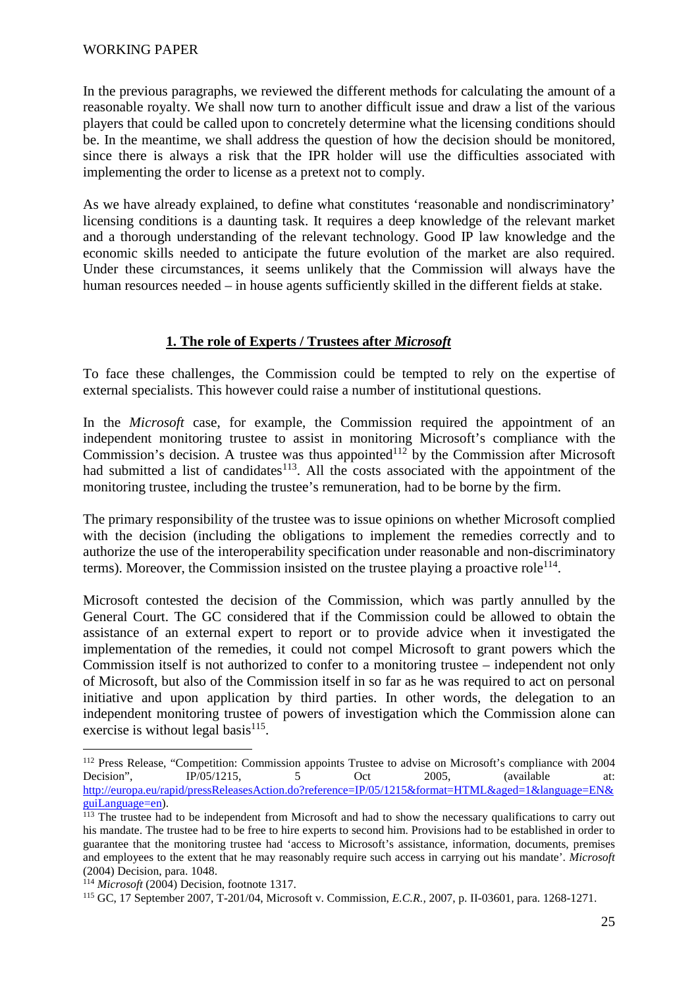In the previous paragraphs, we reviewed the different methods for calculating the amount of a reasonable royalty. We shall now turn to another difficult issue and draw a list of the various players that could be called upon to concretely determine what the licensing conditions should be. In the meantime, we shall address the question of how the decision should be monitored, since there is always a risk that the IPR holder will use the difficulties associated with implementing the order to license as a pretext not to comply.

As we have already explained, to define what constitutes 'reasonable and nondiscriminatory' licensing conditions is a daunting task. It requires a deep knowledge of the relevant market and a thorough understanding of the relevant technology. Good IP law knowledge and the economic skills needed to anticipate the future evolution of the market are also required. Under these circumstances, it seems unlikely that the Commission will always have the human resources needed – in house agents sufficiently skilled in the different fields at stake.

### **1. The role of Experts / Trustees after** *Microsoft*

To face these challenges, the Commission could be tempted to rely on the expertise of external specialists. This however could raise a number of institutional questions.

In the *Microsoft* case, for example, the Commission required the appointment of an independent monitoring trustee to assist in monitoring Microsoft's compliance with the Commission's decision. A trustee was thus appointed $112$  by the Commission after Microsoft had submitted a list of candidates<sup>113</sup>. All the costs associated with the appointment of the monitoring trustee, including the trustee's remuneration, had to be borne by the firm.

The primary responsibility of the trustee was to issue opinions on whether Microsoft complied with the decision (including the obligations to implement the remedies correctly and to authorize the use of the interoperability specification under reasonable and non-discriminatory terms). Moreover, the Commission insisted on the trustee playing a proactive role<sup>114</sup>.

Microsoft contested the decision of the Commission, which was partly annulled by the General Court. The GC considered that if the Commission could be allowed to obtain the assistance of an external expert to report or to provide advice when it investigated the implementation of the remedies, it could not compel Microsoft to grant powers which the Commission itself is not authorized to confer to a monitoring trustee – independent not only of Microsoft, but also of the Commission itself in so far as he was required to act on personal initiative and upon application by third parties. In other words, the delegation to an independent monitoring trustee of powers of investigation which the Commission alone can exercise is without legal basis $115$ .

<sup>&</sup>lt;sup>112</sup> Press Release, "Competition: Commission appoints Trustee to advise on Microsoft's compliance with 2004 Decision", IP/05/1215, 5 Oct 2005, (available at: http://europa.eu/rapid/pressReleasesAction.do?reference=IP/05/1215&format=HTML&aged=1&language=EN& guiLanguage=en).

<sup>&</sup>lt;sup>113</sup> The trustee had to be independent from Microsoft and had to show the necessary qualifications to carry out his mandate. The trustee had to be free to hire experts to second him. Provisions had to be established in order to guarantee that the monitoring trustee had 'access to Microsoft's assistance, information, documents, premises and employees to the extent that he may reasonably require such access in carrying out his mandate'. *Microsoft* (2004) Decision, para. 1048.

<sup>114</sup> *Microsoft* (2004) Decision, footnote 1317.

<sup>115</sup> GC, 17 September 2007, T-201/04, Microsoft v. Commission, *E.C.R.,* 2007, p. II-03601*,* para. 1268-1271.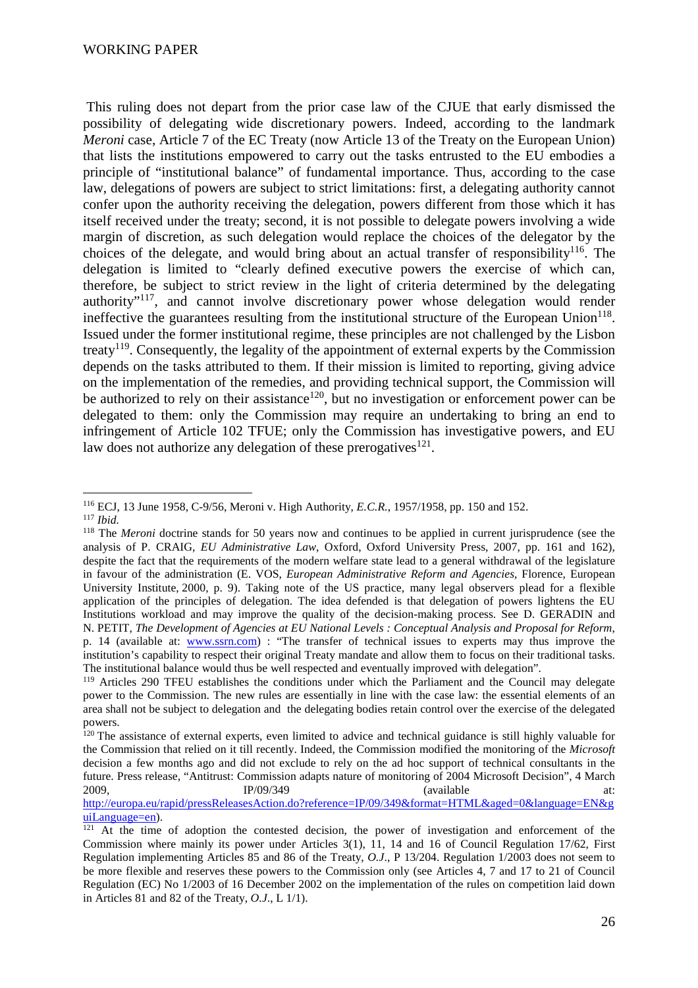This ruling does not depart from the prior case law of the CJUE that early dismissed the possibility of delegating wide discretionary powers. Indeed, according to the landmark *Meroni* case, Article 7 of the EC Treaty (now Article 13 of the Treaty on the European Union) that lists the institutions empowered to carry out the tasks entrusted to the EU embodies a principle of "institutional balance" of fundamental importance. Thus, according to the case law, delegations of powers are subject to strict limitations: first, a delegating authority cannot confer upon the authority receiving the delegation, powers different from those which it has itself received under the treaty; second, it is not possible to delegate powers involving a wide margin of discretion, as such delegation would replace the choices of the delegator by the choices of the delegate, and would bring about an actual transfer of responsibility<sup>116</sup>. The delegation is limited to "clearly defined executive powers the exercise of which can, therefore, be subject to strict review in the light of criteria determined by the delegating authority"<sup>117</sup>, and cannot involve discretionary power whose delegation would render ineffective the guarantees resulting from the institutional structure of the European Union<sup>118</sup>. Issued under the former institutional regime, these principles are not challenged by the Lisbon treaty<sup>119</sup>. Consequently, the legality of the appointment of external experts by the Commission depends on the tasks attributed to them. If their mission is limited to reporting, giving advice on the implementation of the remedies, and providing technical support, the Commission will be authorized to rely on their assistance<sup>120</sup>, but no investigation or enforcement power can be delegated to them: only the Commission may require an undertaking to bring an end to infringement of Article 102 TFUE; only the Commission has investigative powers, and EU law does not authorize any delegation of these prerogatives $121$ .

 $\overline{a}$ <sup>116</sup> ECJ, 13 June 1958, C-9/56, Meroni v. High Authority, *E.C.R.*, 1957/1958, pp. 150 and 152. <sup>117</sup> *Ibid.*

<sup>118</sup> The *Meroni* doctrine stands for 50 years now and continues to be applied in current jurisprudence (see the analysis of P. CRAIG, *EU Administrative Law*, Oxford, Oxford University Press, 2007, pp. 161 and 162), despite the fact that the requirements of the modern welfare state lead to a general withdrawal of the legislature in favour of the administration (E. VOS, *European Administrative Reform and Agencies*, Florence, European University Institute, 2000, p. 9). Taking note of the US practice, many legal observers plead for a flexible application of the principles of delegation. The idea defended is that delegation of powers lightens the EU Institutions workload and may improve the quality of the decision-making process. See D. GERADIN and N. PETIT, *The Development of Agencies at EU National Levels : Conceptual Analysis and Proposal for Reform*, p. 14 (available at: www.ssrn.com) : "The transfer of technical issues to experts may thus improve the institution's capability to respect their original Treaty mandate and allow them to focus on their traditional tasks. The institutional balance would thus be well respected and eventually improved with delegation".

<sup>&</sup>lt;sup>119</sup> Articles 290 TFEU establishes the conditions under which the Parliament and the Council may delegate power to the Commission. The new rules are essentially in line with the case law: the essential elements of an area shall not be subject to delegation and the delegating bodies retain control over the exercise of the delegated powers.

<sup>&</sup>lt;sup>120</sup> The assistance of external experts, even limited to advice and technical guidance is still highly valuable for the Commission that relied on it till recently. Indeed, the Commission modified the monitoring of the *Microsoft* decision a few months ago and did not exclude to rely on the ad hoc support of technical consultants in the future. Press release, "Antitrust: Commission adapts nature of monitoring of 2004 Microsoft Decision", 4 March 2009, **IP/09/349** (available at:

http://europa.eu/rapid/pressReleasesAction.do?reference=IP/09/349&format=HTML&aged=0&language=EN&g uiLanguage=en).

 $121$  At the time of adoption the contested decision, the power of investigation and enforcement of the Commission where mainly its power under Articles 3(1), 11, 14 and 16 of Council Regulation 17/62, First Regulation implementing Articles 85 and 86 of the Treaty, *O.J*., P 13/204. Regulation 1/2003 does not seem to be more flexible and reserves these powers to the Commission only (see Articles 4, 7 and 17 to 21 of Council Regulation (EC) No 1/2003 of 16 December 2002 on the implementation of the rules on competition laid down in Articles 81 and 82 of the Treaty, *O.J*., L 1/1).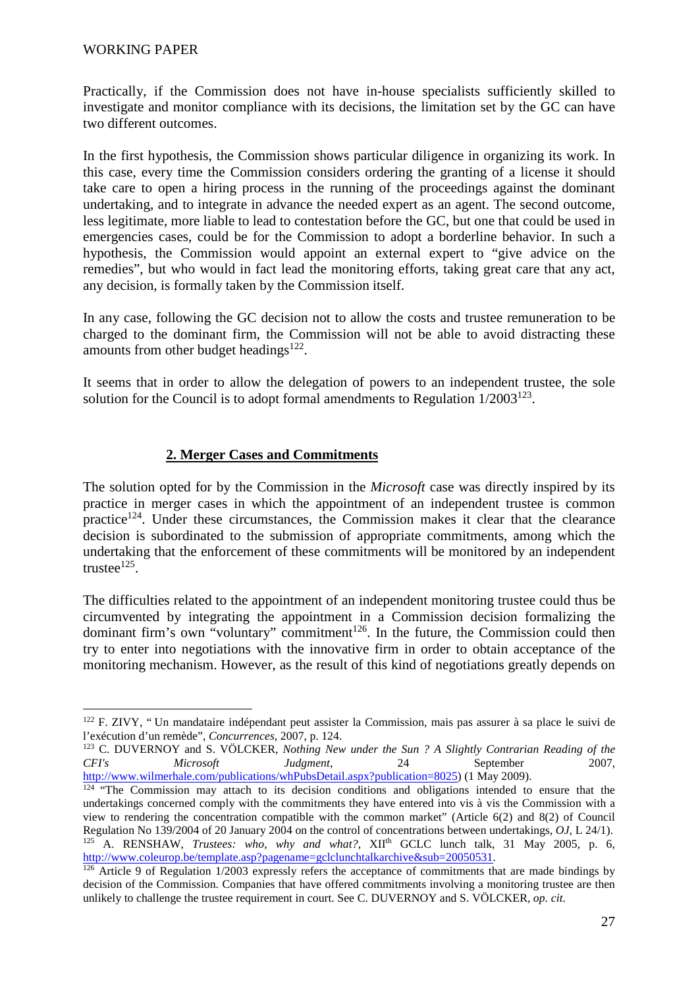Practically, if the Commission does not have in-house specialists sufficiently skilled to investigate and monitor compliance with its decisions, the limitation set by the GC can have two different outcomes.

In the first hypothesis, the Commission shows particular diligence in organizing its work. In this case, every time the Commission considers ordering the granting of a license it should take care to open a hiring process in the running of the proceedings against the dominant undertaking, and to integrate in advance the needed expert as an agent. The second outcome, less legitimate, more liable to lead to contestation before the GC, but one that could be used in emergencies cases, could be for the Commission to adopt a borderline behavior. In such a hypothesis, the Commission would appoint an external expert to "give advice on the remedies", but who would in fact lead the monitoring efforts, taking great care that any act, any decision, is formally taken by the Commission itself.

In any case, following the GC decision not to allow the costs and trustee remuneration to be charged to the dominant firm, the Commission will not be able to avoid distracting these amounts from other budget headings $^{122}$ .

It seems that in order to allow the delegation of powers to an independent trustee, the sole solution for the Council is to adopt formal amendments to Regulation  $1/2003^{123}$ .

### **2. Merger Cases and Commitments**

The solution opted for by the Commission in the *Microsoft* case was directly inspired by its practice in merger cases in which the appointment of an independent trustee is common practice<sup>124</sup>. Under these circumstances, the Commission makes it clear that the clearance decision is subordinated to the submission of appropriate commitments, among which the undertaking that the enforcement of these commitments will be monitored by an independent trustee $^{125}$ .

The difficulties related to the appointment of an independent monitoring trustee could thus be circumvented by integrating the appointment in a Commission decision formalizing the dominant firm's own "voluntary" commitment $126$ . In the future, the Commission could then try to enter into negotiations with the innovative firm in order to obtain acceptance of the monitoring mechanism. However, as the result of this kind of negotiations greatly depends on

<sup>122</sup> F. ZIVY, " Un mandataire indépendant peut assister la Commission, mais pas assurer à sa place le suivi de l'exécution d'un remède", *Concurrences*, 2007, p. 124.

<sup>123</sup> C. DUVERNOY and S. VÖLCKER, *Nothing New under the Sun ? A Slightly Contrarian Reading of the CFI's Microsoft Judgment*, 24 September 2007, http://www.wilmerhale.com/publications/whPubsDetail.aspx?publication=8025) (1 May 2009).

 $124$  "The Commission may attach to its decision conditions and obligations intended to ensure that the undertakings concerned comply with the commitments they have entered into vis à vis the Commission with a view to rendering the concentration compatible with the common market" (Article 6(2) and 8(2) of Council Regulation No 139/2004 of 20 January 2004 on the control of concentrations between undertakings, *OJ*, L 24/1). <sup>125</sup> A. RENSHAW, *Trustees: who, why and what?*, XII<sup>th</sup> GCLC lunch talk, 31 May 2005, p. 6, http://www.coleurop.be/template.asp?pagename=gclclunchtalkarchive&sub=20050531.

 $\frac{126}{126}$  Article 9 of Regulation 1/2003 expressly refers the acceptance of commitments that are made bindings by decision of the Commission. Companies that have offered commitments involving a monitoring trustee are then unlikely to challenge the trustee requirement in court. See C. DUVERNOY and S. VÖLCKER, *op. cit*.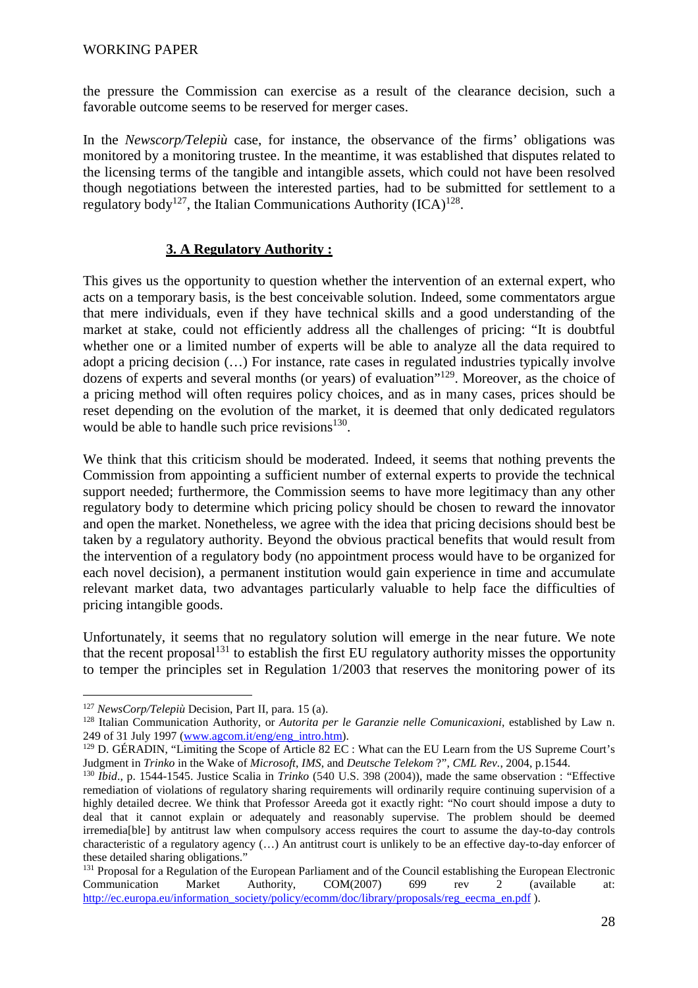the pressure the Commission can exercise as a result of the clearance decision, such a favorable outcome seems to be reserved for merger cases.

In the *Newscorp/Telepiù* case, for instance, the observance of the firms' obligations was monitored by a monitoring trustee. In the meantime, it was established that disputes related to the licensing terms of the tangible and intangible assets, which could not have been resolved though negotiations between the interested parties, had to be submitted for settlement to a regulatory body<sup>127</sup>, the Italian Communications Authority (ICA)<sup>128</sup>.

### **3. A Regulatory Authority :**

This gives us the opportunity to question whether the intervention of an external expert, who acts on a temporary basis, is the best conceivable solution. Indeed, some commentators argue that mere individuals, even if they have technical skills and a good understanding of the market at stake, could not efficiently address all the challenges of pricing: "It is doubtful whether one or a limited number of experts will be able to analyze all the data required to adopt a pricing decision (…) For instance, rate cases in regulated industries typically involve dozens of experts and several months (or years) of evaluation"<sup>129</sup>. Moreover, as the choice of a pricing method will often requires policy choices, and as in many cases, prices should be reset depending on the evolution of the market, it is deemed that only dedicated regulators would be able to handle such price revisions $130$ .

We think that this criticism should be moderated. Indeed, it seems that nothing prevents the Commission from appointing a sufficient number of external experts to provide the technical support needed; furthermore, the Commission seems to have more legitimacy than any other regulatory body to determine which pricing policy should be chosen to reward the innovator and open the market. Nonetheless, we agree with the idea that pricing decisions should best be taken by a regulatory authority. Beyond the obvious practical benefits that would result from the intervention of a regulatory body (no appointment process would have to be organized for each novel decision), a permanent institution would gain experience in time and accumulate relevant market data, two advantages particularly valuable to help face the difficulties of pricing intangible goods.

Unfortunately, it seems that no regulatory solution will emerge in the near future. We note that the recent proposal<sup>131</sup> to establish the first EU regulatory authority misses the opportunity to temper the principles set in Regulation 1/2003 that reserves the monitoring power of its

<sup>127</sup> *NewsCorp/Telepiù* Decision, Part II, para. 15 (a).

<sup>128</sup> Italian Communication Authority, or *Autorita per le Garanzie nelle Comunicaxioni*, established by Law n. 249 of 31 July 1997 (www.agcom.it/eng/eng\_intro.htm).

<sup>129</sup> D. GÉRADIN, "Limiting the Scope of Article 82 EC : What can the EU Learn from the US Supreme Court's Judgment in *Trinko* in the Wake of *Microsoft*, *IMS*, and *Deutsche Telekom* ?", *CML Rev.*, 2004, p.1544.

<sup>130</sup> *Ibid*., p. 1544-1545. Justice Scalia in *Trinko* (540 U.S. 398 (2004)), made the same observation : "Effective remediation of violations of regulatory sharing requirements will ordinarily require continuing supervision of a highly detailed decree. We think that Professor Areeda got it exactly right: "No court should impose a duty to deal that it cannot explain or adequately and reasonably supervise. The problem should be deemed irremedia[ble] by antitrust law when compulsory access requires the court to assume the day-to-day controls characteristic of a regulatory agency (…) An antitrust court is unlikely to be an effective day-to-day enforcer of these detailed sharing obligations."

<sup>&</sup>lt;sup>131</sup> Proposal for a Regulation of the European Parliament and of the Council establishing the European Electronic<br>Communication Market Authority, COM(2007) 699 rev 2 (available at: Communication Market Authority, COM(2007) 699 rev 2 (available at: http://ec.europa.eu/information\_society/policy/ecomm/doc/library/proposals/reg\_eecma\_en.pdf ).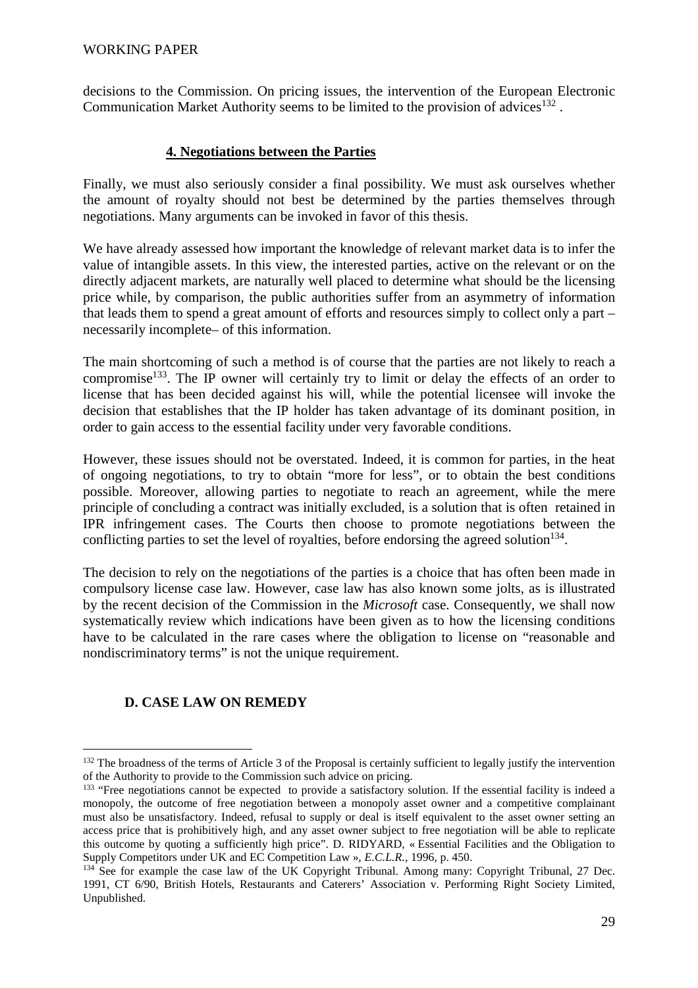decisions to the Commission. On pricing issues, the intervention of the European Electronic Communication Market Authority seems to be limited to the provision of advices $132$ .

## **4. Negotiations between the Parties**

Finally, we must also seriously consider a final possibility. We must ask ourselves whether the amount of royalty should not best be determined by the parties themselves through negotiations. Many arguments can be invoked in favor of this thesis.

We have already assessed how important the knowledge of relevant market data is to infer the value of intangible assets. In this view, the interested parties, active on the relevant or on the directly adjacent markets, are naturally well placed to determine what should be the licensing price while, by comparison, the public authorities suffer from an asymmetry of information that leads them to spend a great amount of efforts and resources simply to collect only a part – necessarily incomplete– of this information.

The main shortcoming of such a method is of course that the parties are not likely to reach a compromise<sup>133</sup>. The IP owner will certainly try to limit or delay the effects of an order to license that has been decided against his will, while the potential licensee will invoke the decision that establishes that the IP holder has taken advantage of its dominant position, in order to gain access to the essential facility under very favorable conditions.

However, these issues should not be overstated. Indeed, it is common for parties, in the heat of ongoing negotiations, to try to obtain "more for less", or to obtain the best conditions possible. Moreover, allowing parties to negotiate to reach an agreement, while the mere principle of concluding a contract was initially excluded, is a solution that is often retained in IPR infringement cases. The Courts then choose to promote negotiations between the conflicting parties to set the level of royalties, before endorsing the agreed solution<sup>134</sup>.

The decision to rely on the negotiations of the parties is a choice that has often been made in compulsory license case law. However, case law has also known some jolts, as is illustrated by the recent decision of the Commission in the *Microsoft* case. Consequently, we shall now systematically review which indications have been given as to how the licensing conditions have to be calculated in the rare cases where the obligation to license on "reasonable and nondiscriminatory terms" is not the unique requirement.

# **D. CASE LAW ON REMEDY**

<sup>&</sup>lt;sup>132</sup> The broadness of the terms of Article 3 of the Proposal is certainly sufficient to legally justify the intervention of the Authority to provide to the Commission such advice on pricing.

<sup>&</sup>lt;sup>133</sup> "Free negotiations cannot be expected to provide a satisfactory solution. If the essential facility is indeed a monopoly, the outcome of free negotiation between a monopoly asset owner and a competitive complainant must also be unsatisfactory. Indeed, refusal to supply or deal is itself equivalent to the asset owner setting an access price that is prohibitively high, and any asset owner subject to free negotiation will be able to replicate this outcome by quoting a sufficiently high price". D. RIDYARD, « Essential Facilities and the Obligation to Supply Competitors under UK and EC Competition Law », *E.C.L.R.*, 1996, p. 450.

<sup>&</sup>lt;sup>134</sup> See for example the case law of the UK Copyright Tribunal. Among many: Copyright Tribunal, 27 Dec. 1991, CT 6/90, British Hotels, Restaurants and Caterers' Association v. Performing Right Society Limited, Unpublished.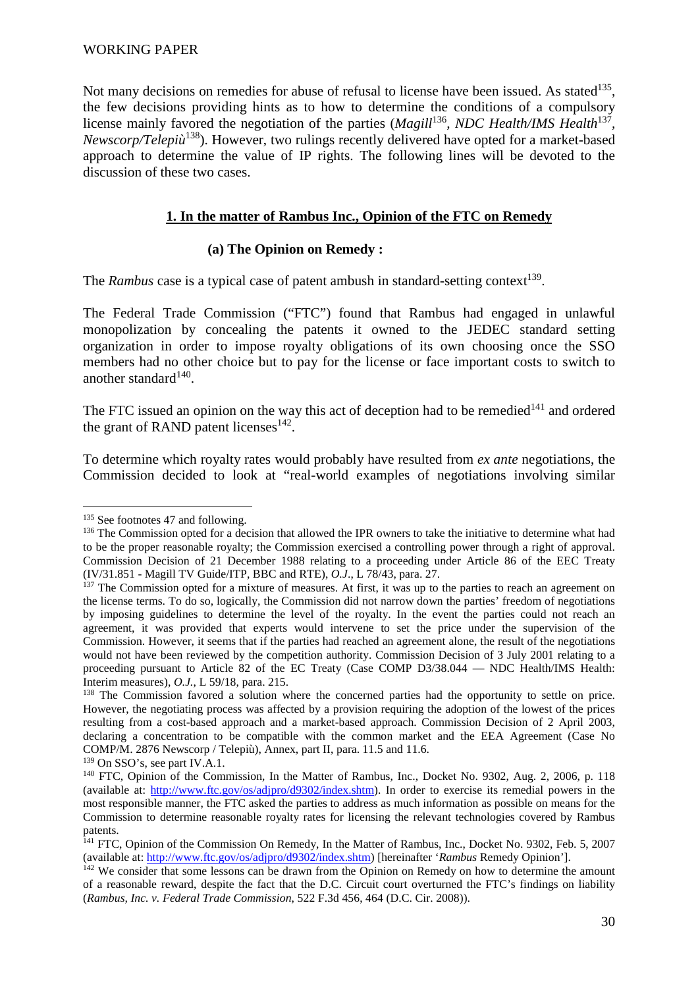#### WORKING PAPER

Not many decisions on remedies for abuse of refusal to license have been issued. As stated<sup>135</sup>, the few decisions providing hints as to how to determine the conditions of a compulsory license mainly favored the negotiation of the parties (*Magill*<sup>136</sup>, *NDC Health/IMS Health*<sup>137</sup>, *Newscorp/Telepiù*<sup>138</sup>). However, two rulings recently delivered have opted for a market-based approach to determine the value of IP rights. The following lines will be devoted to the discussion of these two cases.

### **1. In the matter of Rambus Inc., Opinion of the FTC on Remedy**

### **(a) The Opinion on Remedy :**

The *Rambus* case is a typical case of patent ambush in standard-setting context<sup>139</sup>.

The Federal Trade Commission ("FTC") found that Rambus had engaged in unlawful monopolization by concealing the patents it owned to the JEDEC standard setting organization in order to impose royalty obligations of its own choosing once the SSO members had no other choice but to pay for the license or face important costs to switch to another standard $140$ .

The FTC issued an opinion on the way this act of deception had to be remedied $141$  and ordered the grant of RAND patent licenses $142$ .

To determine which royalty rates would probably have resulted from *ex ante* negotiations, the Commission decided to look at "real-world examples of negotiations involving similar

 $\overline{a}$ 

<sup>139</sup> On SSO's, see part IV.A.1.

<sup>&</sup>lt;sup>135</sup> See footnotes 47 and following.

<sup>&</sup>lt;sup>136</sup> The Commission opted for a decision that allowed the IPR owners to take the initiative to determine what had to be the proper reasonable royalty; the Commission exercised a controlling power through a right of approval. Commission Decision of 21 December 1988 relating to a proceeding under Article 86 of the EEC Treaty (IV/31.851 - Magill TV Guide/ITP, BBC and RTE), *O.J*., L 78/43, para. 27.

<sup>&</sup>lt;sup>137</sup> The Commission opted for a mixture of measures. At first, it was up to the parties to reach an agreement on the license terms. To do so, logically, the Commission did not narrow down the parties' freedom of negotiations by imposing guidelines to determine the level of the royalty. In the event the parties could not reach an agreement, it was provided that experts would intervene to set the price under the supervision of the Commission. However, it seems that if the parties had reached an agreement alone, the result of the negotiations would not have been reviewed by the competition authority. Commission Decision of 3 July 2001 relating to a proceeding pursuant to Article 82 of the EC Treaty (Case COMP  $D3/38.044$  — NDC Health/IMS Health: Interim measures), *O.J.*, L 59/18, para. 215.

<sup>&</sup>lt;sup>138</sup> The Commission favored a solution where the concerned parties had the opportunity to settle on price. However, the negotiating process was affected by a provision requiring the adoption of the lowest of the prices resulting from a cost-based approach and a market-based approach. Commission Decision of 2 April 2003, declaring a concentration to be compatible with the common market and the EEA Agreement (Case No COMP/M. 2876 Newscorp / Telepiù), Annex, part II, para. 11.5 and 11.6.

<sup>&</sup>lt;sup>140</sup> FTC, Opinion of the Commission, In the Matter of Rambus, Inc., Docket No. 9302, Aug. 2, 2006, p. 118 (available at: http://www.ftc.gov/os/adjpro/d9302/index.shtm). In order to exercise its remedial powers in the most responsible manner, the FTC asked the parties to address as much information as possible on means for the Commission to determine reasonable royalty rates for licensing the relevant technologies covered by Rambus patents.

<sup>&</sup>lt;sup>141</sup> FTC, Opinion of the Commission On Remedy, In the Matter of Rambus, Inc., Docket No. 9302, Feb. 5, 2007 (available at: http://www.ftc.gov/os/adjpro/d9302/index.shtm) [hereinafter '*Rambus* Remedy Opinion'].

<sup>&</sup>lt;sup>142</sup> We consider that some lessons can be drawn from the Opinion on Remedy on how to determine the amount of a reasonable reward, despite the fact that the D.C. Circuit court overturned the FTC's findings on liability (*Rambus, Inc. v. Federal Trade Commission*, 522 F.3d 456, 464 (D.C. Cir. 2008)).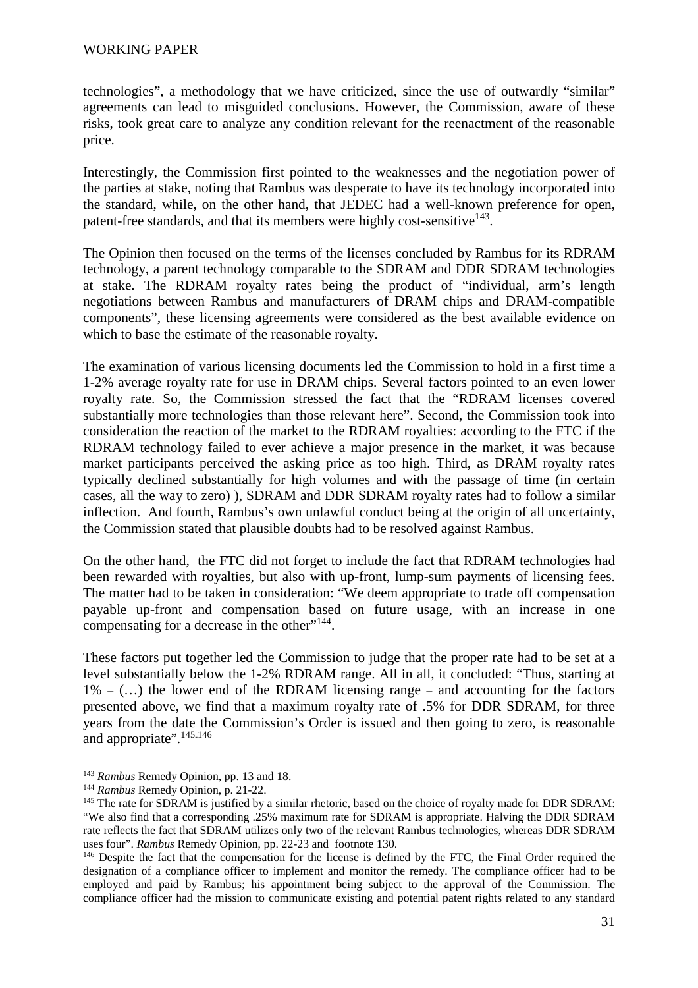technologies", a methodology that we have criticized, since the use of outwardly "similar" agreements can lead to misguided conclusions. However, the Commission, aware of these risks, took great care to analyze any condition relevant for the reenactment of the reasonable price.

Interestingly, the Commission first pointed to the weaknesses and the negotiation power of the parties at stake, noting that Rambus was desperate to have its technology incorporated into the standard, while, on the other hand, that JEDEC had a well-known preference for open, patent-free standards, and that its members were highly cost-sensitive<sup>143</sup>.

The Opinion then focused on the terms of the licenses concluded by Rambus for its RDRAM technology, a parent technology comparable to the SDRAM and DDR SDRAM technologies at stake. The RDRAM royalty rates being the product of "individual, arm's length negotiations between Rambus and manufacturers of DRAM chips and DRAM-compatible components", these licensing agreements were considered as the best available evidence on which to base the estimate of the reasonable royalty.

The examination of various licensing documents led the Commission to hold in a first time a 1-2% average royalty rate for use in DRAM chips. Several factors pointed to an even lower royalty rate. So, the Commission stressed the fact that the "RDRAM licenses covered substantially more technologies than those relevant here". Second, the Commission took into consideration the reaction of the market to the RDRAM royalties: according to the FTC if the RDRAM technology failed to ever achieve a major presence in the market, it was because market participants perceived the asking price as too high. Third, as DRAM royalty rates typically declined substantially for high volumes and with the passage of time (in certain cases, all the way to zero) ), SDRAM and DDR SDRAM royalty rates had to follow a similar inflection. And fourth, Rambus's own unlawful conduct being at the origin of all uncertainty, the Commission stated that plausible doubts had to be resolved against Rambus.

On the other hand, the FTC did not forget to include the fact that RDRAM technologies had been rewarded with royalties, but also with up-front, lump-sum payments of licensing fees. The matter had to be taken in consideration: "We deem appropriate to trade off compensation payable up-front and compensation based on future usage, with an increase in one compensating for a decrease in the other"<sup>144</sup>.

These factors put together led the Commission to judge that the proper rate had to be set at a level substantially below the 1-2% RDRAM range. All in all, it concluded: "Thus, starting at  $1\%$  – (...) the lower end of the RDRAM licensing range – and accounting for the factors presented above, we find that a maximum royalty rate of .5% for DDR SDRAM, for three years from the date the Commission's Order is issued and then going to zero, is reasonable and appropriate".<sup>145.146</sup>

<sup>143</sup> *Rambus* Remedy Opinion, pp. 13 and 18.

<sup>144</sup> *Rambus* Remedy Opinion, p. 21-22.

<sup>&</sup>lt;sup>145</sup> The rate for SDRAM is justified by a similar rhetoric, based on the choice of royalty made for DDR SDRAM: "We also find that a corresponding .25% maximum rate for SDRAM is appropriate. Halving the DDR SDRAM rate reflects the fact that SDRAM utilizes only two of the relevant Rambus technologies, whereas DDR SDRAM uses four". *Rambus* Remedy Opinion, pp. 22-23 and footnote 130.

<sup>&</sup>lt;sup>146</sup> Despite the fact that the compensation for the license is defined by the FTC, the Final Order required the designation of a compliance officer to implement and monitor the remedy. The compliance officer had to be employed and paid by Rambus; his appointment being subject to the approval of the Commission. The compliance officer had the mission to communicate existing and potential patent rights related to any standard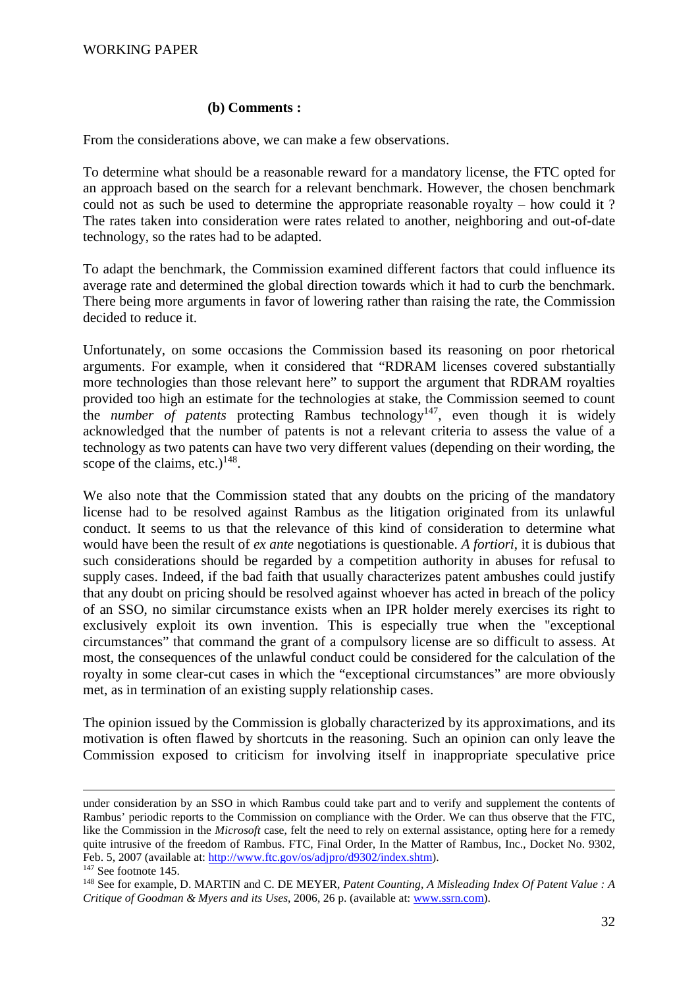### **(b) Comments :**

From the considerations above, we can make a few observations.

To determine what should be a reasonable reward for a mandatory license, the FTC opted for an approach based on the search for a relevant benchmark. However, the chosen benchmark could not as such be used to determine the appropriate reasonable royalty – how could it ? The rates taken into consideration were rates related to another, neighboring and out-of-date technology, so the rates had to be adapted.

To adapt the benchmark, the Commission examined different factors that could influence its average rate and determined the global direction towards which it had to curb the benchmark. There being more arguments in favor of lowering rather than raising the rate, the Commission decided to reduce it.

Unfortunately, on some occasions the Commission based its reasoning on poor rhetorical arguments. For example, when it considered that "RDRAM licenses covered substantially more technologies than those relevant here" to support the argument that RDRAM royalties provided too high an estimate for the technologies at stake, the Commission seemed to count the *number of patents* protecting Rambus technology<sup>147</sup>, even though it is widely acknowledged that the number of patents is not a relevant criteria to assess the value of a technology as two patents can have two very different values (depending on their wording, the scope of the claims, etc.) $148$ .

We also note that the Commission stated that any doubts on the pricing of the mandatory license had to be resolved against Rambus as the litigation originated from its unlawful conduct. It seems to us that the relevance of this kind of consideration to determine what would have been the result of *ex ante* negotiations is questionable. *A fortiori*, it is dubious that such considerations should be regarded by a competition authority in abuses for refusal to supply cases. Indeed, if the bad faith that usually characterizes patent ambushes could justify that any doubt on pricing should be resolved against whoever has acted in breach of the policy of an SSO, no similar circumstance exists when an IPR holder merely exercises its right to exclusively exploit its own invention. This is especially true when the "exceptional circumstances" that command the grant of a compulsory license are so difficult to assess. At most, the consequences of the unlawful conduct could be considered for the calculation of the royalty in some clear-cut cases in which the "exceptional circumstances" are more obviously met, as in termination of an existing supply relationship cases.

The opinion issued by the Commission is globally characterized by its approximations, and its motivation is often flawed by shortcuts in the reasoning. Such an opinion can only leave the Commission exposed to criticism for involving itself in inappropriate speculative price

<u>.</u>

under consideration by an SSO in which Rambus could take part and to verify and supplement the contents of Rambus' periodic reports to the Commission on compliance with the Order. We can thus observe that the FTC, like the Commission in the *Microsoft* case, felt the need to rely on external assistance, opting here for a remedy quite intrusive of the freedom of Rambus. FTC, Final Order, In the Matter of Rambus, Inc., Docket No. 9302, Feb. 5, 2007 (available at: http://www.ftc.gov/os/adjpro/d9302/index.shtm).

<sup>147</sup> See footnote 145.

<sup>148</sup> See for example, D. MARTIN and C. DE MEYER, *Patent Counting, A Misleading Index Of Patent Value : A Critique of Goodman & Myers and its Uses*, 2006, 26 p. (available at: www.ssrn.com).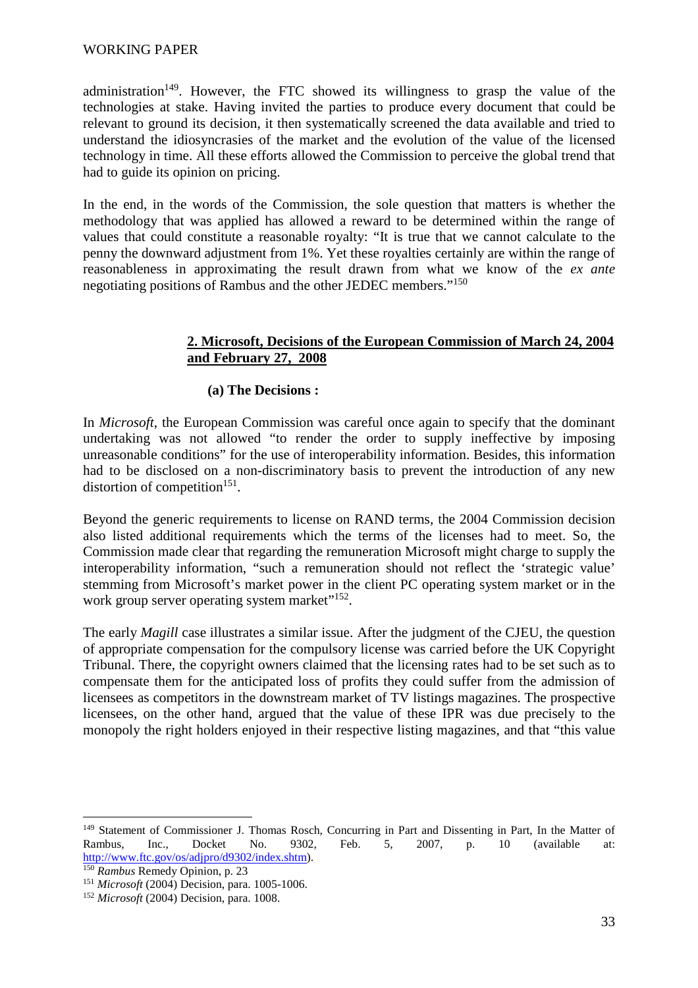#### WORKING PAPER

administration<sup>149</sup>. However, the FTC showed its willingness to grasp the value of the technologies at stake. Having invited the parties to produce every document that could be relevant to ground its decision, it then systematically screened the data available and tried to understand the idiosyncrasies of the market and the evolution of the value of the licensed technology in time. All these efforts allowed the Commission to perceive the global trend that had to guide its opinion on pricing.

In the end, in the words of the Commission, the sole question that matters is whether the methodology that was applied has allowed a reward to be determined within the range of values that could constitute a reasonable royalty: "It is true that we cannot calculate to the penny the downward adjustment from 1%. Yet these royalties certainly are within the range of reasonableness in approximating the result drawn from what we know of the *ex ante* negotiating positions of Rambus and the other JEDEC members."<sup>150</sup>

### **2. Microsoft, Decisions of the European Commission of March 24, 2004 and February 27, 2008**

#### **(a) The Decisions :**

In *Microsoft*, the European Commission was careful once again to specify that the dominant undertaking was not allowed "to render the order to supply ineffective by imposing unreasonable conditions" for the use of interoperability information. Besides, this information had to be disclosed on a non-discriminatory basis to prevent the introduction of any new distortion of competition<sup>151</sup>.

Beyond the generic requirements to license on RAND terms, the 2004 Commission decision also listed additional requirements which the terms of the licenses had to meet. So, the Commission made clear that regarding the remuneration Microsoft might charge to supply the interoperability information, "such a remuneration should not reflect the 'strategic value' stemming from Microsoft's market power in the client PC operating system market or in the work group server operating system market"<sup>152</sup>.

The early *Magill* case illustrates a similar issue. After the judgment of the CJEU, the question of appropriate compensation for the compulsory license was carried before the UK Copyright Tribunal. There, the copyright owners claimed that the licensing rates had to be set such as to compensate them for the anticipated loss of profits they could suffer from the admission of licensees as competitors in the downstream market of TV listings magazines. The prospective licensees, on the other hand, argued that the value of these IPR was due precisely to the monopoly the right holders enjoyed in their respective listing magazines, and that "this value

<sup>&</sup>lt;sup>149</sup> Statement of Commissioner J. Thomas Rosch, Concurring in Part and Dissenting in Part. In the Matter of Rambus, Inc., Docket No. 9302, Feb. 5, 2007, p. 10 (available at: http://www.ftc.gov/os/adjpro/d9302/index.shtm).

<sup>150</sup> *Rambus* Remedy Opinion, p. 23

<sup>151</sup> *Microsoft* (2004) Decision, para. 1005-1006.

<sup>152</sup> *Microsoft* (2004) Decision, para. 1008.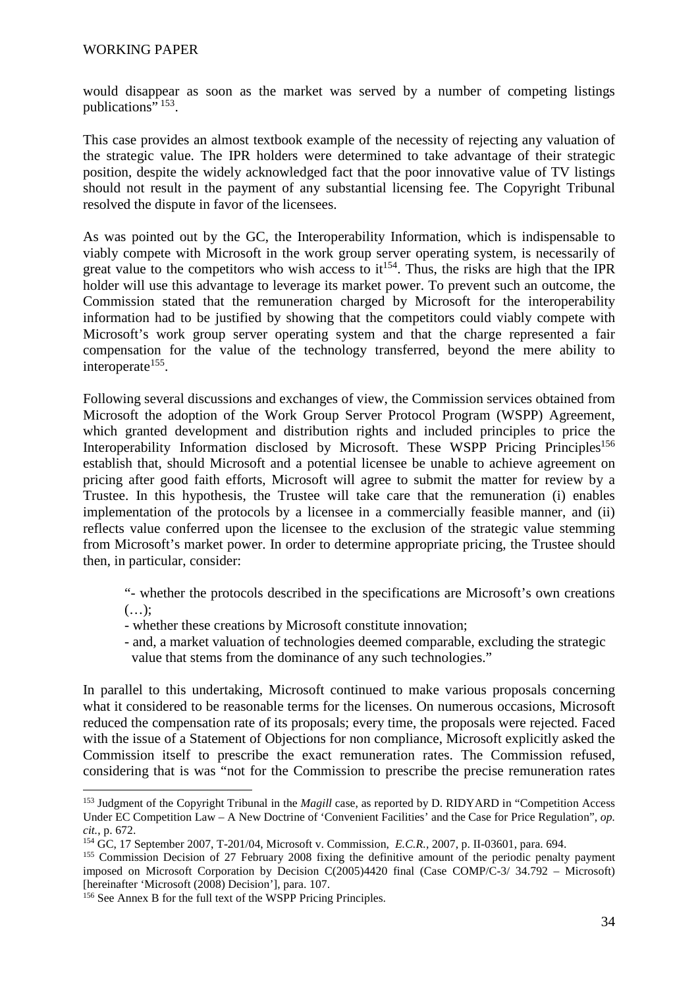would disappear as soon as the market was served by a number of competing listings publications" <sup>153</sup>.

This case provides an almost textbook example of the necessity of rejecting any valuation of the strategic value. The IPR holders were determined to take advantage of their strategic position, despite the widely acknowledged fact that the poor innovative value of TV listings should not result in the payment of any substantial licensing fee. The Copyright Tribunal resolved the dispute in favor of the licensees.

As was pointed out by the GC, the Interoperability Information, which is indispensable to viably compete with Microsoft in the work group server operating system, is necessarily of great value to the competitors who wish access to  $it^{154}$ . Thus, the risks are high that the IPR holder will use this advantage to leverage its market power. To prevent such an outcome, the Commission stated that the remuneration charged by Microsoft for the interoperability information had to be justified by showing that the competitors could viably compete with Microsoft's work group server operating system and that the charge represented a fair compensation for the value of the technology transferred, beyond the mere ability to interoperate<sup>155</sup>.

Following several discussions and exchanges of view, the Commission services obtained from Microsoft the adoption of the Work Group Server Protocol Program (WSPP) Agreement, which granted development and distribution rights and included principles to price the Interoperability Information disclosed by Microsoft. These WSPP Pricing Principles<sup>156</sup> establish that, should Microsoft and a potential licensee be unable to achieve agreement on pricing after good faith efforts, Microsoft will agree to submit the matter for review by a Trustee. In this hypothesis, the Trustee will take care that the remuneration (i) enables implementation of the protocols by a licensee in a commercially feasible manner, and (ii) reflects value conferred upon the licensee to the exclusion of the strategic value stemming from Microsoft's market power. In order to determine appropriate pricing, the Trustee should then, in particular, consider:

- "- whether the protocols described in the specifications are Microsoft's own creations  $(\ldots);$
- whether these creations by Microsoft constitute innovation;
- and, a market valuation of technologies deemed comparable, excluding the strategic value that stems from the dominance of any such technologies."

In parallel to this undertaking, Microsoft continued to make various proposals concerning what it considered to be reasonable terms for the licenses. On numerous occasions, Microsoft reduced the compensation rate of its proposals; every time, the proposals were rejected. Faced with the issue of a Statement of Objections for non compliance, Microsoft explicitly asked the Commission itself to prescribe the exact remuneration rates. The Commission refused, considering that is was "not for the Commission to prescribe the precise remuneration rates

<sup>153</sup> Judgment of the Copyright Tribunal in the *Magill* case, as reported by D. RIDYARD in "Competition Access Under EC Competition Law – A New Doctrine of 'Convenient Facilities' and the Case for Price Regulation", *op. cit.*, p. 672.

<sup>154</sup> GC, 17 September 2007, T-201/04, Microsoft v. Commission, *E.C.R.,* 2007, p. II-03601, para. 694.

<sup>&</sup>lt;sup>155</sup> Commission Decision of 27 February 2008 fixing the definitive amount of the periodic penalty payment imposed on Microsoft Corporation by Decision C(2005)4420 final (Case COMP/C-3/ 34.792 – Microsoft) [hereinafter 'Microsoft (2008) Decision'], para. 107.

<sup>156</sup> See Annex B for the full text of the WSPP Pricing Principles.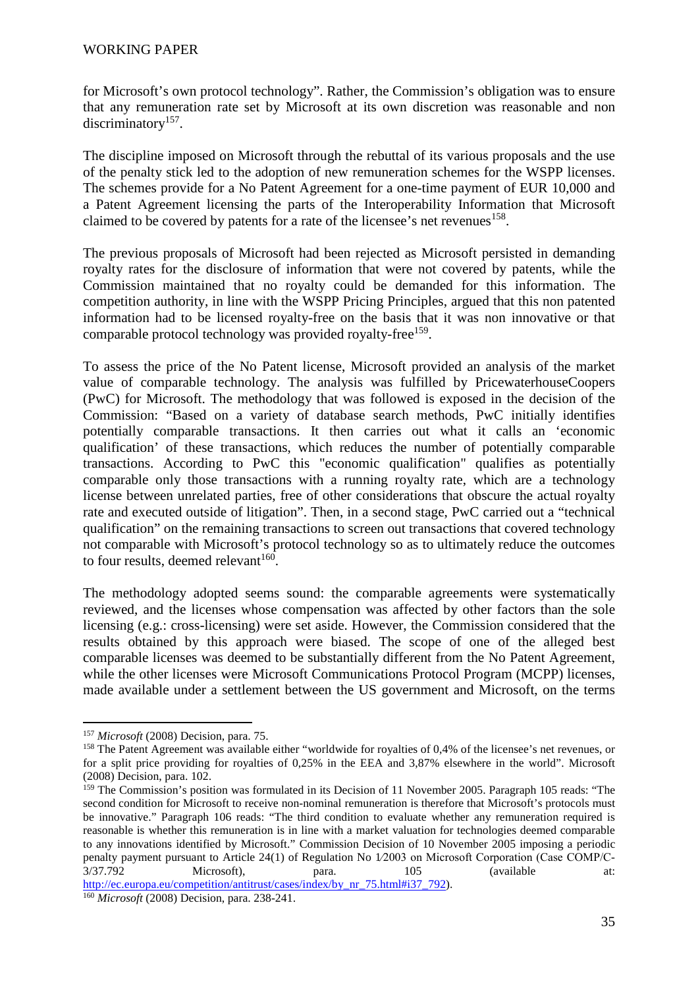for Microsoft's own protocol technology". Rather, the Commission's obligation was to ensure that any remuneration rate set by Microsoft at its own discretion was reasonable and non discriminatory<sup>157</sup>.

The discipline imposed on Microsoft through the rebuttal of its various proposals and the use of the penalty stick led to the adoption of new remuneration schemes for the WSPP licenses. The schemes provide for a No Patent Agreement for a one-time payment of EUR 10,000 and a Patent Agreement licensing the parts of the Interoperability Information that Microsoft claimed to be covered by patents for a rate of the licensee's net revenues<sup>158</sup>.

The previous proposals of Microsoft had been rejected as Microsoft persisted in demanding royalty rates for the disclosure of information that were not covered by patents, while the Commission maintained that no royalty could be demanded for this information. The competition authority, in line with the WSPP Pricing Principles, argued that this non patented information had to be licensed royalty-free on the basis that it was non innovative or that comparable protocol technology was provided royalty-free<sup>159</sup>.

To assess the price of the No Patent license, Microsoft provided an analysis of the market value of comparable technology. The analysis was fulfilled by PricewaterhouseCoopers (PwC) for Microsoft. The methodology that was followed is exposed in the decision of the Commission: "Based on a variety of database search methods, PwC initially identifies potentially comparable transactions. It then carries out what it calls an 'economic qualification' of these transactions, which reduces the number of potentially comparable transactions. According to PwC this "economic qualification" qualifies as potentially comparable only those transactions with a running royalty rate, which are a technology license between unrelated parties, free of other considerations that obscure the actual royalty rate and executed outside of litigation". Then, in a second stage, PwC carried out a "technical qualification" on the remaining transactions to screen out transactions that covered technology not comparable with Microsoft's protocol technology so as to ultimately reduce the outcomes to four results, deemed relevant<sup>160</sup>.

The methodology adopted seems sound: the comparable agreements were systematically reviewed, and the licenses whose compensation was affected by other factors than the sole licensing (e.g.: cross-licensing) were set aside. However, the Commission considered that the results obtained by this approach were biased. The scope of one of the alleged best comparable licenses was deemed to be substantially different from the No Patent Agreement, while the other licenses were Microsoft Communications Protocol Program (MCPP) licenses, made available under a settlement between the US government and Microsoft, on the terms

 $\overline{a}$ <sup>157</sup> *Microsoft* (2008) Decision, para. 75.

<sup>158</sup> The Patent Agreement was available either "worldwide for royalties of 0,4% of the licensee's net revenues, or for a split price providing for royalties of 0,25% in the EEA and 3,87% elsewhere in the world". Microsoft (2008) Decision, para. 102.

<sup>159</sup> The Commission's position was formulated in its Decision of 11 November 2005. Paragraph 105 reads: "The second condition for Microsoft to receive non-nominal remuneration is therefore that Microsoft's protocols must be innovative." Paragraph 106 reads: "The third condition to evaluate whether any remuneration required is reasonable is whether this remuneration is in line with a market valuation for technologies deemed comparable to any innovations identified by Microsoft." Commission Decision of 10 November 2005 imposing a periodic penalty payment pursuant to Article 24(1) of Regulation No 1/2003 on Microsoft Corporation (Case COMP/C-<br>3/37.792 Microsoft Corporation (available at: 3/37.792 Microsoft), para. 105 (available at: http://ec.europa.eu/competition/antitrust/cases/index/by\_nr\_75.html#i37\_792).

<sup>160</sup> *Microsoft* (2008) Decision, para. 238-241.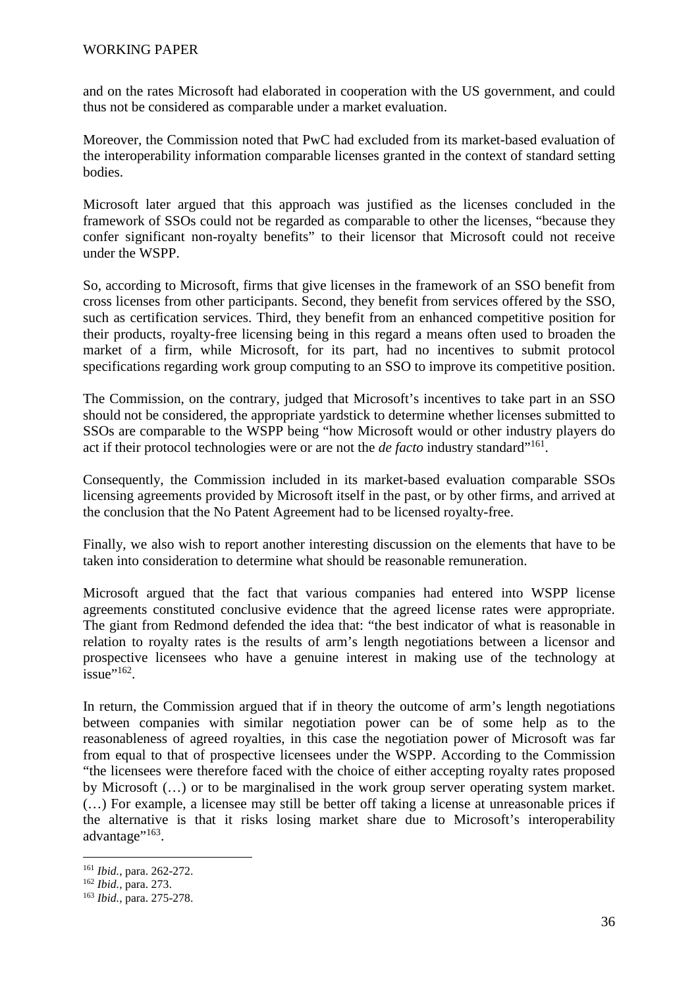#### WORKING PAPER

and on the rates Microsoft had elaborated in cooperation with the US government, and could thus not be considered as comparable under a market evaluation.

Moreover, the Commission noted that PwC had excluded from its market-based evaluation of the interoperability information comparable licenses granted in the context of standard setting bodies.

Microsoft later argued that this approach was justified as the licenses concluded in the framework of SSOs could not be regarded as comparable to other the licenses, "because they confer significant non-royalty benefits" to their licensor that Microsoft could not receive under the WSPP.

So, according to Microsoft, firms that give licenses in the framework of an SSO benefit from cross licenses from other participants. Second, they benefit from services offered by the SSO, such as certification services. Third, they benefit from an enhanced competitive position for their products, royalty-free licensing being in this regard a means often used to broaden the market of a firm, while Microsoft, for its part, had no incentives to submit protocol specifications regarding work group computing to an SSO to improve its competitive position.

The Commission, on the contrary, judged that Microsoft's incentives to take part in an SSO should not be considered, the appropriate yardstick to determine whether licenses submitted to SSOs are comparable to the WSPP being "how Microsoft would or other industry players do act if their protocol technologies were or are not the *de facto* industry standard"<sup>161</sup>.

Consequently, the Commission included in its market-based evaluation comparable SSOs licensing agreements provided by Microsoft itself in the past, or by other firms, and arrived at the conclusion that the No Patent Agreement had to be licensed royalty-free.

Finally, we also wish to report another interesting discussion on the elements that have to be taken into consideration to determine what should be reasonable remuneration.

Microsoft argued that the fact that various companies had entered into WSPP license agreements constituted conclusive evidence that the agreed license rates were appropriate. The giant from Redmond defended the idea that: "the best indicator of what is reasonable in relation to royalty rates is the results of arm's length negotiations between a licensor and prospective licensees who have a genuine interest in making use of the technology at issue" $162$ .

In return, the Commission argued that if in theory the outcome of arm's length negotiations between companies with similar negotiation power can be of some help as to the reasonableness of agreed royalties, in this case the negotiation power of Microsoft was far from equal to that of prospective licensees under the WSPP. According to the Commission "the licensees were therefore faced with the choice of either accepting royalty rates proposed by Microsoft (…) or to be marginalised in the work group server operating system market. (…) For example, a licensee may still be better off taking a license at unreasonable prices if the alternative is that it risks losing market share due to Microsoft's interoperability advantage"<sup>163</sup>.

 $\overline{a}$ <sup>161</sup> *Ibid.*, para. 262-272.

<sup>162</sup> *Ibid.,* para. 273.

<sup>163</sup> *Ibid.,* para. 275-278.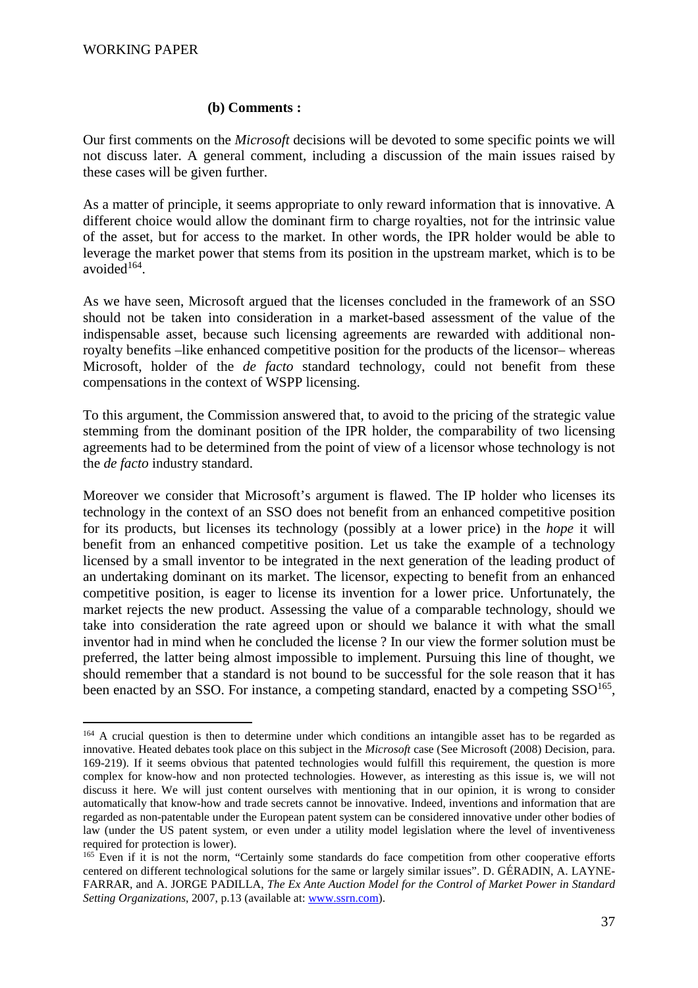#### **(b) Comments :**

Our first comments on the *Microsoft* decisions will be devoted to some specific points we will not discuss later. A general comment, including a discussion of the main issues raised by these cases will be given further.

As a matter of principle, it seems appropriate to only reward information that is innovative. A different choice would allow the dominant firm to charge royalties, not for the intrinsic value of the asset, but for access to the market. In other words, the IPR holder would be able to leverage the market power that stems from its position in the upstream market, which is to be avoided $164$ .

As we have seen, Microsoft argued that the licenses concluded in the framework of an SSO should not be taken into consideration in a market-based assessment of the value of the indispensable asset, because such licensing agreements are rewarded with additional nonroyalty benefits –like enhanced competitive position for the products of the licensor– whereas Microsoft, holder of the *de facto* standard technology, could not benefit from these compensations in the context of WSPP licensing.

To this argument, the Commission answered that, to avoid to the pricing of the strategic value stemming from the dominant position of the IPR holder, the comparability of two licensing agreements had to be determined from the point of view of a licensor whose technology is not the *de facto* industry standard.

Moreover we consider that Microsoft's argument is flawed. The IP holder who licenses its technology in the context of an SSO does not benefit from an enhanced competitive position for its products, but licenses its technology (possibly at a lower price) in the *hope* it will benefit from an enhanced competitive position. Let us take the example of a technology licensed by a small inventor to be integrated in the next generation of the leading product of an undertaking dominant on its market. The licensor, expecting to benefit from an enhanced competitive position, is eager to license its invention for a lower price. Unfortunately, the market rejects the new product. Assessing the value of a comparable technology, should we take into consideration the rate agreed upon or should we balance it with what the small inventor had in mind when he concluded the license ? In our view the former solution must be preferred, the latter being almost impossible to implement. Pursuing this line of thought, we should remember that a standard is not bound to be successful for the sole reason that it has been enacted by an SSO. For instance, a competing standard, enacted by a competing  $SSO<sup>165</sup>$ ,

 $\overline{a}$ <sup>164</sup> A crucial question is then to determine under which conditions an intangible asset has to be regarded as innovative. Heated debates took place on this subject in the *Microsoft* case (See Microsoft (2008) Decision, para. 169-219). If it seems obvious that patented technologies would fulfill this requirement, the question is more complex for know-how and non protected technologies. However, as interesting as this issue is, we will not discuss it here. We will just content ourselves with mentioning that in our opinion, it is wrong to consider automatically that know-how and trade secrets cannot be innovative. Indeed, inventions and information that are regarded as non-patentable under the European patent system can be considered innovative under other bodies of law (under the US patent system, or even under a utility model legislation where the level of inventiveness required for protection is lower).

<sup>&</sup>lt;sup>165</sup> Even if it is not the norm, "Certainly some standards do face competition from other cooperative efforts centered on different technological solutions for the same or largely similar issues". D. GÉRADIN, A. LAYNE-FARRAR, and A. JORGE PADILLA, *The Ex Ante Auction Model for the Control of Market Power in Standard Setting Organizations*, 2007, p.13 (available at: www.ssrn.com).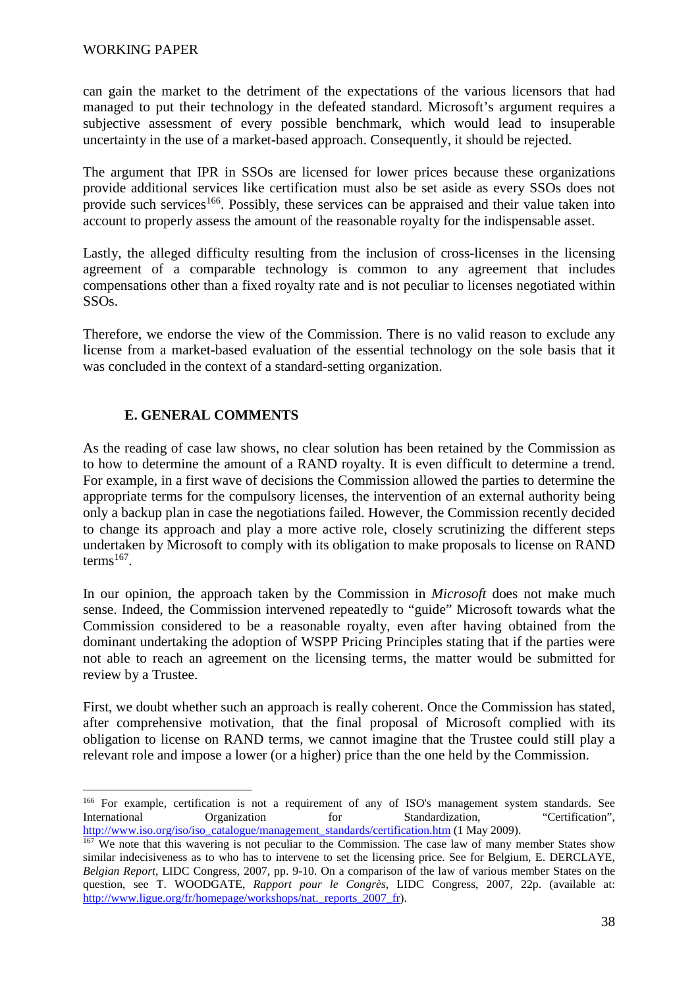can gain the market to the detriment of the expectations of the various licensors that had managed to put their technology in the defeated standard. Microsoft's argument requires a subjective assessment of every possible benchmark, which would lead to insuperable uncertainty in the use of a market-based approach. Consequently, it should be rejected.

The argument that IPR in SSOs are licensed for lower prices because these organizations provide additional services like certification must also be set aside as every SSOs does not provide such services<sup>166</sup>. Possibly, these services can be appraised and their value taken into account to properly assess the amount of the reasonable royalty for the indispensable asset.

Lastly, the alleged difficulty resulting from the inclusion of cross-licenses in the licensing agreement of a comparable technology is common to any agreement that includes compensations other than a fixed royalty rate and is not peculiar to licenses negotiated within SSOs.

Therefore, we endorse the view of the Commission. There is no valid reason to exclude any license from a market-based evaluation of the essential technology on the sole basis that it was concluded in the context of a standard-setting organization.

## **E. GENERAL COMMENTS**

 $\overline{a}$ 

As the reading of case law shows, no clear solution has been retained by the Commission as to how to determine the amount of a RAND royalty. It is even difficult to determine a trend. For example, in a first wave of decisions the Commission allowed the parties to determine the appropriate terms for the compulsory licenses, the intervention of an external authority being only a backup plan in case the negotiations failed. However, the Commission recently decided to change its approach and play a more active role, closely scrutinizing the different steps undertaken by Microsoft to comply with its obligation to make proposals to license on RAND  $terms<sup>167</sup>$ .

In our opinion, the approach taken by the Commission in *Microsoft* does not make much sense. Indeed, the Commission intervened repeatedly to "guide" Microsoft towards what the Commission considered to be a reasonable royalty, even after having obtained from the dominant undertaking the adoption of WSPP Pricing Principles stating that if the parties were not able to reach an agreement on the licensing terms, the matter would be submitted for review by a Trustee.

First, we doubt whether such an approach is really coherent. Once the Commission has stated, after comprehensive motivation, that the final proposal of Microsoft complied with its obligation to license on RAND terms, we cannot imagine that the Trustee could still play a relevant role and impose a lower (or a higher) price than the one held by the Commission.

<sup>&</sup>lt;sup>166</sup> For example, certification is not a requirement of any of ISO's management system standards. See International Organization for Standardization, "Certification", http://www.iso.org/iso/iso\_catalogue/management\_standards/certification.htm (1 May 2009).

 $167$  We note that this wavering is not peculiar to the Commission. The case law of many member States show similar indecisiveness as to who has to intervene to set the licensing price. See for Belgium, E. DERCLAYE, *Belgian Report*, LIDC Congress, 2007, pp. 9-10. On a comparison of the law of various member States on the question, see T. WOODGATE, *Rapport pour le Congrès*, LIDC Congress, 2007, 22p. (available at: http://www.ligue.org/fr/homepage/workshops/nat.\_reports\_2007\_fr).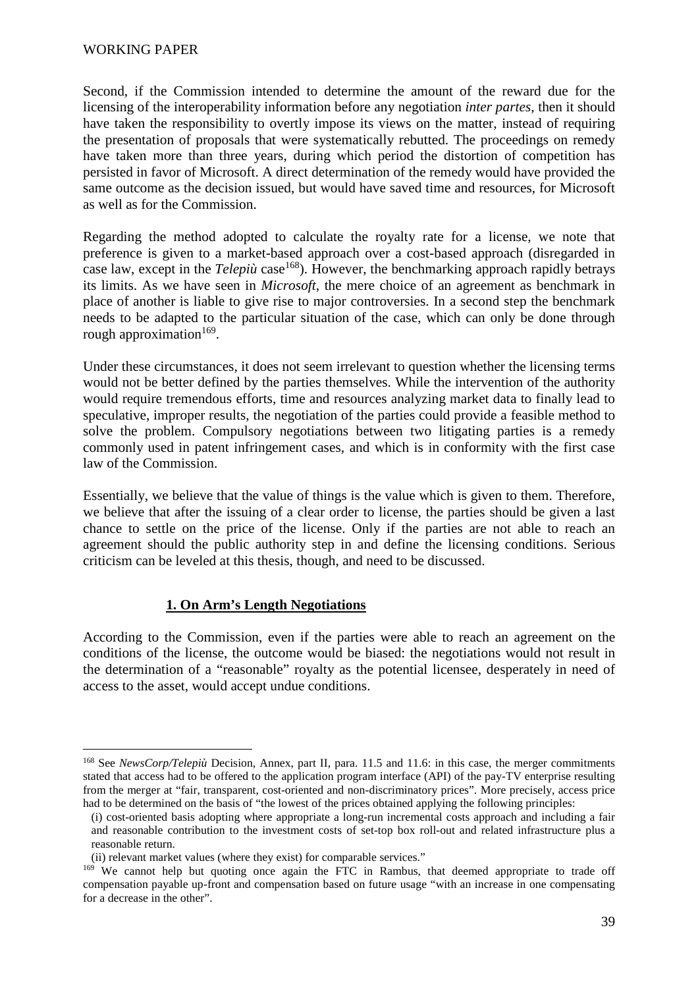#### WORKING PAPER

Second, if the Commission intended to determine the amount of the reward due for the licensing of the interoperability information before any negotiation *inter partes*, then it should have taken the responsibility to overtly impose its views on the matter, instead of requiring the presentation of proposals that were systematically rebutted. The proceedings on remedy have taken more than three years, during which period the distortion of competition has persisted in favor of Microsoft. A direct determination of the remedy would have provided the same outcome as the decision issued, but would have saved time and resources, for Microsoft as well as for the Commission.

Regarding the method adopted to calculate the royalty rate for a license, we note that preference is given to a market-based approach over a cost-based approach (disregarded in case law, except in the *Telepiù* case<sup>168</sup>). However, the benchmarking approach rapidly betrays its limits. As we have seen in *Microsoft*, the mere choice of an agreement as benchmark in place of another is liable to give rise to major controversies. In a second step the benchmark needs to be adapted to the particular situation of the case, which can only be done through rough approximation<sup>169</sup>.

Under these circumstances, it does not seem irrelevant to question whether the licensing terms would not be better defined by the parties themselves. While the intervention of the authority would require tremendous efforts, time and resources analyzing market data to finally lead to speculative, improper results, the negotiation of the parties could provide a feasible method to solve the problem. Compulsory negotiations between two litigating parties is a remedy commonly used in patent infringement cases, and which is in conformity with the first case law of the Commission.

Essentially, we believe that the value of things is the value which is given to them. Therefore, we believe that after the issuing of a clear order to license, the parties should be given a last chance to settle on the price of the license. Only if the parties are not able to reach an agreement should the public authority step in and define the licensing conditions. Serious criticism can be leveled at this thesis, though, and need to be discussed.

### **1. On Arm's Length Negotiations**

According to the Commission, even if the parties were able to reach an agreement on the conditions of the license, the outcome would be biased: the negotiations would not result in the determination of a "reasonable" royalty as the potential licensee, desperately in need of access to the asset, would accept undue conditions.

<sup>168</sup> See *NewsCorp/Telepiù* Decision, Annex, part II, para. 11.5 and 11.6: in this case, the merger commitments stated that access had to be offered to the application program interface (API) of the pay-TV enterprise resulting from the merger at "fair, transparent, cost-oriented and non-discriminatory prices". More precisely, access price had to be determined on the basis of "the lowest of the prices obtained applying the following principles:

<sup>(</sup>i) cost-oriented basis adopting where appropriate a long-run incremental costs approach and including a fair and reasonable contribution to the investment costs of set-top box roll-out and related infrastructure plus a reasonable return.

<sup>(</sup>ii) relevant market values (where they exist) for comparable services."

<sup>&</sup>lt;sup>169</sup> We cannot help but quoting once again the FTC in Rambus, that deemed appropriate to trade off compensation payable up-front and compensation based on future usage "with an increase in one compensating for a decrease in the other".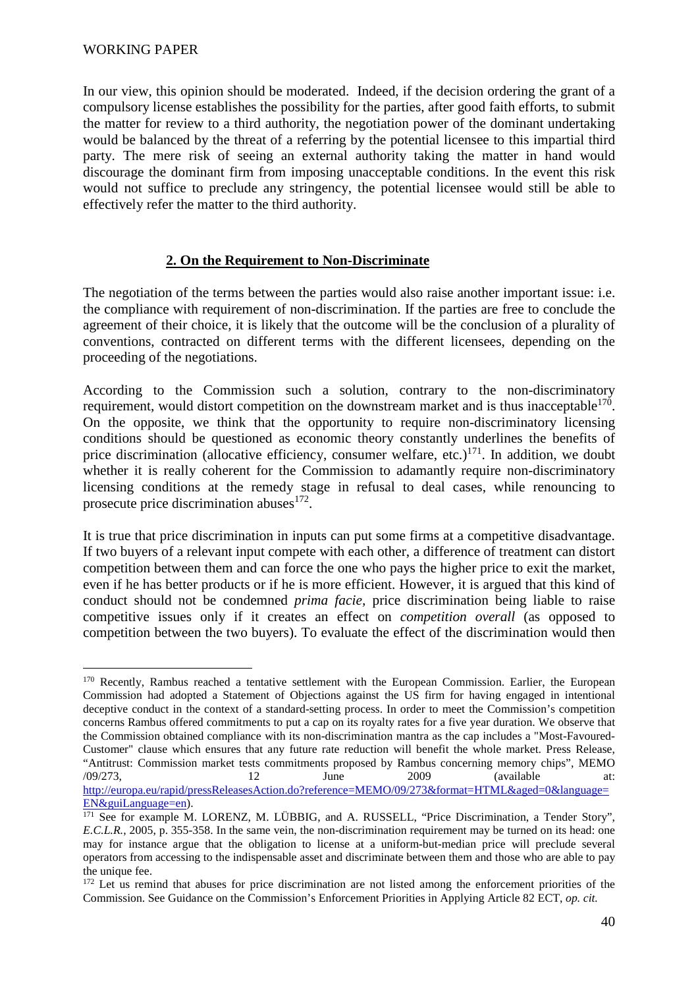In our view, this opinion should be moderated. Indeed, if the decision ordering the grant of a compulsory license establishes the possibility for the parties, after good faith efforts, to submit the matter for review to a third authority, the negotiation power of the dominant undertaking would be balanced by the threat of a referring by the potential licensee to this impartial third party. The mere risk of seeing an external authority taking the matter in hand would discourage the dominant firm from imposing unacceptable conditions. In the event this risk would not suffice to preclude any stringency, the potential licensee would still be able to effectively refer the matter to the third authority.

### **2. On the Requirement to Non-Discriminate**

The negotiation of the terms between the parties would also raise another important issue: i.e. the compliance with requirement of non-discrimination. If the parties are free to conclude the agreement of their choice, it is likely that the outcome will be the conclusion of a plurality of conventions, contracted on different terms with the different licensees, depending on the proceeding of the negotiations.

According to the Commission such a solution, contrary to the non-discriminatory requirement, would distort competition on the downstream market and is thus inacceptable<sup>170</sup>. On the opposite, we think that the opportunity to require non-discriminatory licensing conditions should be questioned as economic theory constantly underlines the benefits of price discrimination (allocative efficiency, consumer welfare, etc.) $171$ . In addition, we doubt whether it is really coherent for the Commission to adamantly require non-discriminatory licensing conditions at the remedy stage in refusal to deal cases, while renouncing to prosecute price discrimination abuses $^{172}$ .

It is true that price discrimination in inputs can put some firms at a competitive disadvantage. If two buyers of a relevant input compete with each other, a difference of treatment can distort competition between them and can force the one who pays the higher price to exit the market, even if he has better products or if he is more efficient. However, it is argued that this kind of conduct should not be condemned *prima facie,* price discrimination being liable to raise competitive issues only if it creates an effect on *competition overall* (as opposed to competition between the two buyers). To evaluate the effect of the discrimination would then

 $\overline{a}$ <sup>170</sup> Recently, Rambus reached a tentative settlement with the European Commission. Earlier, the European Commission had adopted a Statement of Objections against the US firm for having engaged in intentional deceptive conduct in the context of a standard-setting process. In order to meet the Commission's competition concerns Rambus offered commitments to put a cap on its royalty rates for a five year duration. We observe that the Commission obtained compliance with its non-discrimination mantra as the cap includes a "Most-Favoured-Customer" clause which ensures that any future rate reduction will benefit the whole market. Press Release, "Antitrust: Commission market tests commitments proposed by Rambus concerning memory chips", MEMO  $(09/273, 12$  June 2009 (available at: http://europa.eu/rapid/pressReleasesAction.do?reference=MEMO/09/273&format=HTML&aged=0&language= EN&guiLanguage=en).

<sup>&</sup>lt;sup>171</sup> See for example M. LORENZ, M. LÜBBIG, and A. RUSSELL, "Price Discrimination, a Tender Story", *E.C.L.R.*, 2005, p. 355-358. In the same vein, the non-discrimination requirement may be turned on its head: one may for instance argue that the obligation to license at a uniform-but-median price will preclude several operators from accessing to the indispensable asset and discriminate between them and those who are able to pay the unique fee.

<sup>&</sup>lt;sup>172</sup> Let us remind that abuses for price discrimination are not listed among the enforcement priorities of the Commission. See Guidance on the Commission's Enforcement Priorities in Applying Article 82 ECT, *op. cit.*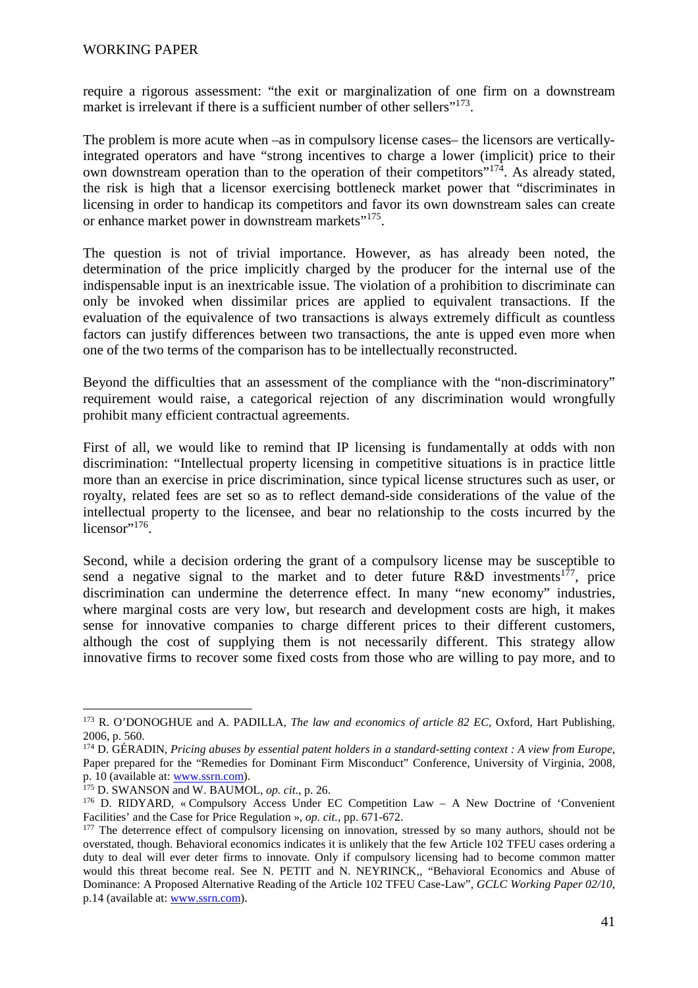require a rigorous assessment: "the exit or marginalization of one firm on a downstream market is irrelevant if there is a sufficient number of other sellers"<sup>173</sup>.

The problem is more acute when –as in compulsory license cases– the licensors are verticallyintegrated operators and have "strong incentives to charge a lower (implicit) price to their own downstream operation than to the operation of their competitors"<sup>174</sup>. As already stated, the risk is high that a licensor exercising bottleneck market power that "discriminates in licensing in order to handicap its competitors and favor its own downstream sales can create or enhance market power in downstream markets"<sup>175</sup>.

The question is not of trivial importance. However, as has already been noted, the determination of the price implicitly charged by the producer for the internal use of the indispensable input is an inextricable issue. The violation of a prohibition to discriminate can only be invoked when dissimilar prices are applied to equivalent transactions. If the evaluation of the equivalence of two transactions is always extremely difficult as countless factors can justify differences between two transactions, the ante is upped even more when one of the two terms of the comparison has to be intellectually reconstructed.

Beyond the difficulties that an assessment of the compliance with the "non-discriminatory" requirement would raise, a categorical rejection of any discrimination would wrongfully prohibit many efficient contractual agreements.

First of all, we would like to remind that IP licensing is fundamentally at odds with non discrimination: "Intellectual property licensing in competitive situations is in practice little more than an exercise in price discrimination, since typical license structures such as user, or royalty, related fees are set so as to reflect demand-side considerations of the value of the intellectual property to the licensee, and bear no relationship to the costs incurred by the  $licensor$ <sup>,176</sup>.

Second, while a decision ordering the grant of a compulsory license may be susceptible to send a negative signal to the market and to deter future  $R&D$  investments<sup>177</sup>, price discrimination can undermine the deterrence effect. In many "new economy" industries, where marginal costs are very low, but research and development costs are high, it makes sense for innovative companies to charge different prices to their different customers, although the cost of supplying them is not necessarily different. This strategy allow innovative firms to recover some fixed costs from those who are willing to pay more, and to

<sup>173</sup> R. O'DONOGHUE and A. PADILLA, *The law and economics of article 82 EC*, Oxford, Hart Publishing, 2006, p. 560.

<sup>174</sup> D. GÉRADIN, *Pricing abuses by essential patent holders in a standard-setting context : A view from Europe*, Paper prepared for the "Remedies for Dominant Firm Misconduct" Conference, University of Virginia, 2008, p. 10 (available at: www.ssrn.com).

<sup>175</sup> D. SWANSON and W. BAUMOL, *op. cit*., p. 26.

<sup>176</sup> D. RIDYARD, « Compulsory Access Under EC Competition Law – A New Doctrine of 'Convenient Facilities' and the Case for Price Regulation », *op. cit.*, pp. 671-672.

<sup>&</sup>lt;sup>177</sup> The deterrence effect of compulsory licensing on innovation, stressed by so many authors, should not be overstated, though. Behavioral economics indicates it is unlikely that the few Article 102 TFEU cases ordering a duty to deal will ever deter firms to innovate. Only if compulsory licensing had to become common matter would this threat become real. See N. PETIT and N. NEYRINCK,, "Behavioral Economics and Abuse of Dominance: A Proposed Alternative Reading of the Article 102 TFEU Case-Law", *GCLC Working Paper 02/10,*  p.14 (available at: www.ssrn.com).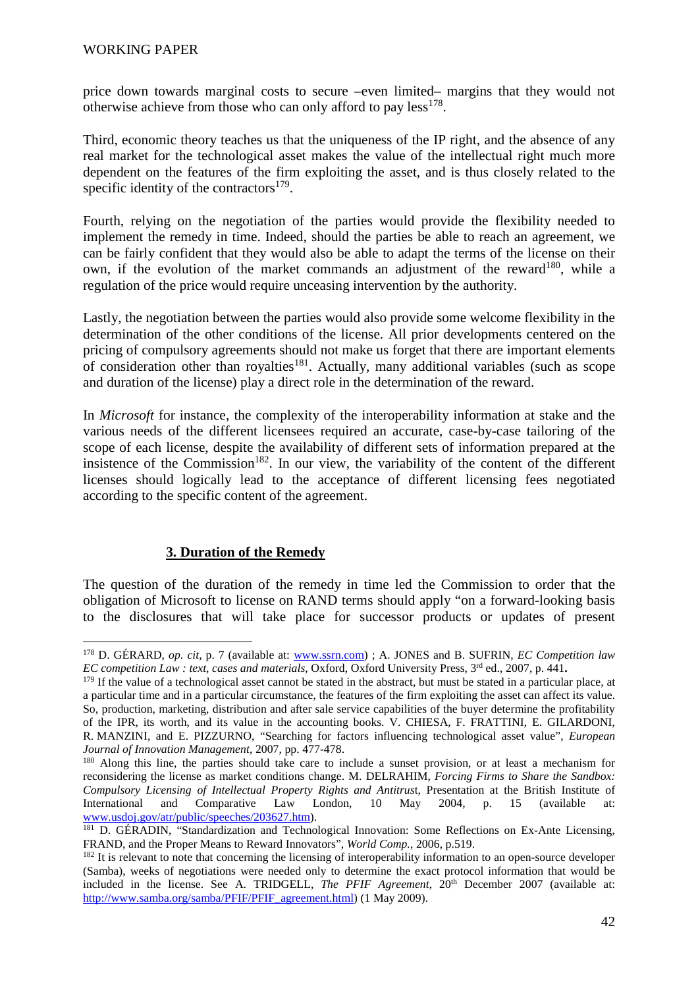price down towards marginal costs to secure –even limited– margins that they would not otherwise achieve from those who can only afford to pay  $less<sup>178</sup>$ .

Third, economic theory teaches us that the uniqueness of the IP right, and the absence of any real market for the technological asset makes the value of the intellectual right much more dependent on the features of the firm exploiting the asset, and is thus closely related to the specific identity of the contractors $179$ .

Fourth, relying on the negotiation of the parties would provide the flexibility needed to implement the remedy in time. Indeed, should the parties be able to reach an agreement, we can be fairly confident that they would also be able to adapt the terms of the license on their own, if the evolution of the market commands an adjustment of the reward<sup>180</sup>, while a regulation of the price would require unceasing intervention by the authority.

Lastly, the negotiation between the parties would also provide some welcome flexibility in the determination of the other conditions of the license. All prior developments centered on the pricing of compulsory agreements should not make us forget that there are important elements of consideration other than royalties<sup>181</sup>. Actually, many additional variables (such as scope and duration of the license) play a direct role in the determination of the reward.

In *Microsoft* for instance, the complexity of the interoperability information at stake and the various needs of the different licensees required an accurate, case-by-case tailoring of the scope of each license, despite the availability of different sets of information prepared at the insistence of the Commission<sup>182</sup>. In our view, the variability of the content of the different licenses should logically lead to the acceptance of different licensing fees negotiated according to the specific content of the agreement.

# **3. Duration of the Remedy**

The question of the duration of the remedy in time led the Commission to order that the obligation of Microsoft to license on RAND terms should apply "on a forward-looking basis to the disclosures that will take place for successor products or updates of present

 $\overline{a}$ <sup>178</sup> D. GÉRARD, *op. cit*, p. 7 (available at: www.ssrn.com) ; A. JONES and B. SUFRIN, *EC Competition law EC competition Law : text, cases and materials*, Oxford, Oxford University Press, 3rd ed., 2007, p. 441**.** 

 $179$  If the value of a technological asset cannot be stated in the abstract, but must be stated in a particular place, at a particular time and in a particular circumstance, the features of the firm exploiting the asset can affect its value. So, production, marketing, distribution and after sale service capabilities of the buyer determine the profitability of the IPR, its worth, and its value in the accounting books. V. CHIESA, F. FRATTINI, E. GILARDONI, R. MANZINI, and E. PIZZURNO, "Searching for factors influencing technological asset value", *European Journal of Innovation Management*, 2007, pp. 477-478.

<sup>180</sup> Along this line, the parties should take care to include a sunset provision, or at least a mechanism for reconsidering the license as market conditions change. M. DELRAHIM, *Forcing Firms to Share the Sandbox: Compulsory Licensing of Intellectual Property Rights and Antitrus*t, Presentation at the British Institute of International and Comparative Law London, 10 May 2004, p. 15 (available www.usdoj.gov/atr/public/speeches/203627.htm).

<sup>181</sup> D. GÉRADIN, "Standardization and Technological Innovation: Some Reflections on Ex-Ante Licensing, FRAND, and the Proper Means to Reward Innovators", *World Comp.*, 2006, p.519.

<sup>&</sup>lt;sup>182</sup> It is relevant to note that concerning the licensing of interoperability information to an open-source developer (Samba), weeks of negotiations were needed only to determine the exact protocol information that would be included in the license. See A. TRIDGELL, *The PFIF Agreement*, 20<sup>th</sup> December 2007 (available at: http://www.samba.org/samba/PFIF/PFIF\_agreement.html) (1 May 2009).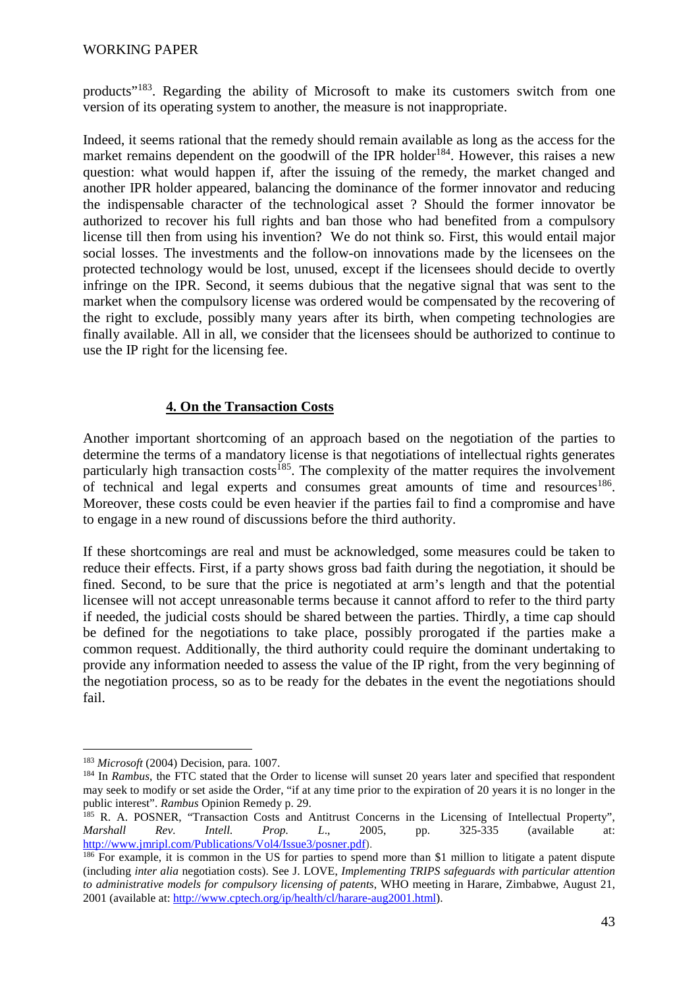products"<sup>183</sup>. Regarding the ability of Microsoft to make its customers switch from one version of its operating system to another, the measure is not inappropriate.

Indeed, it seems rational that the remedy should remain available as long as the access for the market remains dependent on the goodwill of the IPR holder<sup>184</sup>. However, this raises a new question: what would happen if, after the issuing of the remedy, the market changed and another IPR holder appeared, balancing the dominance of the former innovator and reducing the indispensable character of the technological asset ? Should the former innovator be authorized to recover his full rights and ban those who had benefited from a compulsory license till then from using his invention? We do not think so. First, this would entail major social losses. The investments and the follow-on innovations made by the licensees on the protected technology would be lost, unused, except if the licensees should decide to overtly infringe on the IPR. Second, it seems dubious that the negative signal that was sent to the market when the compulsory license was ordered would be compensated by the recovering of the right to exclude, possibly many years after its birth, when competing technologies are finally available. All in all, we consider that the licensees should be authorized to continue to use the IP right for the licensing fee.

### **4. On the Transaction Costs**

Another important shortcoming of an approach based on the negotiation of the parties to determine the terms of a mandatory license is that negotiations of intellectual rights generates particularly high transaction costs<sup>185</sup>. The complexity of the matter requires the involvement of technical and legal experts and consumes great amounts of time and resources<sup>186</sup>. Moreover, these costs could be even heavier if the parties fail to find a compromise and have to engage in a new round of discussions before the third authority.

If these shortcomings are real and must be acknowledged, some measures could be taken to reduce their effects. First, if a party shows gross bad faith during the negotiation, it should be fined. Second, to be sure that the price is negotiated at arm's length and that the potential licensee will not accept unreasonable terms because it cannot afford to refer to the third party if needed, the judicial costs should be shared between the parties. Thirdly, a time cap should be defined for the negotiations to take place, possibly prorogated if the parties make a common request. Additionally, the third authority could require the dominant undertaking to provide any information needed to assess the value of the IP right, from the very beginning of the negotiation process, so as to be ready for the debates in the event the negotiations should fail.

 $\overline{a}$ <sup>183</sup> *Microsoft* (2004) Decision, para. 1007.

<sup>&</sup>lt;sup>184</sup> In *Rambus*, the FTC stated that the Order to license will sunset 20 years later and specified that respondent may seek to modify or set aside the Order, "if at any time prior to the expiration of 20 years it is no longer in the public interest". *Rambus* Opinion Remedy p. 29.

<sup>&</sup>lt;sup>185</sup> R. A. POSNER, "Transaction Costs and Antitrust Concerns in the Licensing of Intellectual Property",<br>Marshall Rev. Intell. Prop. L., 2005. pp. 325-335 (available at: *Marshall Rev. Intell. Prop. L*., 2005, pp. 325-335 (available at: http://www.jmripl.com/Publications/Vol4/Issue3/posner.pdf).

<sup>&</sup>lt;sup>186</sup> For example, it is common in the US for parties to spend more than \$1 million to litigate a patent dispute (including *inter alia* negotiation costs). See J. LOVE, *Implementing TRIPS safeguards with particular attention to administrative models for compulsory licensing of patents*, WHO meeting in Harare, Zimbabwe, August 21, 2001 (available at: http://www.cptech.org/ip/health/cl/harare-aug2001.html).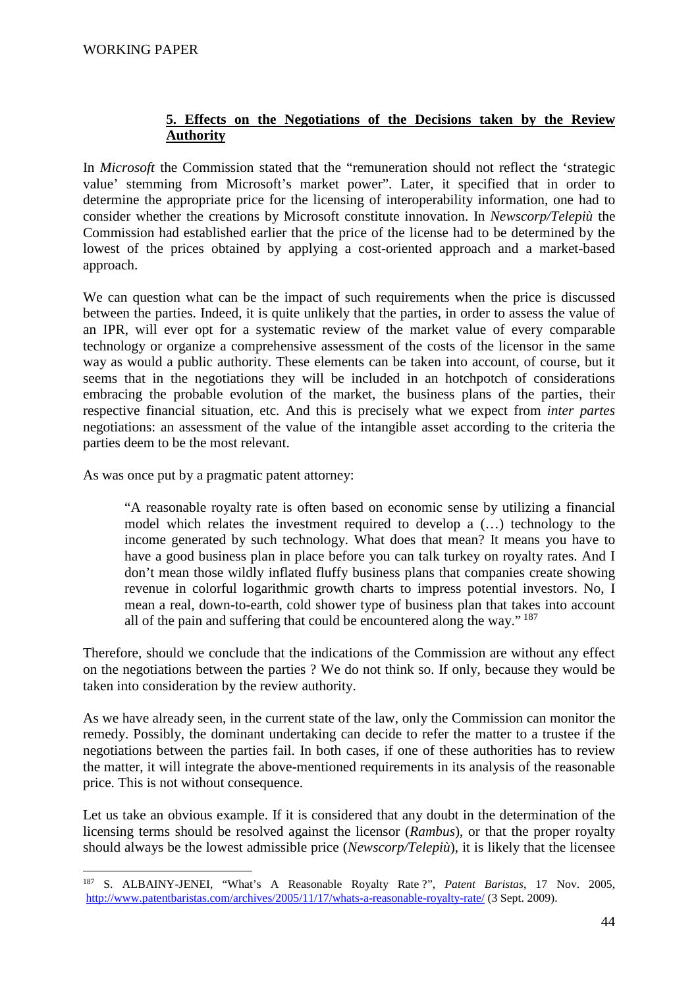## **5. Effects on the Negotiations of the Decisions taken by the Review Authority**

In *Microsoft* the Commission stated that the "remuneration should not reflect the 'strategic value' stemming from Microsoft's market power". Later, it specified that in order to determine the appropriate price for the licensing of interoperability information, one had to consider whether the creations by Microsoft constitute innovation. In *Newscorp/Telepiù* the Commission had established earlier that the price of the license had to be determined by the lowest of the prices obtained by applying a cost-oriented approach and a market-based approach.

We can question what can be the impact of such requirements when the price is discussed between the parties. Indeed, it is quite unlikely that the parties, in order to assess the value of an IPR, will ever opt for a systematic review of the market value of every comparable technology or organize a comprehensive assessment of the costs of the licensor in the same way as would a public authority. These elements can be taken into account, of course, but it seems that in the negotiations they will be included in an hotchpotch of considerations embracing the probable evolution of the market, the business plans of the parties, their respective financial situation, etc. And this is precisely what we expect from *inter partes* negotiations: an assessment of the value of the intangible asset according to the criteria the parties deem to be the most relevant.

As was once put by a pragmatic patent attorney:

 $\overline{a}$ 

"A reasonable royalty rate is often based on economic sense by utilizing a financial model which relates the investment required to develop a (…) technology to the income generated by such technology. What does that mean? It means you have to have a good business plan in place before you can talk turkey on royalty rates. And I don't mean those wildly inflated fluffy business plans that companies create showing revenue in colorful logarithmic growth charts to impress potential investors. No, I mean a real, down-to-earth, cold shower type of business plan that takes into account all of the pain and suffering that could be encountered along the way."<sup>187</sup>

Therefore, should we conclude that the indications of the Commission are without any effect on the negotiations between the parties ? We do not think so. If only, because they would be taken into consideration by the review authority.

As we have already seen, in the current state of the law, only the Commission can monitor the remedy. Possibly, the dominant undertaking can decide to refer the matter to a trustee if the negotiations between the parties fail. In both cases, if one of these authorities has to review the matter, it will integrate the above-mentioned requirements in its analysis of the reasonable price. This is not without consequence.

Let us take an obvious example. If it is considered that any doubt in the determination of the licensing terms should be resolved against the licensor (*Rambus*), or that the proper royalty should always be the lowest admissible price (*Newscorp/Telepiù*), it is likely that the licensee

<sup>187</sup> S. ALBAINY-JENEI, "What's A Reasonable Royalty Rate ?", *Patent Baristas*, 17 Nov. 2005, http://www.patentbaristas.com/archives/2005/11/17/whats-a-reasonable-royalty-rate/ (3 Sept. 2009).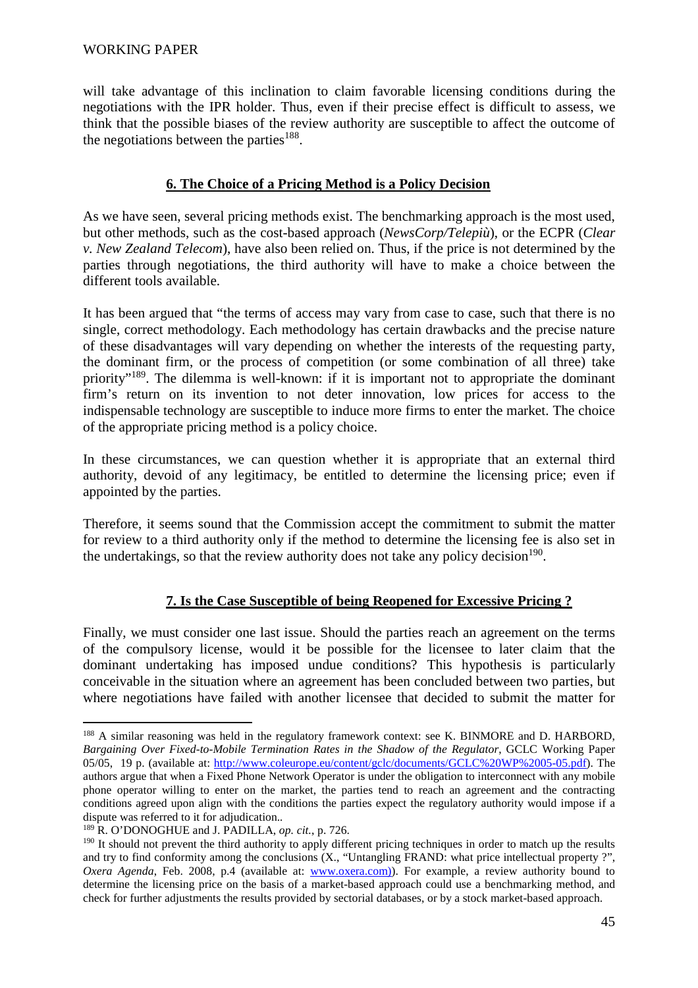will take advantage of this inclination to claim favorable licensing conditions during the negotiations with the IPR holder. Thus, even if their precise effect is difficult to assess, we think that the possible biases of the review authority are susceptible to affect the outcome of the negotiations between the parties<sup>188</sup>.

### **6. The Choice of a Pricing Method is a Policy Decision**

As we have seen, several pricing methods exist. The benchmarking approach is the most used, but other methods, such as the cost-based approach (*NewsCorp/Telepiù*), or the ECPR (*Clear v. New Zealand Telecom*), have also been relied on. Thus, if the price is not determined by the parties through negotiations, the third authority will have to make a choice between the different tools available.

It has been argued that "the terms of access may vary from case to case, such that there is no single, correct methodology. Each methodology has certain drawbacks and the precise nature of these disadvantages will vary depending on whether the interests of the requesting party, the dominant firm, or the process of competition (or some combination of all three) take priority<sup>"189</sup>. The dilemma is well-known: if it is important not to appropriate the dominant firm's return on its invention to not deter innovation, low prices for access to the indispensable technology are susceptible to induce more firms to enter the market. The choice of the appropriate pricing method is a policy choice.

In these circumstances, we can question whether it is appropriate that an external third authority, devoid of any legitimacy, be entitled to determine the licensing price; even if appointed by the parties.

Therefore, it seems sound that the Commission accept the commitment to submit the matter for review to a third authority only if the method to determine the licensing fee is also set in the undertakings, so that the review authority does not take any policy decision<sup>190</sup>.

# **7. Is the Case Susceptible of being Reopened for Excessive Pricing ?**

Finally, we must consider one last issue. Should the parties reach an agreement on the terms of the compulsory license, would it be possible for the licensee to later claim that the dominant undertaking has imposed undue conditions? This hypothesis is particularly conceivable in the situation where an agreement has been concluded between two parties, but where negotiations have failed with another licensee that decided to submit the matter for

 $\overline{a}$ <sup>188</sup> A similar reasoning was held in the regulatory framework context: see K. BINMORE and D. HARBORD, *Bargaining Over Fixed-to-Mobile Termination Rates in the Shadow of the Regulator*, GCLC Working Paper 05/05, 19 p. (available at: http://www.coleurope.eu/content/gclc/documents/GCLC%20WP%2005-05.pdf). The authors argue that when a Fixed Phone Network Operator is under the obligation to interconnect with any mobile phone operator willing to enter on the market, the parties tend to reach an agreement and the contracting conditions agreed upon align with the conditions the parties expect the regulatory authority would impose if a dispute was referred to it for adjudication.*.*

<sup>189</sup> R. O'DONOGHUE and J. PADILLA, *op. cit.*, p. 726.

<sup>&</sup>lt;sup>190</sup> It should not prevent the third authority to apply different pricing techniques in order to match up the results and try to find conformity among the conclusions (X., "Untangling FRAND: what price intellectual property ?", *Oxera Agenda*, Feb. 2008, p.4 (available at: www.oxera.com)). For example, a review authority bound to determine the licensing price on the basis of a market-based approach could use a benchmarking method, and check for further adjustments the results provided by sectorial databases, or by a stock market-based approach.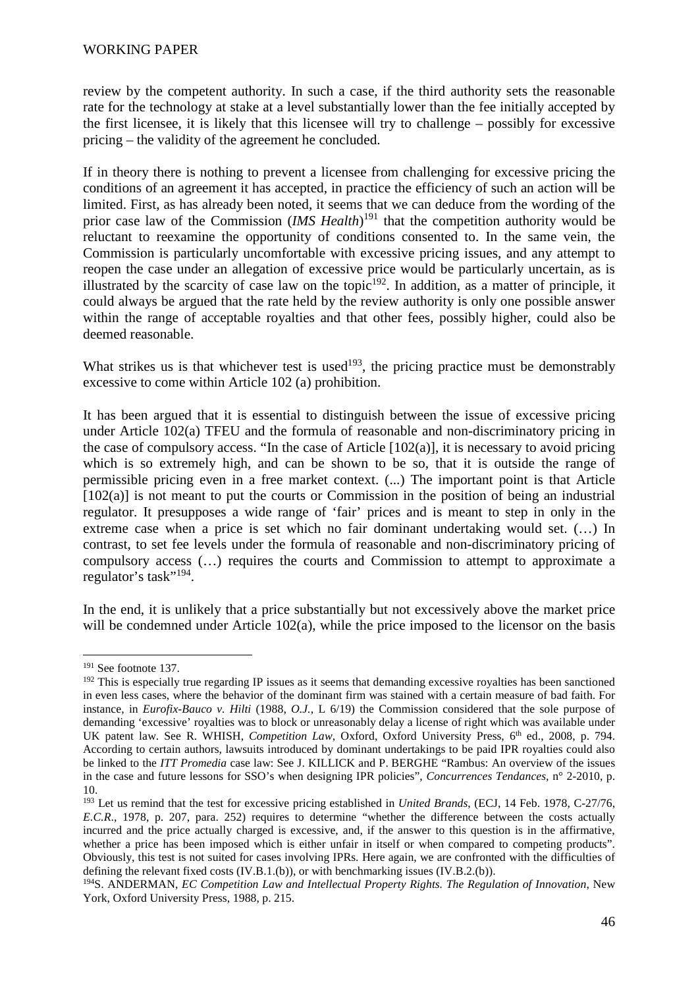review by the competent authority. In such a case, if the third authority sets the reasonable rate for the technology at stake at a level substantially lower than the fee initially accepted by the first licensee, it is likely that this licensee will try to challenge – possibly for excessive pricing – the validity of the agreement he concluded.

If in theory there is nothing to prevent a licensee from challenging for excessive pricing the conditions of an agreement it has accepted, in practice the efficiency of such an action will be limited. First, as has already been noted, it seems that we can deduce from the wording of the prior case law of the Commission (*IMS Health*) <sup>191</sup> that the competition authority would be reluctant to reexamine the opportunity of conditions consented to. In the same vein, the Commission is particularly uncomfortable with excessive pricing issues, and any attempt to reopen the case under an allegation of excessive price would be particularly uncertain, as is illustrated by the scarcity of case law on the topic<sup>192</sup>. In addition, as a matter of principle, it could always be argued that the rate held by the review authority is only one possible answer within the range of acceptable royalties and that other fees, possibly higher, could also be deemed reasonable.

What strikes us is that whichever test is used<sup>193</sup>, the pricing practice must be demonstrably excessive to come within Article 102 (a) prohibition.

It has been argued that it is essential to distinguish between the issue of excessive pricing under Article 102(a) TFEU and the formula of reasonable and non-discriminatory pricing in the case of compulsory access. "In the case of Article  $[102(a)]$ , it is necessary to avoid pricing which is so extremely high, and can be shown to be so, that it is outside the range of permissible pricing even in a free market context. (...) The important point is that Article  $[102(a)]$  is not meant to put the courts or Commission in the position of being an industrial regulator. It presupposes a wide range of 'fair' prices and is meant to step in only in the extreme case when a price is set which no fair dominant undertaking would set. (…) In contrast, to set fee levels under the formula of reasonable and non-discriminatory pricing of compulsory access (…) requires the courts and Commission to attempt to approximate a regulator's task"<sup>194</sup>.

In the end, it is unlikely that a price substantially but not excessively above the market price will be condemned under Article 102(a), while the price imposed to the licensor on the basis

<sup>&</sup>lt;sup>191</sup> See footnote 137.

 $192$  This is especially true regarding IP issues as it seems that demanding excessive royalties has been sanctioned in even less cases, where the behavior of the dominant firm was stained with a certain measure of bad faith. For instance, in *Eurofix-Bauco v. Hilti* (1988, *O.J.*, L 6/19) the Commission considered that the sole purpose of demanding 'excessive' royalties was to block or unreasonably delay a license of right which was available under UK patent law. See R. WHISH, *Competition Law*, Oxford, Oxford University Press, 6<sup>th</sup> ed., 2008, p. 794. According to certain authors, lawsuits introduced by dominant undertakings to be paid IPR royalties could also be linked to the *ITT Promedia* case law: See J. KILLICK and P. BERGHE "Rambus: An overview of the issues in the case and future lessons for SSO's when designing IPR policies", *Concurrences Tendances,* n° 2-2010, p. 10.

<sup>193</sup> Let us remind that the test for excessive pricing established in *United Brands*, (ECJ, 14 Feb. 1978, C-27/76, *E.C.R*., 1978, p. 207, para. 252) requires to determine "whether the difference between the costs actually incurred and the price actually charged is excessive, and, if the answer to this question is in the affirmative, whether a price has been imposed which is either unfair in itself or when compared to competing products". Obviously, this test is not suited for cases involving IPRs. Here again, we are confronted with the difficulties of defining the relevant fixed costs (IV.B.1.(b)), or with benchmarking issues (IV.B.2.(b)).

<sup>194</sup>S. ANDERMAN, *EC Competition Law and Intellectual Property Rights. The Regulation of Innovation*, New York, Oxford University Press, 1988, p. 215.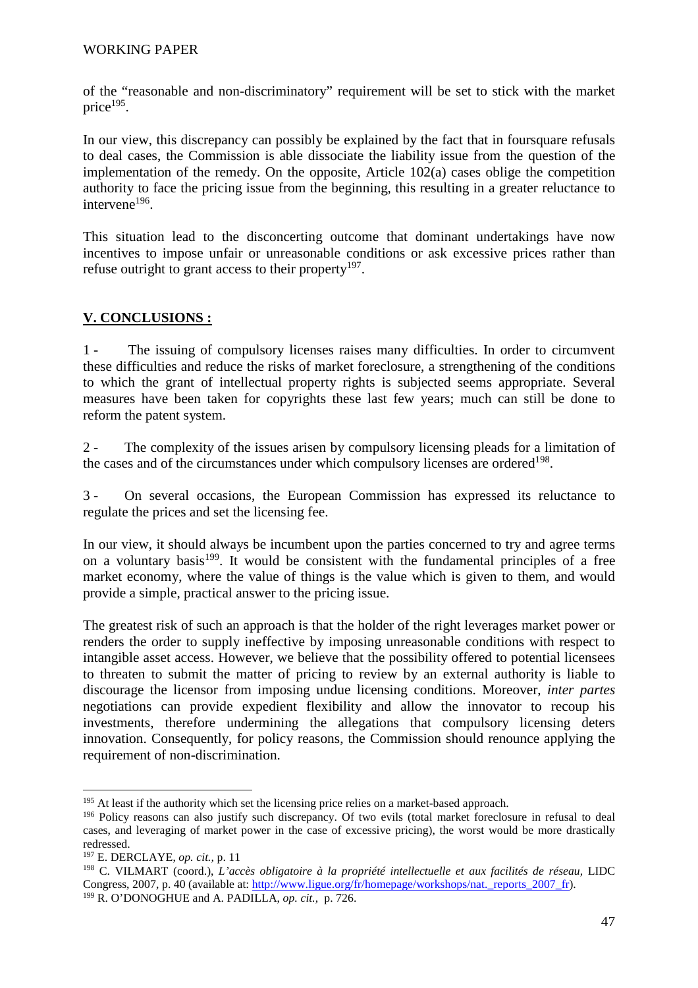of the "reasonable and non-discriminatory" requirement will be set to stick with the market price<sup>195</sup>.

In our view, this discrepancy can possibly be explained by the fact that in foursquare refusals to deal cases, the Commission is able dissociate the liability issue from the question of the implementation of the remedy. On the opposite, Article 102(a) cases oblige the competition authority to face the pricing issue from the beginning, this resulting in a greater reluctance to intervene<sup>196</sup>.

This situation lead to the disconcerting outcome that dominant undertakings have now incentives to impose unfair or unreasonable conditions or ask excessive prices rather than refuse outright to grant access to their property $197$ .

# **V. CONCLUSIONS :**

1 - The issuing of compulsory licenses raises many difficulties. In order to circumvent these difficulties and reduce the risks of market foreclosure, a strengthening of the conditions to which the grant of intellectual property rights is subjected seems appropriate. Several measures have been taken for copyrights these last few years; much can still be done to reform the patent system.

2 - The complexity of the issues arisen by compulsory licensing pleads for a limitation of the cases and of the circumstances under which compulsory licenses are ordered<sup>198</sup>.

3 - On several occasions, the European Commission has expressed its reluctance to regulate the prices and set the licensing fee.

In our view, it should always be incumbent upon the parties concerned to try and agree terms on a voluntary basis $199$ . It would be consistent with the fundamental principles of a free market economy, where the value of things is the value which is given to them, and would provide a simple, practical answer to the pricing issue.

The greatest risk of such an approach is that the holder of the right leverages market power or renders the order to supply ineffective by imposing unreasonable conditions with respect to intangible asset access. However, we believe that the possibility offered to potential licensees to threaten to submit the matter of pricing to review by an external authority is liable to discourage the licensor from imposing undue licensing conditions. Moreover, *inter partes*  negotiations can provide expedient flexibility and allow the innovator to recoup his investments, therefore undermining the allegations that compulsory licensing deters innovation. Consequently, for policy reasons, the Commission should renounce applying the requirement of non-discrimination.

<sup>&</sup>lt;sup>195</sup> At least if the authority which set the licensing price relies on a market-based approach.

<sup>&</sup>lt;sup>196</sup> Policy reasons can also justify such discrepancy. Of two evils (total market foreclosure in refusal to deal cases, and leveraging of market power in the case of excessive pricing), the worst would be more drastically redressed.

<sup>197</sup> E. DERCLAYE, *op. cit.,* p. 11

<sup>198</sup> C. VILMART (coord.), *L'accès obligatoire à la propriété intellectuelle et aux facilités de réseau,* LIDC Congress, 2007, p. 40 (available at: http://www.ligue.org/fr/homepage/workshops/nat.\_reports\_2007\_fr). 199 R. O'DONOGHUE and A. PADILLA, *op. cit.,* p. 726.